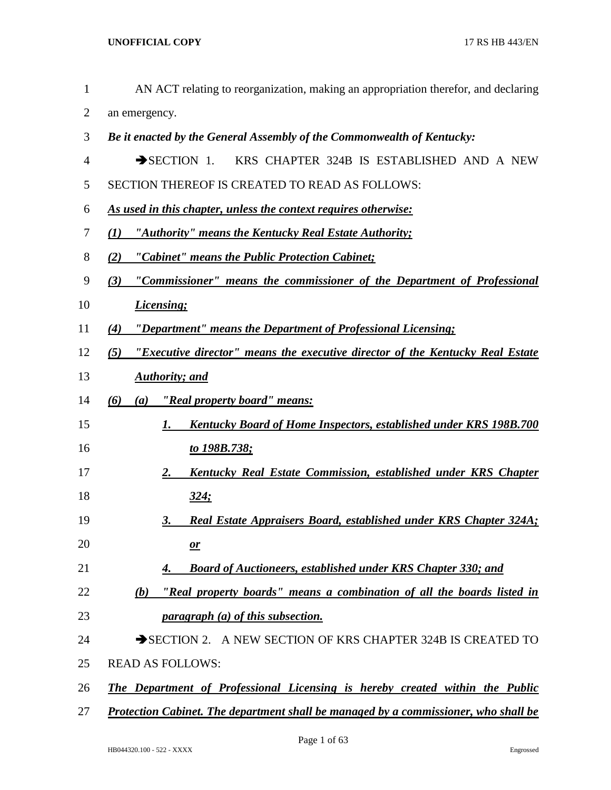| $\mathbf{1}$ | AN ACT relating to reorganization, making an appropriation therefor, and declaring    |
|--------------|---------------------------------------------------------------------------------------|
| 2            | an emergency.                                                                         |
| 3            | Be it enacted by the General Assembly of the Commonwealth of Kentucky:                |
| 4            | $\rightarrow$ SECTION 1.<br>KRS CHAPTER 324B IS ESTABLISHED AND A NEW                 |
| 5            | SECTION THEREOF IS CREATED TO READ AS FOLLOWS:                                        |
| 6            | <u>As used in this chapter, unless the context requires otherwise:</u>                |
| 7            | "Authority" means the Kentucky Real Estate Authority;<br>(I)                          |
| 8            | "Cabinet" means the Public Protection Cabinet;<br>(2)                                 |
| 9            | "Commissioner" means the commissioner of the Department of Professional<br>(3)        |
| 10           | <b>Licensing</b> ;                                                                    |
| 11           | "Department" means the Department of Professional Licensing;<br>(4)                   |
| 12           | "Executive director" means the executive director of the Kentucky Real Estate<br>(5)  |
| 13           | <b>Authority</b> ; and                                                                |
| 14           | <u>"Real property board" means:</u><br>(6)<br>(a)                                     |
| 15           | <b>Kentucky Board of Home Inspectors, established under KRS 198B.700</b><br>1.        |
| 16           | <u>to 198B.738;</u>                                                                   |
| 17           | <b>Kentucky Real Estate Commission, established under KRS Chapter</b><br><u>2.</u>    |
| 18           | <u>324;</u>                                                                           |
| 19           | <b>Real Estate Appraisers Board, established under KRS Chapter 324A;</b><br><u>3.</u> |
| 20           | $\mathbf{r}$                                                                          |
| 21           | <b>Board of Auctioneers, established under KRS Chapter 330; and</b><br>4.             |
| 22           | "Real property boards" means a combination of all the boards listed in<br>(b)         |
| 23           | <i>paragraph (a) of this subsection.</i>                                              |
| 24           | SECTION 2. A NEW SECTION OF KRS CHAPTER 324B IS CREATED TO                            |
| 25           | <b>READ AS FOLLOWS:</b>                                                               |
| 26           | <b>The Department of Professional Licensing is hereby created within the Public</b>   |
| 27           | Protection Cabinet. The department shall be managed by a commissioner, who shall be   |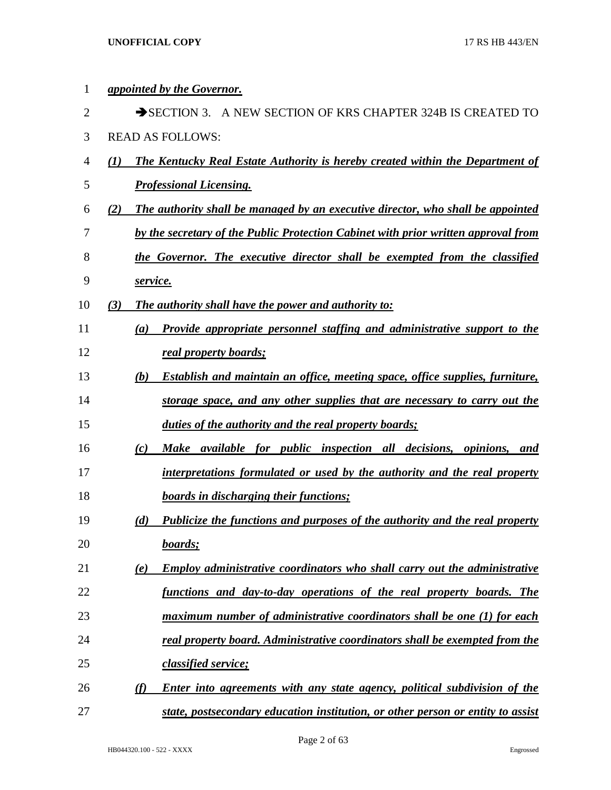| 1  |     | <i><u><b>appointed by the Governor.</b></u></i>                                            |
|----|-----|--------------------------------------------------------------------------------------------|
| 2  |     | SECTION 3. A NEW SECTION OF KRS CHAPTER 324B IS CREATED TO                                 |
| 3  |     | <b>READ AS FOLLOWS:</b>                                                                    |
| 4  | (I) | <b>The Kentucky Real Estate Authority is hereby created within the Department of</b>       |
| 5  |     | <b>Professional Licensing.</b>                                                             |
| 6  | (2) | The authority shall be managed by an executive director, who shall be appointed            |
| 7  |     | by the secretary of the Public Protection Cabinet with prior written approval from         |
| 8  |     | the Governor. The executive director shall be exempted from the classified                 |
| 9  |     | service.                                                                                   |
| 10 | (3) | The authority shall have the power and authority to:                                       |
| 11 |     | Provide appropriate personnel staffing and administrative support to the<br>(a)            |
| 12 |     | real property boards;                                                                      |
| 13 |     | <b>Establish and maintain an office, meeting space, office supplies, furniture,</b><br>(b) |
| 14 |     | storage space, and any other supplies that are necessary to carry out the                  |
| 15 |     | duties of the authority and the real property boards;                                      |
| 16 |     | <i>available for public inspection all decisions, opinions, and</i><br>(c)<br><b>Make</b>  |
| 17 |     | interpretations formulated or used by the authority and the real property                  |
| 18 |     | <b>boards in discharging their functions;</b>                                              |
| 19 |     | Publicize the functions and purposes of the authority and the real property<br>(d)         |
| 20 |     | boards;                                                                                    |
| 21 |     | <b>Employ administrative coordinators who shall carry out the administrative</b><br>(e)    |
| 22 |     | functions and day-to-day operations of the real property boards. The                       |
| 23 |     | maximum number of administrative coordinators shall be one (1) for each                    |
| 24 |     | real property board. Administrative coordinators shall be exempted from the                |
| 25 |     | classified service;                                                                        |
| 26 |     | Enter into agreements with any state agency, political subdivision of the<br>(f)           |
| 27 |     | state, postsecondary education institution, or other person or entity to assist            |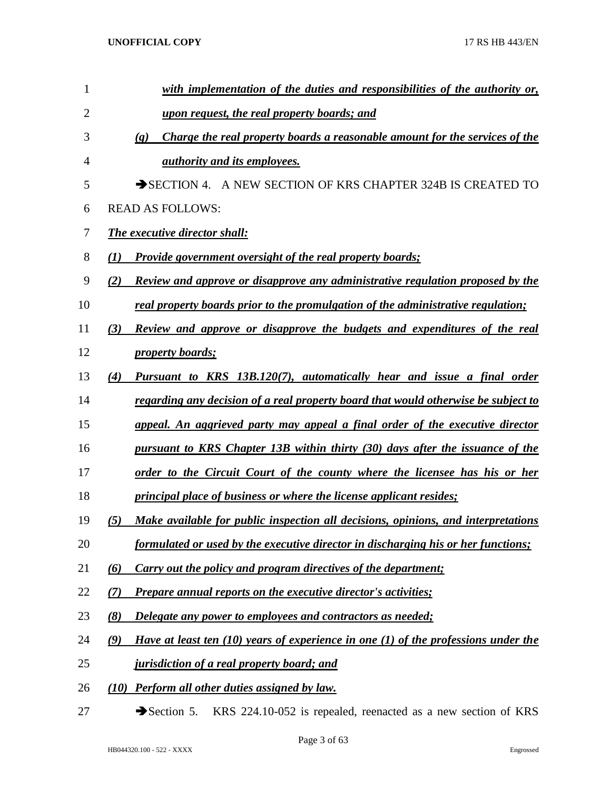| 1              |          | with implementation of the duties and responsibilities of the authority or,                                |
|----------------|----------|------------------------------------------------------------------------------------------------------------|
| $\overline{2}$ |          | <u>upon request, the real property boards; and</u>                                                         |
| 3              |          | Charge the real property boards a reasonable amount for the services of the<br>$\left( \mathbf{g} \right)$ |
| 4              |          | <i>authority and its employees.</i>                                                                        |
| 5              |          | SECTION 4. A NEW SECTION OF KRS CHAPTER 324B IS CREATED TO                                                 |
| 6              |          | <b>READ AS FOLLOWS:</b>                                                                                    |
| 7              |          | <b>The executive director shall:</b>                                                                       |
| 8              | (I)      | <b>Provide government oversight of the real property boards;</b>                                           |
| 9              | (2)      | Review and approve or disapprove any administrative regulation proposed by the                             |
| 10             |          | real property boards prior to the promulgation of the administrative regulation;                           |
| 11             | (3)      | Review and approve or disapprove the budgets and expenditures of the real                                  |
| 12             |          | <i><u><b>property boards;</b></u></i>                                                                      |
| 13             | (4)      | Pursuant to KRS 13B.120(7), automatically hear and issue a final order                                     |
| 14             |          | <u>regarding any decision of a real property board that would otherwise be subject to</u>                  |
| 15             |          | appeal. An aggrieved party may appeal a final order of the executive director                              |
| 16             |          | pursuant to KRS Chapter 13B within thirty (30) days after the issuance of the                              |
| 17             |          | <u>order to the Circuit Court of the county where the licensee has his or her</u>                          |
| 18             |          | <i>principal place of business or where the license applicant resides;</i>                                 |
| 19             | (5)      | Make available for public inspection all decisions, opinions, and interpretations                          |
| 20             |          | formulated or used by the executive director in discharging his or her functions;                          |
| 21             | $\omega$ | Carry out the policy and program directives of the department;                                             |
| 22             | (7)      | <b>Prepare annual reports on the executive director's activities;</b>                                      |
| 23             | (8)      | <b>Delegate any power to employees and contractors as needed;</b>                                          |
| 24             | (9)      | Have at least ten $(10)$ years of experience in one $(1)$ of the professions under the                     |
| 25             |          | <i>jurisdiction of a real property board; and</i>                                                          |
| 26             |          | (10) Perform all other duties assigned by law.                                                             |

27 Section 5. KRS 224.10-052 is repealed, reenacted as a new section of KRS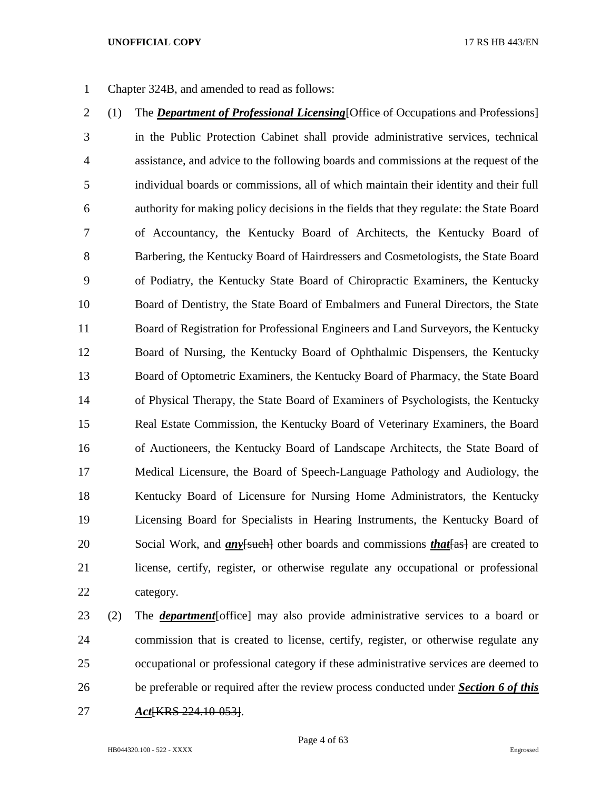Chapter 324B, and amended to read as follows:

- (1) The *Department of Professional Licensing*[Office of Occupations and Professions] in the Public Protection Cabinet shall provide administrative services, technical assistance, and advice to the following boards and commissions at the request of the individual boards or commissions, all of which maintain their identity and their full authority for making policy decisions in the fields that they regulate: the State Board of Accountancy, the Kentucky Board of Architects, the Kentucky Board of Barbering, the Kentucky Board of Hairdressers and Cosmetologists, the State Board of Podiatry, the Kentucky State Board of Chiropractic Examiners, the Kentucky Board of Dentistry, the State Board of Embalmers and Funeral Directors, the State Board of Registration for Professional Engineers and Land Surveyors, the Kentucky Board of Nursing, the Kentucky Board of Ophthalmic Dispensers, the Kentucky Board of Optometric Examiners, the Kentucky Board of Pharmacy, the State Board of Physical Therapy, the State Board of Examiners of Psychologists, the Kentucky Real Estate Commission, the Kentucky Board of Veterinary Examiners, the Board of Auctioneers, the Kentucky Board of Landscape Architects, the State Board of Medical Licensure, the Board of Speech-Language Pathology and Audiology, the Kentucky Board of Licensure for Nursing Home Administrators, the Kentucky Licensing Board for Specialists in Hearing Instruments, the Kentucky Board of 20 Social Work, and *an*y<del>[such]</del> other boards and commissions *that* [as] are created to license, certify, register, or otherwise regulate any occupational or professional category.
- (2) The *department*[office] may also provide administrative services to a board or commission that is created to license, certify, register, or otherwise regulate any occupational or professional category if these administrative services are deemed to be preferable or required after the review process conducted under *Section 6 of this Act*[KRS 224.10-053].

Page 4 of 63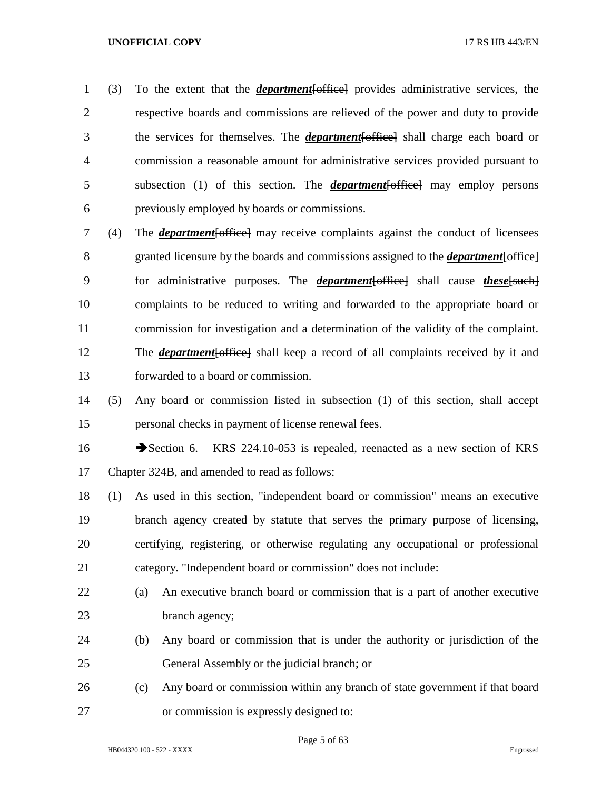(3) To the extent that the *department*[office] provides administrative services, the respective boards and commissions are relieved of the power and duty to provide the services for themselves. The *department*[office] shall charge each board or commission a reasonable amount for administrative services provided pursuant to subsection (1) of this section. The *department*[office] may employ persons previously employed by boards or commissions.

 (4) The *department*[office] may receive complaints against the conduct of licensees granted licensure by the boards and commissions assigned to the *department*[office] for administrative purposes. The *department*[office] shall cause *these*[such] complaints to be reduced to writing and forwarded to the appropriate board or commission for investigation and a determination of the validity of the complaint. The *department*[office] shall keep a record of all complaints received by it and forwarded to a board or commission.

 (5) Any board or commission listed in subsection (1) of this section, shall accept personal checks in payment of license renewal fees.

16 Section 6. KRS 224.10-053 is repealed, reenacted as a new section of KRS Chapter 324B, and amended to read as follows:

 (1) As used in this section, "independent board or commission" means an executive branch agency created by statute that serves the primary purpose of licensing, certifying, registering, or otherwise regulating any occupational or professional category. "Independent board or commission" does not include:

- (a) An executive branch board or commission that is a part of another executive 23 branch agency;
- (b) Any board or commission that is under the authority or jurisdiction of the General Assembly or the judicial branch; or
- (c) Any board or commission within any branch of state government if that board or commission is expressly designed to:

Page 5 of 63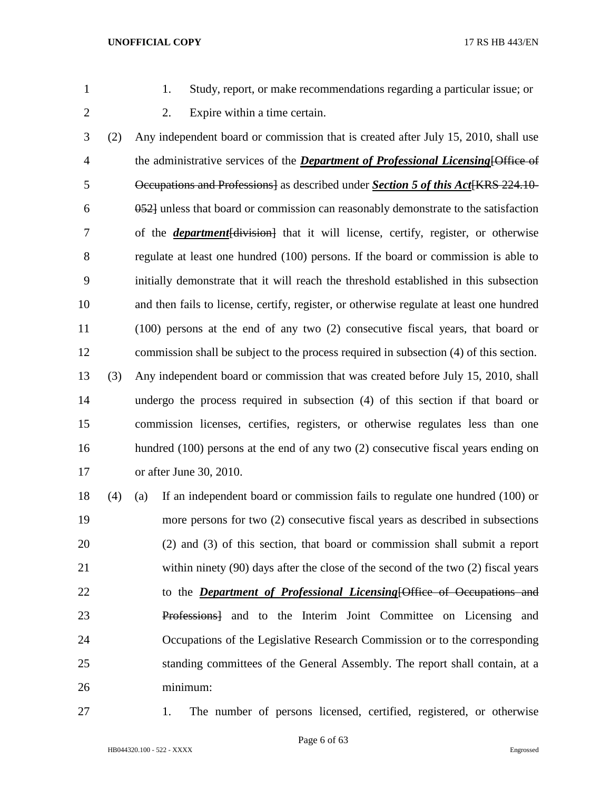- 
- 1. Study, report, or make recommendations regarding a particular issue; or
- 
- 2. Expire within a time certain.

 (2) Any independent board or commission that is created after July 15, 2010, shall use the administrative services of the *Department of Professional Licensing*[Office of **Decupations and Professions** as described under *Section 5 of this Act* (KRS 224.10- 052] unless that board or commission can reasonably demonstrate to the satisfaction of the *department*[division] that it will license, certify, register, or otherwise regulate at least one hundred (100) persons. If the board or commission is able to initially demonstrate that it will reach the threshold established in this subsection and then fails to license, certify, register, or otherwise regulate at least one hundred (100) persons at the end of any two (2) consecutive fiscal years, that board or commission shall be subject to the process required in subsection (4) of this section. (3) Any independent board or commission that was created before July 15, 2010, shall undergo the process required in subsection (4) of this section if that board or commission licenses, certifies, registers, or otherwise regulates less than one hundred (100) persons at the end of any two (2) consecutive fiscal years ending on or after June 30, 2010.

 (4) (a) If an independent board or commission fails to regulate one hundred (100) or more persons for two (2) consecutive fiscal years as described in subsections (2) and (3) of this section, that board or commission shall submit a report within ninety (90) days after the close of the second of the two (2) fiscal years to the *Department of Professional Licensing*[Office of Occupations and Professions] and to the Interim Joint Committee on Licensing and Occupations of the Legislative Research Commission or to the corresponding standing committees of the General Assembly. The report shall contain, at a minimum:

1. The number of persons licensed, certified, registered, or otherwise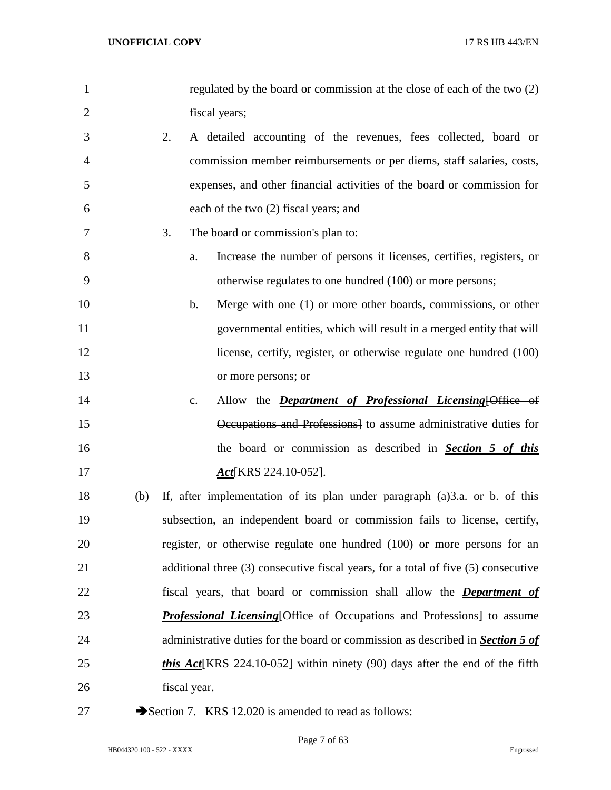| $\mathbf{1}$   |     | regulated by the board or commission at the close of each of the two (2)                 |
|----------------|-----|------------------------------------------------------------------------------------------|
| $\overline{2}$ |     | fiscal years;                                                                            |
| 3              |     | 2.<br>A detailed accounting of the revenues, fees collected, board or                    |
| 4              |     | commission member reimbursements or per diems, staff salaries, costs,                    |
| 5              |     | expenses, and other financial activities of the board or commission for                  |
| 6              |     | each of the two (2) fiscal years; and                                                    |
| 7              |     | The board or commission's plan to:<br>3.                                                 |
| 8              |     | Increase the number of persons it licenses, certifies, registers, or<br>a.               |
| 9              |     | otherwise regulates to one hundred (100) or more persons;                                |
| 10             |     | Merge with one (1) or more other boards, commissions, or other<br>b.                     |
| 11             |     | governmental entities, which will result in a merged entity that will                    |
| 12             |     | license, certify, register, or otherwise regulate one hundred (100)                      |
| 13             |     | or more persons; or                                                                      |
| 14             |     | Allow the <i>Department of Professional Licensing</i> [Office of<br>c.                   |
| 15             |     | Occupations and Professions] to assume administrative duties for                         |
| 16             |     | the board or commission as described in <b>Section 5 of this</b>                         |
| 17             |     | Act <sup>[KRS 224.10-052]</sup> .                                                        |
| 18             | (b) | If, after implementation of its plan under paragraph (a)3.a. or b. of this               |
| 19             |     | subsection, an independent board or commission fails to license, certify,                |
| 20             |     | register, or otherwise regulate one hundred (100) or more persons for an                 |
| 21             |     | additional three (3) consecutive fiscal years, for a total of five (5) consecutive       |
| 22             |     | fiscal years, that board or commission shall allow the <b>Department of</b>              |
| 23             |     | <b>Professional Licensing Office of Occupations and Professions</b> to assume            |
| 24             |     | administrative duties for the board or commission as described in <b>Section 5 of</b>    |
| 25             |     | <i>this Act</i> $\{KRS\}$ 224.10-052} within ninety (90) days after the end of the fifth |
| 26             |     | fiscal year.                                                                             |
|                |     |                                                                                          |

27 Section 7. KRS 12.020 is amended to read as follows: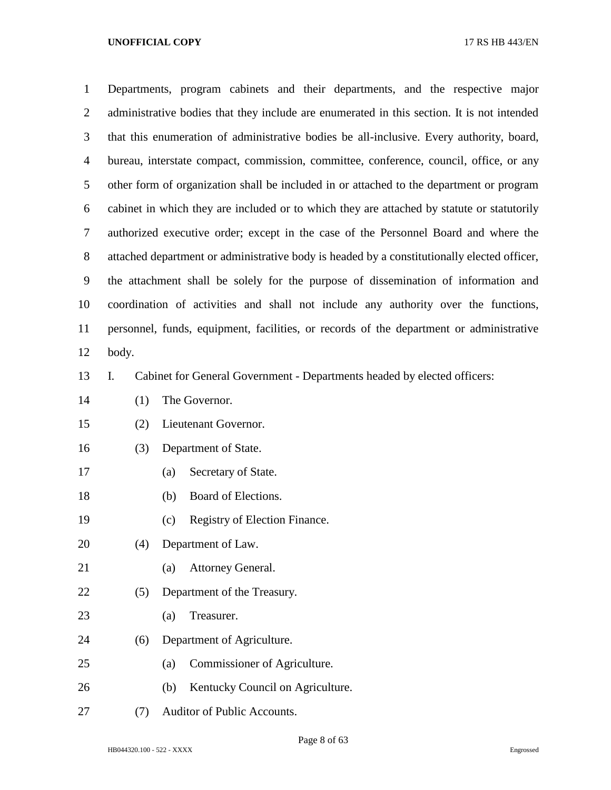| $\mathbf{1}$   |                                                                                          | Departments, program cabinets and their departments, and the respective major               |  |  |  |  |  |  |  |  |  |
|----------------|------------------------------------------------------------------------------------------|---------------------------------------------------------------------------------------------|--|--|--|--|--|--|--|--|--|
| $\overline{2}$ |                                                                                          | administrative bodies that they include are enumerated in this section. It is not intended  |  |  |  |  |  |  |  |  |  |
| 3              | that this enumeration of administrative bodies be all-inclusive. Every authority, board, |                                                                                             |  |  |  |  |  |  |  |  |  |
| $\overline{4}$ |                                                                                          | bureau, interstate compact, commission, committee, conference, council, office, or any      |  |  |  |  |  |  |  |  |  |
| 5              |                                                                                          | other form of organization shall be included in or attached to the department or program    |  |  |  |  |  |  |  |  |  |
| 6              |                                                                                          | cabinet in which they are included or to which they are attached by statute or statutorily  |  |  |  |  |  |  |  |  |  |
| $\tau$         |                                                                                          | authorized executive order; except in the case of the Personnel Board and where the         |  |  |  |  |  |  |  |  |  |
| $8\,$          |                                                                                          | attached department or administrative body is headed by a constitutionally elected officer, |  |  |  |  |  |  |  |  |  |
| 9              |                                                                                          | the attachment shall be solely for the purpose of dissemination of information and          |  |  |  |  |  |  |  |  |  |
| 10             |                                                                                          | coordination of activities and shall not include any authority over the functions,          |  |  |  |  |  |  |  |  |  |
| 11             |                                                                                          | personnel, funds, equipment, facilities, or records of the department or administrative     |  |  |  |  |  |  |  |  |  |
| 12             | body.                                                                                    |                                                                                             |  |  |  |  |  |  |  |  |  |
| 13             | I.                                                                                       | Cabinet for General Government - Departments headed by elected officers:                    |  |  |  |  |  |  |  |  |  |
| 14             | (1)                                                                                      | The Governor.                                                                               |  |  |  |  |  |  |  |  |  |
| 15             | (2)                                                                                      | Lieutenant Governor.                                                                        |  |  |  |  |  |  |  |  |  |
| 16             | (3)                                                                                      | Department of State.                                                                        |  |  |  |  |  |  |  |  |  |
| 17             |                                                                                          | Secretary of State.<br>(a)                                                                  |  |  |  |  |  |  |  |  |  |
| 18             |                                                                                          | Board of Elections.<br>(b)                                                                  |  |  |  |  |  |  |  |  |  |
| 19             |                                                                                          | Registry of Election Finance.<br>(c)                                                        |  |  |  |  |  |  |  |  |  |
| 20             | (4)                                                                                      | Department of Law.                                                                          |  |  |  |  |  |  |  |  |  |
| 21             |                                                                                          | <b>Attorney General.</b><br>(a)                                                             |  |  |  |  |  |  |  |  |  |
| 22             | (5)                                                                                      | Department of the Treasury.                                                                 |  |  |  |  |  |  |  |  |  |
| 23             |                                                                                          | Treasurer.<br>(a)                                                                           |  |  |  |  |  |  |  |  |  |
| 24             | (6)                                                                                      | Department of Agriculture.                                                                  |  |  |  |  |  |  |  |  |  |
| 25             |                                                                                          | Commissioner of Agriculture.<br>(a)                                                         |  |  |  |  |  |  |  |  |  |
| 26             |                                                                                          | Kentucky Council on Agriculture.<br>(b)                                                     |  |  |  |  |  |  |  |  |  |
| 27             | (7)                                                                                      | Auditor of Public Accounts.                                                                 |  |  |  |  |  |  |  |  |  |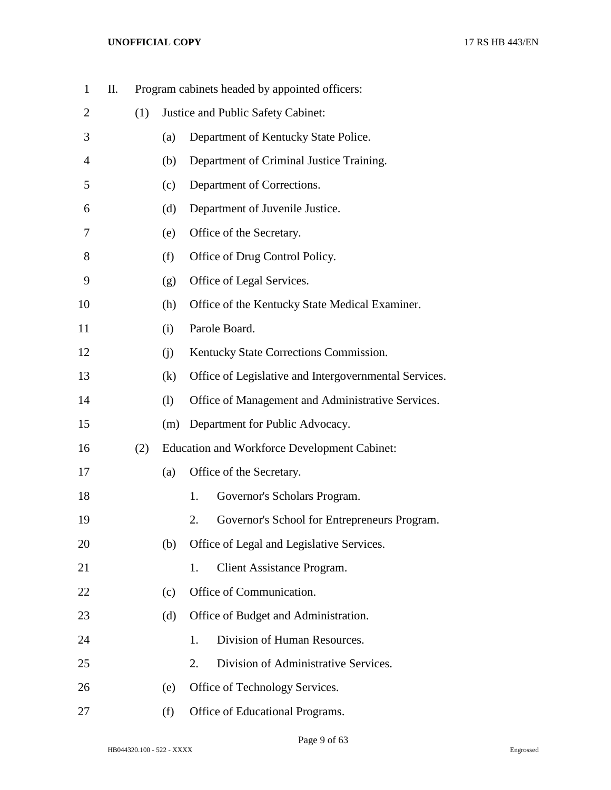| $\mathbf{1}$ | П. |     |     |                                    | Program cabinets headed by appointed officers:        |  |  |  |
|--------------|----|-----|-----|------------------------------------|-------------------------------------------------------|--|--|--|
| 2            |    | (1) |     | Justice and Public Safety Cabinet: |                                                       |  |  |  |
| 3            |    |     | (a) |                                    | Department of Kentucky State Police.                  |  |  |  |
| 4            |    |     | (b) |                                    | Department of Criminal Justice Training.              |  |  |  |
| 5            |    |     | (c) |                                    | Department of Corrections.                            |  |  |  |
| 6            |    |     | (d) |                                    | Department of Juvenile Justice.                       |  |  |  |
| 7            |    |     | (e) |                                    | Office of the Secretary.                              |  |  |  |
| 8            |    |     | (f) |                                    | Office of Drug Control Policy.                        |  |  |  |
| 9            |    |     | (g) |                                    | Office of Legal Services.                             |  |  |  |
| 10           |    |     | (h) |                                    | Office of the Kentucky State Medical Examiner.        |  |  |  |
| 11           |    |     | (i) |                                    | Parole Board.                                         |  |  |  |
| 12           |    |     | (j) |                                    | Kentucky State Corrections Commission.                |  |  |  |
| 13           |    |     | (k) |                                    | Office of Legislative and Intergovernmental Services. |  |  |  |
| 14           |    |     | (1) |                                    | Office of Management and Administrative Services.     |  |  |  |
| 15           |    |     | (m) |                                    | Department for Public Advocacy.                       |  |  |  |
| 16           |    | (2) |     |                                    | <b>Education and Workforce Development Cabinet:</b>   |  |  |  |
| 17           |    |     | (a) |                                    | Office of the Secretary.                              |  |  |  |
| 18           |    |     |     | 1.                                 | Governor's Scholars Program.                          |  |  |  |
| 19           |    |     |     | 2.                                 | Governor's School for Entrepreneurs Program.          |  |  |  |
| 20           |    |     | (b) |                                    | Office of Legal and Legislative Services.             |  |  |  |
| 21           |    |     |     | 1.                                 | Client Assistance Program.                            |  |  |  |
| 22           |    |     | (c) |                                    | Office of Communication.                              |  |  |  |
| 23           |    |     | (d) |                                    | Office of Budget and Administration.                  |  |  |  |
| 24           |    |     |     | 1.                                 | Division of Human Resources.                          |  |  |  |
| 25           |    |     |     | 2.                                 | Division of Administrative Services.                  |  |  |  |
| 26           |    |     | (e) |                                    | Office of Technology Services.                        |  |  |  |
| 27           |    |     | (f) |                                    | Office of Educational Programs.                       |  |  |  |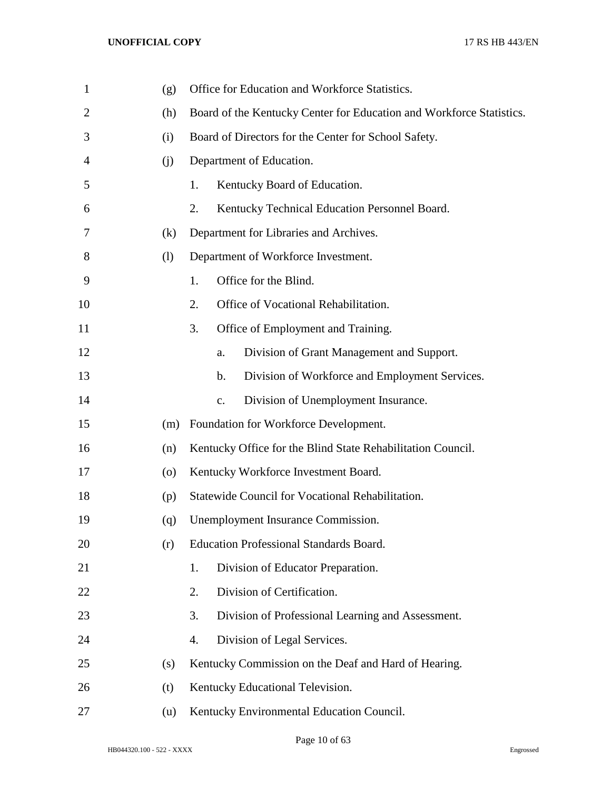| $\mathbf{1}$   | (g)                | Office for Education and Workforce Statistics.                       |  |  |  |  |
|----------------|--------------------|----------------------------------------------------------------------|--|--|--|--|
| $\overline{2}$ | (h)                | Board of the Kentucky Center for Education and Workforce Statistics. |  |  |  |  |
| 3              | (i)                | Board of Directors for the Center for School Safety.                 |  |  |  |  |
| 4              | (i)                | Department of Education.                                             |  |  |  |  |
| 5              |                    | 1.<br>Kentucky Board of Education.                                   |  |  |  |  |
| 6              |                    | 2.<br>Kentucky Technical Education Personnel Board.                  |  |  |  |  |
| 7              | (k)                | Department for Libraries and Archives.                               |  |  |  |  |
| 8              | (1)                | Department of Workforce Investment.                                  |  |  |  |  |
| 9              |                    | Office for the Blind.<br>1.                                          |  |  |  |  |
| 10             |                    | 2.<br>Office of Vocational Rehabilitation.                           |  |  |  |  |
| 11             |                    | 3.<br>Office of Employment and Training.                             |  |  |  |  |
| 12             |                    | Division of Grant Management and Support.<br>a.                      |  |  |  |  |
| 13             |                    | Division of Workforce and Employment Services.<br>b.                 |  |  |  |  |
| 14             |                    | Division of Unemployment Insurance.<br>$\mathbf{c}$ .                |  |  |  |  |
| 15             | (m)                | Foundation for Workforce Development.                                |  |  |  |  |
| 16             | (n)                | Kentucky Office for the Blind State Rehabilitation Council.          |  |  |  |  |
| 17             | $\left( 0 \right)$ | Kentucky Workforce Investment Board.                                 |  |  |  |  |
| 18             | (p)                | Statewide Council for Vocational Rehabilitation.                     |  |  |  |  |
| 19             | (q)                | Unemployment Insurance Commission.                                   |  |  |  |  |
| 20             | (r)                | <b>Education Professional Standards Board.</b>                       |  |  |  |  |
| 21             |                    | Division of Educator Preparation.<br>1.                              |  |  |  |  |
| 22             |                    | Division of Certification.<br>2.                                     |  |  |  |  |
| 23             |                    | 3.<br>Division of Professional Learning and Assessment.              |  |  |  |  |
| 24             |                    | Division of Legal Services.<br>4.                                    |  |  |  |  |
| 25             | (s)                | Kentucky Commission on the Deaf and Hard of Hearing.                 |  |  |  |  |
| 26             | (t)                | Kentucky Educational Television.                                     |  |  |  |  |
| 27             | (u)                | Kentucky Environmental Education Council.                            |  |  |  |  |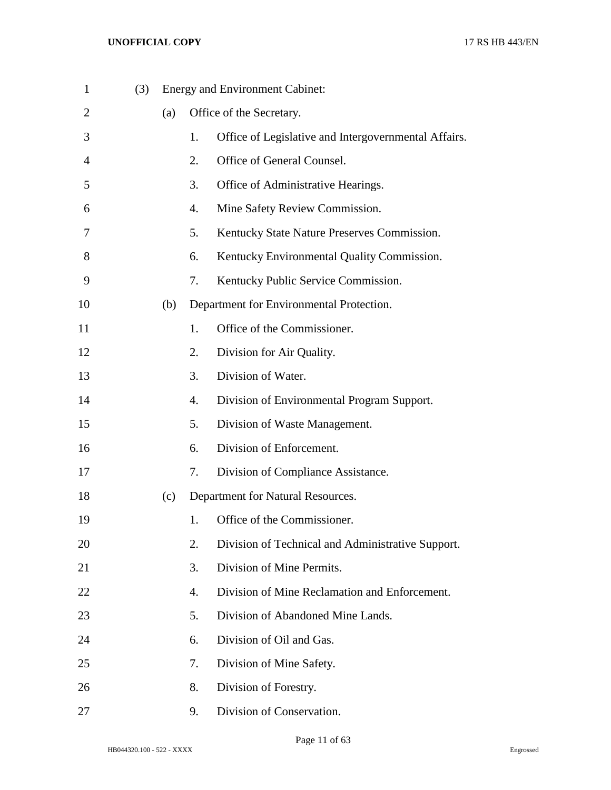| $\mathbf{1}$   | (3) |     |    | <b>Energy and Environment Cabinet:</b>               |
|----------------|-----|-----|----|------------------------------------------------------|
| $\overline{2}$ |     | (a) |    | Office of the Secretary.                             |
| 3              |     |     | 1. | Office of Legislative and Intergovernmental Affairs. |
| $\overline{4}$ |     |     | 2. | Office of General Counsel.                           |
| 5              |     |     | 3. | Office of Administrative Hearings.                   |
| 6              |     |     | 4. | Mine Safety Review Commission.                       |
| 7              |     |     | 5. | Kentucky State Nature Preserves Commission.          |
| 8              |     |     | 6. | Kentucky Environmental Quality Commission.           |
| 9              |     |     | 7. | Kentucky Public Service Commission.                  |
| 10             |     | (b) |    | Department for Environmental Protection.             |
| 11             |     |     | 1. | Office of the Commissioner.                          |
| 12             |     |     | 2. | Division for Air Quality.                            |
| 13             |     |     | 3. | Division of Water.                                   |
| 14             |     |     | 4. | Division of Environmental Program Support.           |
| 15             |     |     | 5. | Division of Waste Management.                        |
| 16             |     |     | 6. | Division of Enforcement.                             |
| 17             |     |     | 7. | Division of Compliance Assistance.                   |
| 18             |     | (c) |    | Department for Natural Resources.                    |
| 19             |     |     | 1. | Office of the Commissioner.                          |
| 20             |     |     | 2. | Division of Technical and Administrative Support.    |
| 21             |     |     | 3. | Division of Mine Permits.                            |
| 22             |     |     | 4. | Division of Mine Reclamation and Enforcement.        |
| 23             |     |     | 5. | Division of Abandoned Mine Lands.                    |
| 24             |     |     | 6. | Division of Oil and Gas.                             |
| 25             |     |     | 7. | Division of Mine Safety.                             |
| 26             |     |     | 8. | Division of Forestry.                                |
| 27             |     |     | 9. | Division of Conservation.                            |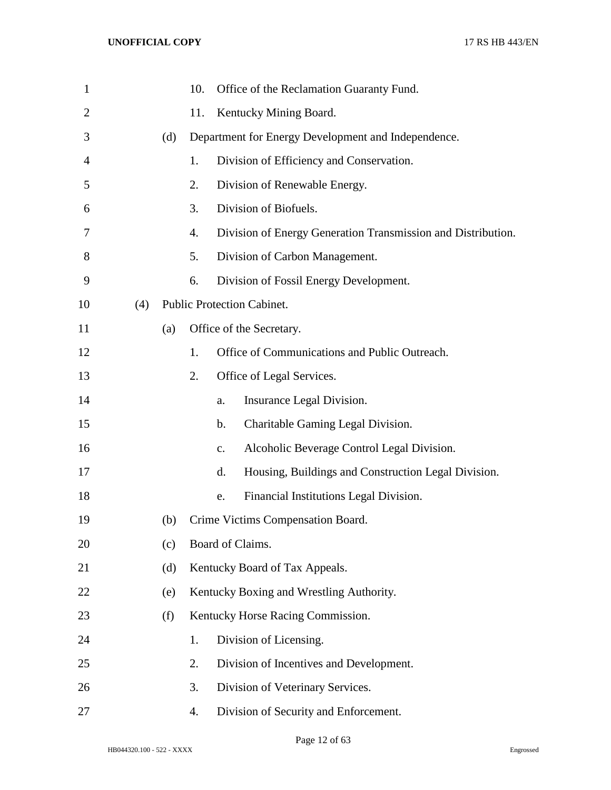| $\mathbf{1}$   |     |     | 10. |    | Office of the Reclamation Guaranty Fund.                     |
|----------------|-----|-----|-----|----|--------------------------------------------------------------|
| $\overline{2}$ |     |     | 11. |    | Kentucky Mining Board.                                       |
| 3              |     | (d) |     |    | Department for Energy Development and Independence.          |
| 4              |     |     | 1.  |    | Division of Efficiency and Conservation.                     |
| 5              |     |     | 2.  |    | Division of Renewable Energy.                                |
| 6              |     |     | 3.  |    | Division of Biofuels.                                        |
| 7              |     |     | 4.  |    | Division of Energy Generation Transmission and Distribution. |
| 8              |     |     | 5.  |    | Division of Carbon Management.                               |
| 9              |     |     | 6.  |    | Division of Fossil Energy Development.                       |
| 10             | (4) |     |     |    | Public Protection Cabinet.                                   |
| 11             |     | (a) |     |    | Office of the Secretary.                                     |
| 12             |     |     | 1.  |    | Office of Communications and Public Outreach.                |
| 13             |     |     | 2.  |    | Office of Legal Services.                                    |
| 14             |     |     |     | a. | Insurance Legal Division.                                    |
| 15             |     |     |     | b. | Charitable Gaming Legal Division.                            |
| 16             |     |     |     | C. | Alcoholic Beverage Control Legal Division.                   |
| 17             |     |     |     | d. | Housing, Buildings and Construction Legal Division.          |
| 18             |     |     |     | e. | Financial Institutions Legal Division.                       |
| 19             |     | (b) |     |    | Crime Victims Compensation Board.                            |
| 20             |     | (c) |     |    | Board of Claims.                                             |
| 21             |     | (d) |     |    | Kentucky Board of Tax Appeals.                               |
| 22             |     | (e) |     |    | Kentucky Boxing and Wrestling Authority.                     |
| 23             |     | (f) |     |    | Kentucky Horse Racing Commission.                            |
| 24             |     |     | 1.  |    | Division of Licensing.                                       |
| 25             |     |     | 2.  |    | Division of Incentives and Development.                      |
| 26             |     |     | 3.  |    | Division of Veterinary Services.                             |
| 27             |     |     | 4.  |    | Division of Security and Enforcement.                        |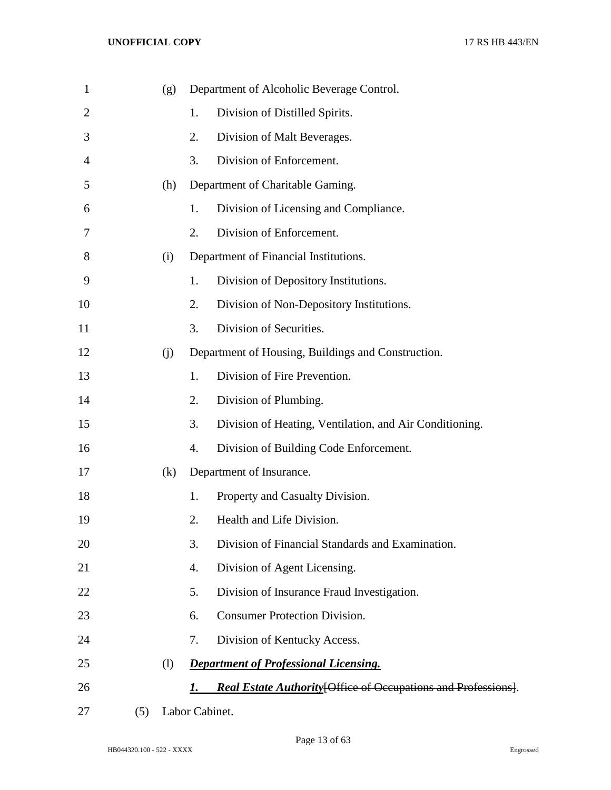| 1              |     | (g) |                | Department of Alcoholic Beverage Control.                      |
|----------------|-----|-----|----------------|----------------------------------------------------------------|
| $\overline{2}$ |     |     | 1.             | Division of Distilled Spirits.                                 |
| 3              |     |     | 2.             | Division of Malt Beverages.                                    |
| $\overline{4}$ |     |     | 3.             | Division of Enforcement.                                       |
| 5              |     | (h) |                | Department of Charitable Gaming.                               |
| 6              |     |     | 1.             | Division of Licensing and Compliance.                          |
| 7              |     |     | 2.             | Division of Enforcement.                                       |
| 8              |     | (i) |                | Department of Financial Institutions.                          |
| 9              |     |     | 1.             | Division of Depository Institutions.                           |
| 10             |     |     | 2.             | Division of Non-Depository Institutions.                       |
| 11             |     |     | 3.             | Division of Securities.                                        |
| 12             |     | (i) |                | Department of Housing, Buildings and Construction.             |
| 13             |     |     | 1.             | Division of Fire Prevention.                                   |
| 14             |     |     | 2.             | Division of Plumbing.                                          |
| 15             |     |     | 3.             | Division of Heating, Ventilation, and Air Conditioning.        |
| 16             |     |     | 4.             | Division of Building Code Enforcement.                         |
| 17             |     | (k) |                | Department of Insurance.                                       |
| 18             |     |     | 1.             | Property and Casualty Division.                                |
| 19             |     |     | 2.             | Health and Life Division.                                      |
| 20             |     |     | 3.             | Division of Financial Standards and Examination.               |
| 21             |     |     | 4.             | Division of Agent Licensing.                                   |
| 22             |     |     | 5.             | Division of Insurance Fraud Investigation.                     |
| 23             |     |     | 6.             | <b>Consumer Protection Division.</b>                           |
| 24             |     |     | 7.             | Division of Kentucky Access.                                   |
| 25             |     | (1) |                | <b>Department of Professional Licensing.</b>                   |
| 26             |     |     | 1.             | Real Estate Authority [Office of Occupations and Professions]. |
| 27             | (5) |     | Labor Cabinet. |                                                                |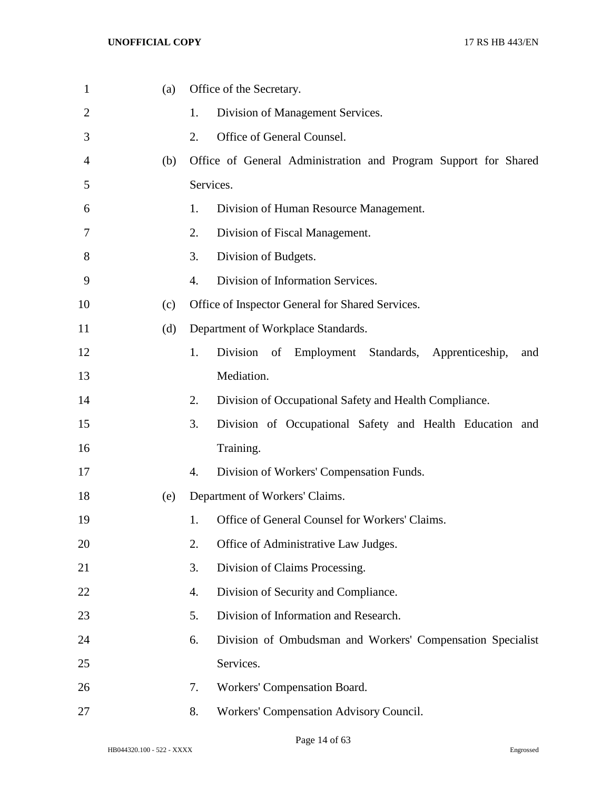| $\mathbf{1}$ | (a) | Office of the Secretary.                                         |
|--------------|-----|------------------------------------------------------------------|
| 2            |     | Division of Management Services.<br>1.                           |
| 3            |     | Office of General Counsel.<br>2.                                 |
| 4            | (b) | Office of General Administration and Program Support for Shared  |
| 5            |     | Services.                                                        |
| 6            |     | 1.<br>Division of Human Resource Management.                     |
| 7            |     | 2.<br>Division of Fiscal Management.                             |
| 8            |     | 3.<br>Division of Budgets.                                       |
| 9            |     | Division of Information Services.<br>4.                          |
| 10           | (c) | Office of Inspector General for Shared Services.                 |
| 11           | (d) | Department of Workplace Standards.                               |
| 12           |     | Division of Employment Standards, Apprenticeship,<br>1.<br>and   |
| 13           |     | Mediation.                                                       |
| 14           |     | 2.<br>Division of Occupational Safety and Health Compliance.     |
| 15           |     | 3.<br>Division of Occupational Safety and Health Education and   |
| 16           |     | Training.                                                        |
| 17           |     | Division of Workers' Compensation Funds.<br>4.                   |
| 18           | (e) | Department of Workers' Claims.                                   |
| 19           |     | Office of General Counsel for Workers' Claims.<br>1.             |
| 20           |     | Office of Administrative Law Judges.<br>2.                       |
| 21           |     | Division of Claims Processing.<br>3.                             |
| 22           |     | 4.<br>Division of Security and Compliance.                       |
| 23           |     | Division of Information and Research.<br>5.                      |
| 24           |     | Division of Ombudsman and Workers' Compensation Specialist<br>6. |
| 25           |     | Services.                                                        |
| 26           |     | Workers' Compensation Board.<br>7.                               |
| 27           |     | 8.<br>Workers' Compensation Advisory Council.                    |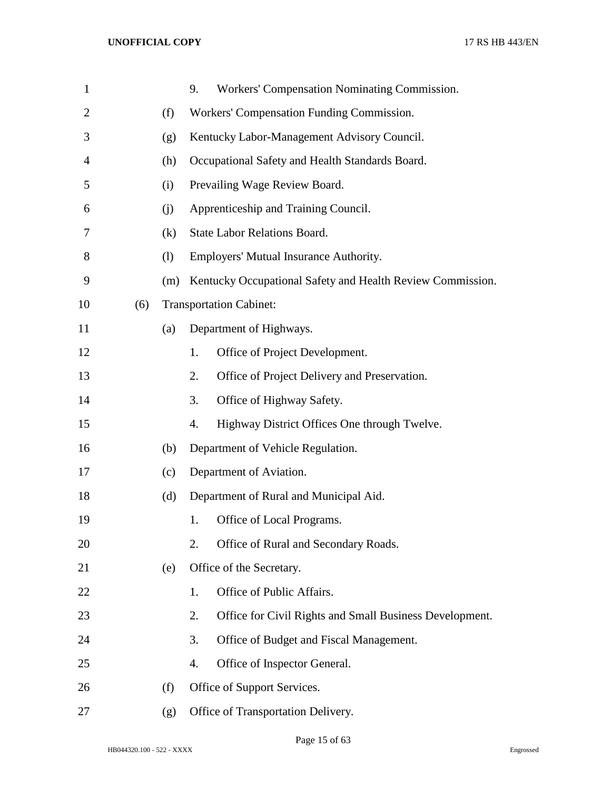| $\mathbf{1}$   |     |     | Workers' Compensation Nominating Commission.<br>9.            |  |  |
|----------------|-----|-----|---------------------------------------------------------------|--|--|
| $\overline{2}$ |     | (f) | Workers' Compensation Funding Commission.                     |  |  |
| 3              |     | (g) | Kentucky Labor-Management Advisory Council.                   |  |  |
| 4              |     | (h) | Occupational Safety and Health Standards Board.               |  |  |
| 5              |     | (i) | Prevailing Wage Review Board.                                 |  |  |
| 6              |     | (i) | Apprenticeship and Training Council.                          |  |  |
| 7              |     | (k) | State Labor Relations Board.                                  |  |  |
| 8              |     | (1) | Employers' Mutual Insurance Authority.                        |  |  |
| 9              |     | (m) | Kentucky Occupational Safety and Health Review Commission.    |  |  |
| 10             | (6) |     | <b>Transportation Cabinet:</b>                                |  |  |
| 11             |     | (a) | Department of Highways.                                       |  |  |
| 12             |     |     | Office of Project Development.<br>1.                          |  |  |
| 13             |     |     | Office of Project Delivery and Preservation.<br>2.            |  |  |
| 14             |     |     | Office of Highway Safety.<br>3.                               |  |  |
| 15             |     |     | Highway District Offices One through Twelve.<br>4.            |  |  |
| 16             |     | (b) | Department of Vehicle Regulation.                             |  |  |
| 17             |     | (c) | Department of Aviation.                                       |  |  |
| 18             |     | (d) | Department of Rural and Municipal Aid.                        |  |  |
| 19             |     |     | Office of Local Programs.<br>1.                               |  |  |
| 20             |     |     | Office of Rural and Secondary Roads.<br>2.                    |  |  |
| 21             |     | (e) | Office of the Secretary.                                      |  |  |
| 22             |     |     | Office of Public Affairs.<br>1.                               |  |  |
| 23             |     |     | Office for Civil Rights and Small Business Development.<br>2. |  |  |
| 24             |     |     | 3.<br>Office of Budget and Fiscal Management.                 |  |  |
| 25             |     |     | 4.<br>Office of Inspector General.                            |  |  |
| 26             |     | (f) | Office of Support Services.                                   |  |  |
| 27             |     | (g) | Office of Transportation Delivery.                            |  |  |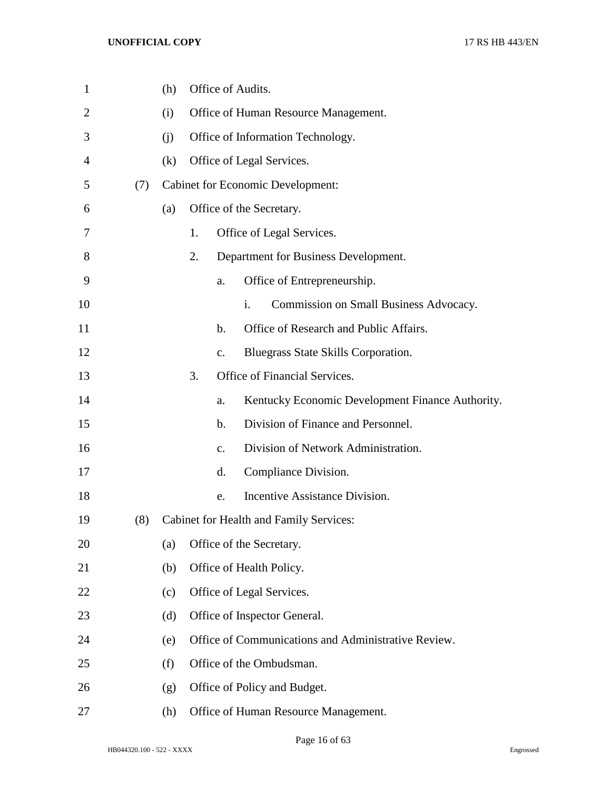| $\mathbf{1}$   |     | (h) |    |               | Office of Audits.                                   |
|----------------|-----|-----|----|---------------|-----------------------------------------------------|
| $\overline{2}$ |     | (i) |    |               | Office of Human Resource Management.                |
| 3              |     | (i) |    |               | Office of Information Technology.                   |
| 4              |     | (k) |    |               | Office of Legal Services.                           |
| 5              | (7) |     |    |               | <b>Cabinet for Economic Development:</b>            |
| 6              |     | (a) |    |               | Office of the Secretary.                            |
| 7              |     |     | 1. |               | Office of Legal Services.                           |
| 8              |     |     | 2. |               | Department for Business Development.                |
| 9              |     |     |    | a.            | Office of Entrepreneurship.                         |
| 10             |     |     |    |               | i.<br>Commission on Small Business Advocacy.        |
| 11             |     |     |    | $\mathbf b$ . | Office of Research and Public Affairs.              |
| 12             |     |     |    | c.            | Bluegrass State Skills Corporation.                 |
| 13             |     |     | 3. |               | Office of Financial Services.                       |
| 14             |     |     |    | a.            | Kentucky Economic Development Finance Authority.    |
| 15             |     |     |    | $\mathbf b$ . | Division of Finance and Personnel.                  |
| 16             |     |     |    | $C_{\bullet}$ | Division of Network Administration.                 |
| 17             |     |     |    | d.            | Compliance Division.                                |
| 18             |     |     |    | e.            | Incentive Assistance Division.                      |
| 19             | (8) |     |    |               | Cabinet for Health and Family Services:             |
| 20             |     | (a) |    |               | Office of the Secretary.                            |
| 21             |     | (b) |    |               | Office of Health Policy.                            |
| 22             |     | (c) |    |               | Office of Legal Services.                           |
| 23             |     | (d) |    |               | Office of Inspector General.                        |
| 24             |     | (e) |    |               | Office of Communications and Administrative Review. |
| 25             |     | (f) |    |               | Office of the Ombudsman.                            |
| 26             |     | (g) |    |               | Office of Policy and Budget.                        |
| 27             |     | (h) |    |               | Office of Human Resource Management.                |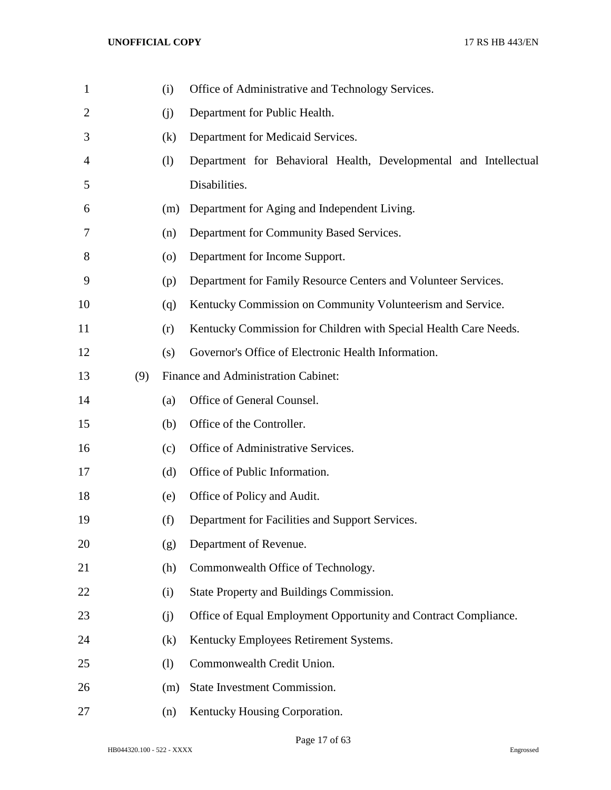| 1  |     | (i)                | Office of Administrative and Technology Services.                |
|----|-----|--------------------|------------------------------------------------------------------|
| 2  |     | (i)                | Department for Public Health.                                    |
| 3  |     | (k)                | Department for Medicaid Services.                                |
| 4  |     | (1)                | Department for Behavioral Health, Developmental and Intellectual |
| 5  |     |                    | Disabilities.                                                    |
| 6  |     | (m)                | Department for Aging and Independent Living.                     |
| 7  |     | (n)                | Department for Community Based Services.                         |
| 8  |     | $\left( 0 \right)$ | Department for Income Support.                                   |
| 9  |     | (p)                | Department for Family Resource Centers and Volunteer Services.   |
| 10 |     | (q)                | Kentucky Commission on Community Volunteerism and Service.       |
| 11 |     | (r)                | Kentucky Commission for Children with Special Health Care Needs. |
| 12 |     | (s)                | Governor's Office of Electronic Health Information.              |
| 13 | (9) |                    | Finance and Administration Cabinet:                              |
| 14 |     | (a)                | Office of General Counsel.                                       |
| 15 |     | (b)                | Office of the Controller.                                        |
| 16 |     | (c)                | Office of Administrative Services.                               |
| 17 |     | (d)                | Office of Public Information.                                    |
| 18 |     | (e)                | Office of Policy and Audit.                                      |
| 19 |     | (f)                | Department for Facilities and Support Services.                  |
| 20 |     | (g)                | Department of Revenue.                                           |
| 21 |     | (h)                | Commonwealth Office of Technology.                               |
| 22 |     | (i)                | State Property and Buildings Commission.                         |
| 23 |     | (j)                | Office of Equal Employment Opportunity and Contract Compliance.  |
| 24 |     | (k)                | Kentucky Employees Retirement Systems.                           |
| 25 |     | (1)                | Commonwealth Credit Union.                                       |
| 26 |     | (m)                | State Investment Commission.                                     |
| 27 |     | (n)                | Kentucky Housing Corporation.                                    |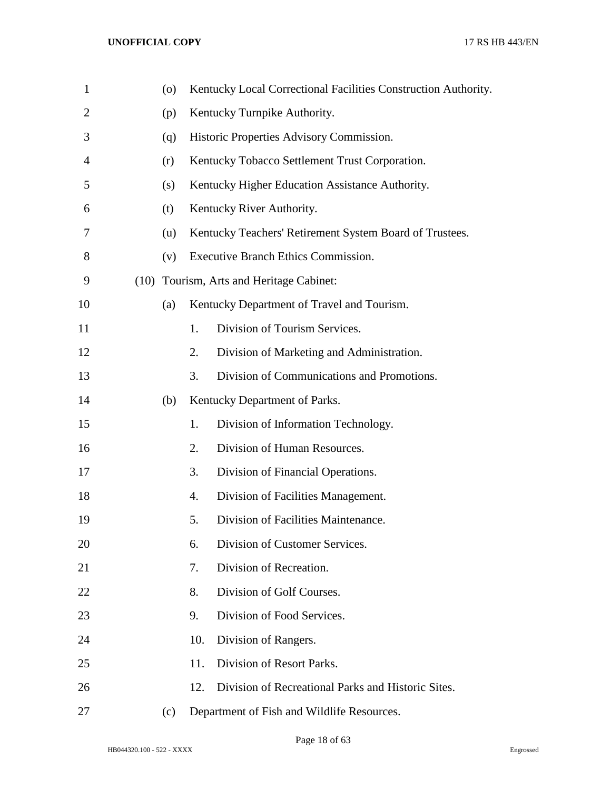| $\mathbf{1}$   | (0) |     | Kentucky Local Correctional Facilities Construction Authority. |
|----------------|-----|-----|----------------------------------------------------------------|
| $\overline{2}$ | (p) |     | Kentucky Turnpike Authority.                                   |
| 3              | (q) |     | Historic Properties Advisory Commission.                       |
| 4              | (r) |     | Kentucky Tobacco Settlement Trust Corporation.                 |
| 5              | (s) |     | Kentucky Higher Education Assistance Authority.                |
| 6              | (t) |     | Kentucky River Authority.                                      |
| 7              | (u) |     | Kentucky Teachers' Retirement System Board of Trustees.        |
| 8              | (v) |     | Executive Branch Ethics Commission.                            |
| 9              |     |     | (10) Tourism, Arts and Heritage Cabinet:                       |
| 10             | (a) |     | Kentucky Department of Travel and Tourism.                     |
| 11             |     | 1.  | Division of Tourism Services.                                  |
| 12             |     | 2.  | Division of Marketing and Administration.                      |
| 13             |     | 3.  | Division of Communications and Promotions.                     |
| 14             | (b) |     | Kentucky Department of Parks.                                  |
| 15             |     | 1.  | Division of Information Technology.                            |
| 16             |     | 2.  | Division of Human Resources.                                   |
| 17             |     | 3.  | Division of Financial Operations.                              |
| 18             |     | 4.  | Division of Facilities Management.                             |
| 19             |     | 5.  | Division of Facilities Maintenance.                            |
| 20             |     | 6.  | Division of Customer Services.                                 |
| 21             |     | 7.  | Division of Recreation.                                        |
| 22             |     | 8.  | Division of Golf Courses.                                      |
| 23             |     | 9.  | Division of Food Services.                                     |
| 24             |     | 10. | Division of Rangers.                                           |
| 25             |     | 11. | Division of Resort Parks.                                      |
| 26             |     | 12. | Division of Recreational Parks and Historic Sites.             |
| 27             | (c) |     | Department of Fish and Wildlife Resources.                     |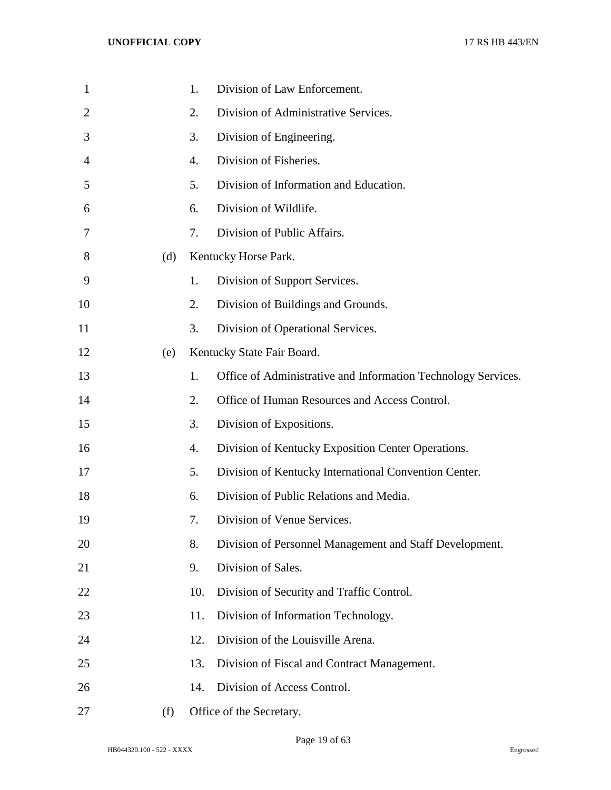| $\mathbf{1}$ |     | 1.  | Division of Law Enforcement.                                  |
|--------------|-----|-----|---------------------------------------------------------------|
| 2            |     | 2.  | Division of Administrative Services.                          |
| 3            |     | 3.  | Division of Engineering.                                      |
| 4            |     | 4.  | Division of Fisheries.                                        |
| 5            |     | 5.  | Division of Information and Education.                        |
| 6            |     | 6.  | Division of Wildlife.                                         |
| 7            |     | 7.  | Division of Public Affairs.                                   |
| 8            | (d) |     | Kentucky Horse Park.                                          |
| 9            |     | 1.  | Division of Support Services.                                 |
| 10           |     | 2.  | Division of Buildings and Grounds.                            |
| 11           |     | 3.  | Division of Operational Services.                             |
| 12           | (e) |     | Kentucky State Fair Board.                                    |
| 13           |     | 1.  | Office of Administrative and Information Technology Services. |
| 14           |     | 2.  | Office of Human Resources and Access Control.                 |
| 15           |     | 3.  | Division of Expositions.                                      |
| 16           |     | 4.  | Division of Kentucky Exposition Center Operations.            |
| 17           |     | 5.  | Division of Kentucky International Convention Center.         |
| 18           |     | 6.  | Division of Public Relations and Media.                       |
| 19           |     | 7.  | Division of Venue Services.                                   |
| 20           |     | 8.  | Division of Personnel Management and Staff Development.       |
| 21           |     | 9.  | Division of Sales.                                            |
| 22           |     | 10. | Division of Security and Traffic Control.                     |
| 23           |     | 11. | Division of Information Technology.                           |
| 24           |     | 12. | Division of the Louisville Arena.                             |
| 25           |     | 13. | Division of Fiscal and Contract Management.                   |
| 26           |     | 14. | Division of Access Control.                                   |
| 27           | (f) |     | Office of the Secretary.                                      |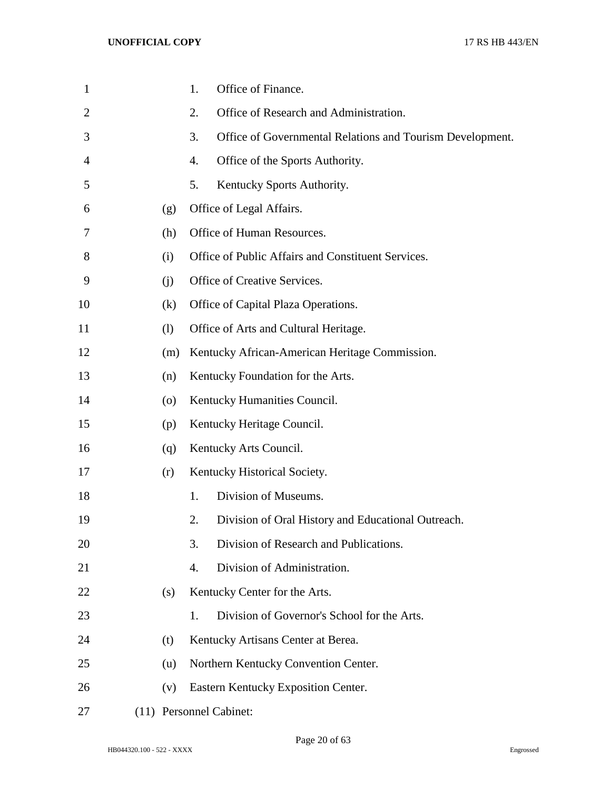| 1              |                    | Office of Finance.<br>1.                                        |
|----------------|--------------------|-----------------------------------------------------------------|
| $\overline{2}$ |                    | Office of Research and Administration.<br>2.                    |
| 3              |                    | 3.<br>Office of Governmental Relations and Tourism Development. |
| 4              |                    | 4.<br>Office of the Sports Authority.                           |
| 5              |                    | 5.<br>Kentucky Sports Authority.                                |
| 6              | (g)                | Office of Legal Affairs.                                        |
| 7              | (h)                | Office of Human Resources.                                      |
| 8              | (i)                | Office of Public Affairs and Constituent Services.              |
| 9              | (i)                | Office of Creative Services.                                    |
| 10             | (k)                | Office of Capital Plaza Operations.                             |
| 11             | (1)                | Office of Arts and Cultural Heritage.                           |
| 12             | (m)                | Kentucky African-American Heritage Commission.                  |
| 13             | (n)                | Kentucky Foundation for the Arts.                               |
| 14             | $\left( 0 \right)$ | Kentucky Humanities Council.                                    |
| 15             | (p)                | Kentucky Heritage Council.                                      |
| 16             | (q)                | Kentucky Arts Council.                                          |
| 17             | (r)                | Kentucky Historical Society.                                    |
| 18             |                    | Division of Museums.<br>1.                                      |
| 19             |                    | 2.<br>Division of Oral History and Educational Outreach.        |
| 20             |                    | Division of Research and Publications.<br>3.                    |
| 21             |                    | Division of Administration.<br>4.                               |
| 22             | (s)                | Kentucky Center for the Arts.                                   |
| 23             |                    | Division of Governor's School for the Arts.<br>1.               |
| 24             | (t)                | Kentucky Artisans Center at Berea.                              |
| 25             | (u)                | Northern Kentucky Convention Center.                            |
| 26             | (v)                | Eastern Kentucky Exposition Center.                             |
| 27             |                    | (11) Personnel Cabinet:                                         |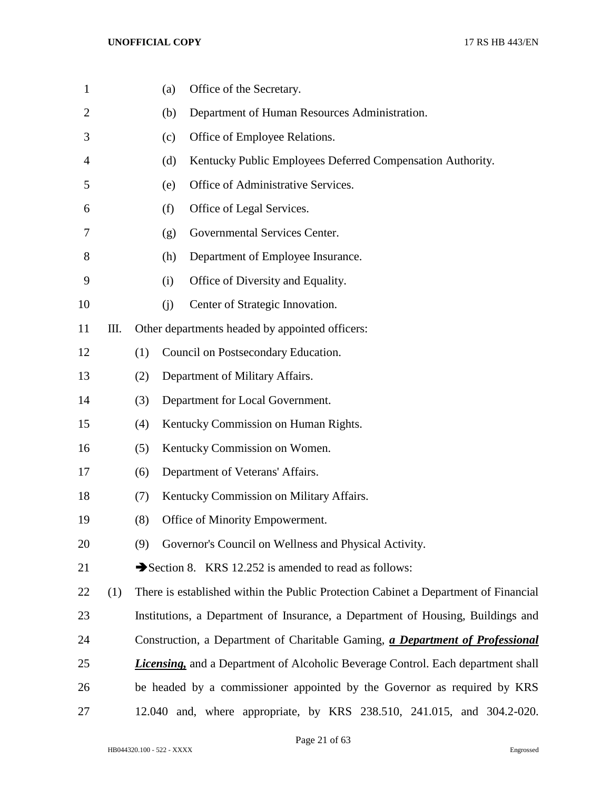| $\mathbf{1}$   |     |     | Office of the Secretary.<br>(a)                                                         |
|----------------|-----|-----|-----------------------------------------------------------------------------------------|
| $\overline{2}$ |     |     | Department of Human Resources Administration.<br>(b)                                    |
| 3              |     |     | Office of Employee Relations.<br>(c)                                                    |
| 4              |     |     | Kentucky Public Employees Deferred Compensation Authority.<br>(d)                       |
| 5              |     |     | Office of Administrative Services.<br>(e)                                               |
| 6              |     |     | Office of Legal Services.<br>(f)                                                        |
| 7              |     |     | Governmental Services Center.<br>(g)                                                    |
| 8              |     |     | Department of Employee Insurance.<br>(h)                                                |
| 9              |     |     | Office of Diversity and Equality.<br>(i)                                                |
| 10             |     |     | Center of Strategic Innovation.<br>(j)                                                  |
| 11             | Ш.  |     | Other departments headed by appointed officers:                                         |
| 12             |     | (1) | Council on Postsecondary Education.                                                     |
| 13             |     | (2) | Department of Military Affairs.                                                         |
| 14             |     | (3) | Department for Local Government.                                                        |
| 15             |     | (4) | Kentucky Commission on Human Rights.                                                    |
| 16             |     | (5) | Kentucky Commission on Women.                                                           |
| 17             |     | (6) | Department of Veterans' Affairs.                                                        |
| 18             |     | (7) | Kentucky Commission on Military Affairs.                                                |
| 19             |     | (8) | Office of Minority Empowerment.                                                         |
| 20             |     | (9) | Governor's Council on Wellness and Physical Activity.                                   |
| 21             |     |     | Section 8. KRS 12.252 is amended to read as follows:                                    |
| 22             | (1) |     | There is established within the Public Protection Cabinet a Department of Financial     |
| 23             |     |     | Institutions, a Department of Insurance, a Department of Housing, Buildings and         |
| 24             |     |     | Construction, a Department of Charitable Gaming, a Department of Professional           |
| 25             |     |     | <b>Licensing,</b> and a Department of Alcoholic Beverage Control. Each department shall |
| 26             |     |     | be headed by a commissioner appointed by the Governor as required by KRS                |
| 27             |     |     | 12.040 and, where appropriate, by KRS 238.510, 241.015, and 304.2-020.                  |

Page 21 of 63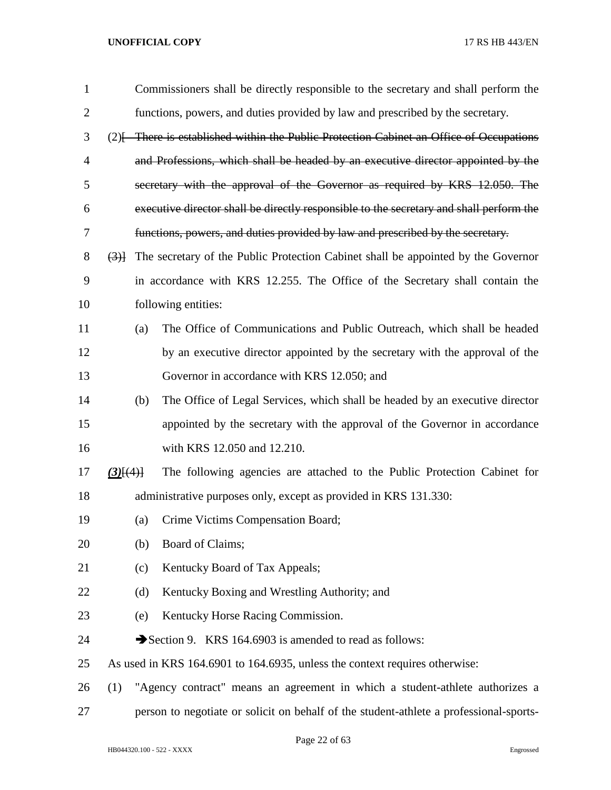| $\mathbf{1}$   |             |     | Commissioners shall be directly responsible to the secretary and shall perform the      |
|----------------|-------------|-----|-----------------------------------------------------------------------------------------|
| $\overline{2}$ |             |     | functions, powers, and duties provided by law and prescribed by the secretary.          |
| 3              |             |     | (2) [There is established within the Public Protection Cabinet an Office of Occupations |
| 4              |             |     | and Professions, which shall be headed by an executive director appointed by the        |
| 5              |             |     | secretary with the approval of the Governor as required by KRS 12.050. The              |
| 6              |             |     | executive director shall be directly responsible to the secretary and shall perform the |
| 7              |             |     | functions, powers, and duties provided by law and prescribed by the secretary.          |
| 8              | (3)         |     | The secretary of the Public Protection Cabinet shall be appointed by the Governor       |
| 9              |             |     | in accordance with KRS 12.255. The Office of the Secretary shall contain the            |
| 10             |             |     | following entities:                                                                     |
| 11             |             | (a) | The Office of Communications and Public Outreach, which shall be headed                 |
| 12             |             |     | by an executive director appointed by the secretary with the approval of the            |
| 13             |             |     | Governor in accordance with KRS 12.050; and                                             |
| 14             |             | (b) | The Office of Legal Services, which shall be headed by an executive director            |
| 15             |             |     | appointed by the secretary with the approval of the Governor in accordance              |
| 16             |             |     | with KRS 12.050 and 12.210.                                                             |
| 17             | $(3)$ $(4)$ |     | The following agencies are attached to the Public Protection Cabinet for                |
| 18             |             |     | administrative purposes only, except as provided in KRS 131.330:                        |
| 19             |             | (a) | Crime Victims Compensation Board;                                                       |
| 20             |             | (b) | Board of Claims;                                                                        |
| 21             |             | (c) | Kentucky Board of Tax Appeals;                                                          |
| 22             |             | (d) | Kentucky Boxing and Wrestling Authority; and                                            |
| 23             |             | (e) | Kentucky Horse Racing Commission.                                                       |
| 24             |             |     | Section 9. KRS 164.6903 is amended to read as follows:                                  |
| 25             |             |     | As used in KRS 164.6901 to 164.6935, unless the context requires otherwise:             |
| 26             | (1)         |     | "Agency contract" means an agreement in which a student-athlete authorizes a            |
| 27             |             |     | person to negotiate or solicit on behalf of the student-athlete a professional-sports-  |

Page 22 of 63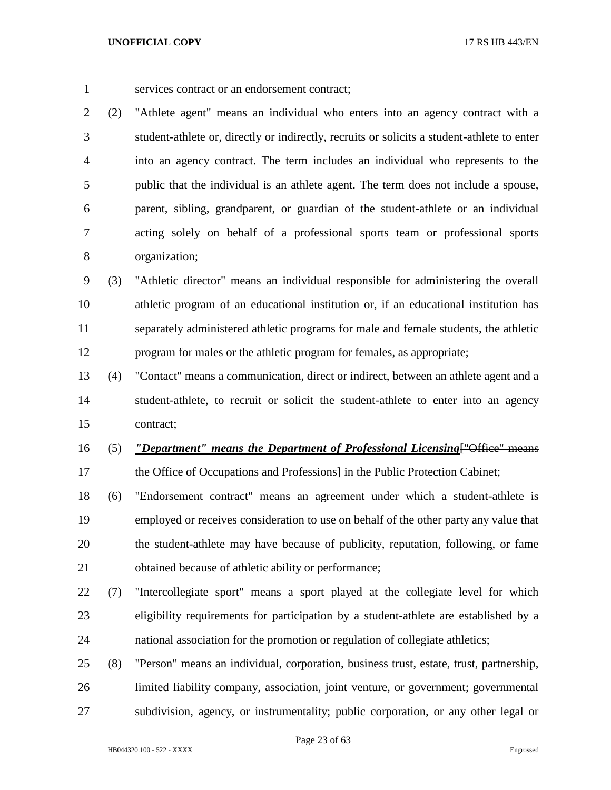services contract or an endorsement contract;

 (2) "Athlete agent" means an individual who enters into an agency contract with a student-athlete or, directly or indirectly, recruits or solicits a student-athlete to enter into an agency contract. The term includes an individual who represents to the public that the individual is an athlete agent. The term does not include a spouse, parent, sibling, grandparent, or guardian of the student-athlete or an individual acting solely on behalf of a professional sports team or professional sports organization;

 (3) "Athletic director" means an individual responsible for administering the overall athletic program of an educational institution or, if an educational institution has separately administered athletic programs for male and female students, the athletic program for males or the athletic program for females, as appropriate;

 (4) "Contact" means a communication, direct or indirect, between an athlete agent and a student-athlete, to recruit or solicit the student-athlete to enter into an agency contract;

- (5) *"Department" means the Department of Professional Licensing*["Office" means 17 the Office of Occupations and Professions in the Public Protection Cabinet;
- (6) "Endorsement contract" means an agreement under which a student-athlete is employed or receives consideration to use on behalf of the other party any value that the student-athlete may have because of publicity, reputation, following, or fame obtained because of athletic ability or performance;
- (7) "Intercollegiate sport" means a sport played at the collegiate level for which eligibility requirements for participation by a student-athlete are established by a national association for the promotion or regulation of collegiate athletics;
- (8) "Person" means an individual, corporation, business trust, estate, trust, partnership, limited liability company, association, joint venture, or government; governmental subdivision, agency, or instrumentality; public corporation, or any other legal or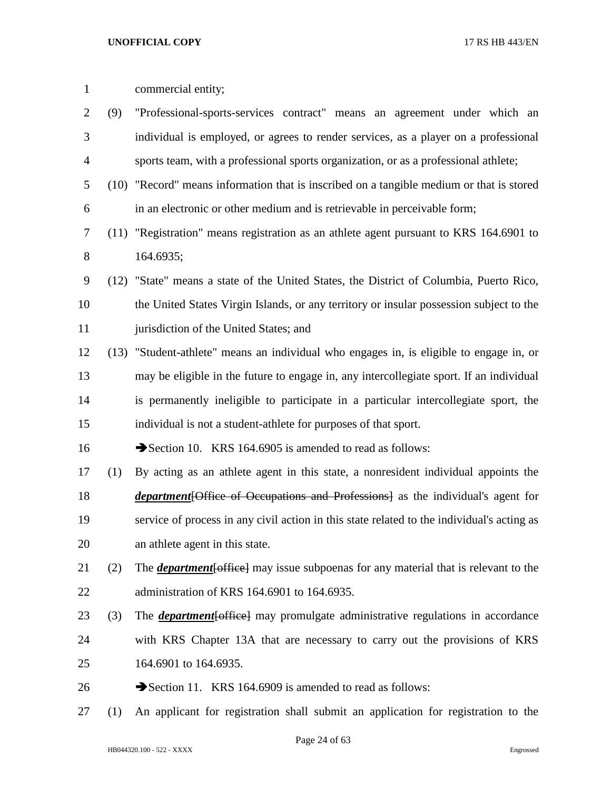| $\mathbf{1}$ |      | commercial entity;                                                                                 |
|--------------|------|----------------------------------------------------------------------------------------------------|
| 2            | (9)  | "Professional-sports-services contract" means an agreement under which an                          |
| 3            |      | individual is employed, or agrees to render services, as a player on a professional                |
| 4            |      | sports team, with a professional sports organization, or as a professional athlete;                |
| 5            | (10) | "Record" means information that is inscribed on a tangible medium or that is stored                |
| 6            |      | in an electronic or other medium and is retrievable in perceivable form;                           |
| 7            |      | (11) "Registration" means registration as an athlete agent pursuant to KRS 164.6901 to             |
| 8            |      | 164.6935;                                                                                          |
| 9            |      | (12) "State" means a state of the United States, the District of Columbia, Puerto Rico,            |
| 10           |      | the United States Virgin Islands, or any territory or insular possession subject to the            |
| 11           |      | jurisdiction of the United States; and                                                             |
| 12           |      | (13) "Student-athlete" means an individual who engages in, is eligible to engage in, or            |
| 13           |      | may be eligible in the future to engage in, any intercollegiate sport. If an individual            |
| 14           |      | is permanently ineligible to participate in a particular intercollegiate sport, the                |
| 15           |      | individual is not a student-athlete for purposes of that sport.                                    |
| 16           |      | Section 10. KRS 164.6905 is amended to read as follows:                                            |
| 17           | (1)  | By acting as an athlete agent in this state, a nonresident individual appoints the                 |
| 18           |      | <i>department</i> [Office of Occupations and Professions] as the individual's agent for            |
| 19           |      | service of process in any civil action in this state related to the individual's acting as         |
| 20           |      | an athlete agent in this state.                                                                    |
| 21           | (2)  | The <b><i>department</i></b> [office] may issue subpoenas for any material that is relevant to the |
| 22           |      | administration of KRS 164.6901 to 164.6935.                                                        |
| 23           | (3)  | The <b><i>department</i></b> [office] may promulgate administrative regulations in accordance      |
| 24           |      | with KRS Chapter 13A that are necessary to carry out the provisions of KRS                         |
| 25           |      | 164.6901 to 164.6935.                                                                              |
| 26           |      | Section 11. KRS 164.6909 is amended to read as follows:                                            |

(1) An applicant for registration shall submit an application for registration to the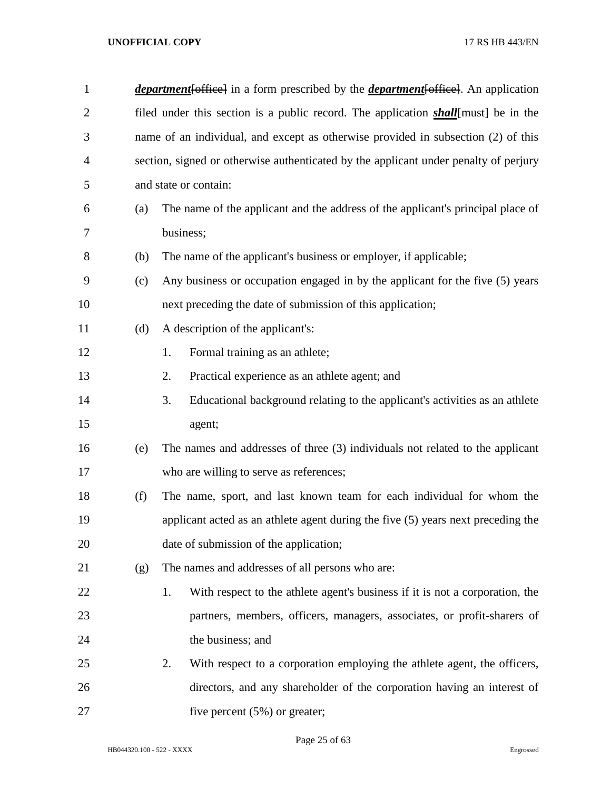| $\mathbf{1}$   |     | <i>department</i> [office] in a form prescribed by the <i>department</i> [office]. An application |
|----------------|-----|---------------------------------------------------------------------------------------------------|
| $\overline{2}$ |     | filed under this section is a public record. The application <i>shall</i> [must] be in the        |
| 3              |     | name of an individual, and except as otherwise provided in subsection (2) of this                 |
| $\overline{4}$ |     | section, signed or otherwise authenticated by the applicant under penalty of perjury              |
| 5              |     | and state or contain:                                                                             |
| 6              | (a) | The name of the applicant and the address of the applicant's principal place of                   |
| 7              |     | business;                                                                                         |
| $8\,$          | (b) | The name of the applicant's business or employer, if applicable;                                  |
| 9              | (c) | Any business or occupation engaged in by the applicant for the five (5) years                     |
| 10             |     | next preceding the date of submission of this application;                                        |
| 11             | (d) | A description of the applicant's:                                                                 |
| 12             |     | Formal training as an athlete;<br>1.                                                              |
| 13             |     | Practical experience as an athlete agent; and<br>2.                                               |
| 14             |     | 3.<br>Educational background relating to the applicant's activities as an athlete                 |
| 15             |     | agent;                                                                                            |
| 16             | (e) | The names and addresses of three (3) individuals not related to the applicant                     |
| 17             |     | who are willing to serve as references;                                                           |
| 18             | (f) | The name, sport, and last known team for each individual for whom the                             |
| 19             |     | applicant acted as an athlete agent during the five (5) years next preceding the                  |
| 20             |     | date of submission of the application;                                                            |
| 21             | (g) | The names and addresses of all persons who are:                                                   |
| 22             |     | With respect to the athlete agent's business if it is not a corporation, the<br>1.                |
| 23             |     | partners, members, officers, managers, associates, or profit-sharers of                           |
| 24             |     | the business; and                                                                                 |
| 25             |     | 2.<br>With respect to a corporation employing the athlete agent, the officers,                    |
| 26             |     | directors, and any shareholder of the corporation having an interest of                           |
| 27             |     | five percent $(5%)$ or greater;                                                                   |

Page 25 of 63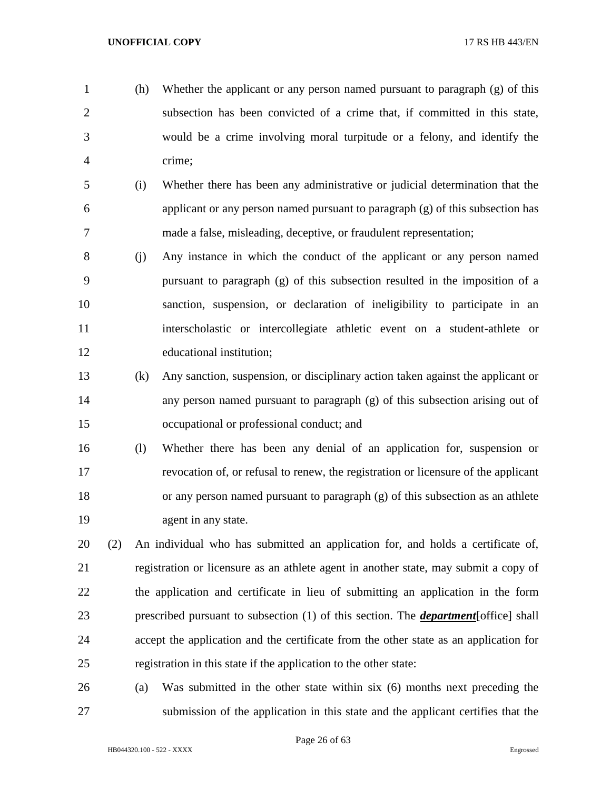- (h) Whether the applicant or any person named pursuant to paragraph (g) of this subsection has been convicted of a crime that, if committed in this state, would be a crime involving moral turpitude or a felony, and identify the crime;
- (i) Whether there has been any administrative or judicial determination that the applicant or any person named pursuant to paragraph (g) of this subsection has made a false, misleading, deceptive, or fraudulent representation;
- (j) Any instance in which the conduct of the applicant or any person named pursuant to paragraph (g) of this subsection resulted in the imposition of a sanction, suspension, or declaration of ineligibility to participate in an interscholastic or intercollegiate athletic event on a student-athlete or educational institution;
- (k) Any sanction, suspension, or disciplinary action taken against the applicant or any person named pursuant to paragraph (g) of this subsection arising out of occupational or professional conduct; and
- (l) Whether there has been any denial of an application for, suspension or revocation of, or refusal to renew, the registration or licensure of the applicant or any person named pursuant to paragraph (g) of this subsection as an athlete 19 agent in any state.
- (2) An individual who has submitted an application for, and holds a certificate of, registration or licensure as an athlete agent in another state, may submit a copy of the application and certificate in lieu of submitting an application in the form prescribed pursuant to subsection (1) of this section. The *department*[office] shall accept the application and the certificate from the other state as an application for registration in this state if the application to the other state:
- (a) Was submitted in the other state within six (6) months next preceding the submission of the application in this state and the applicant certifies that the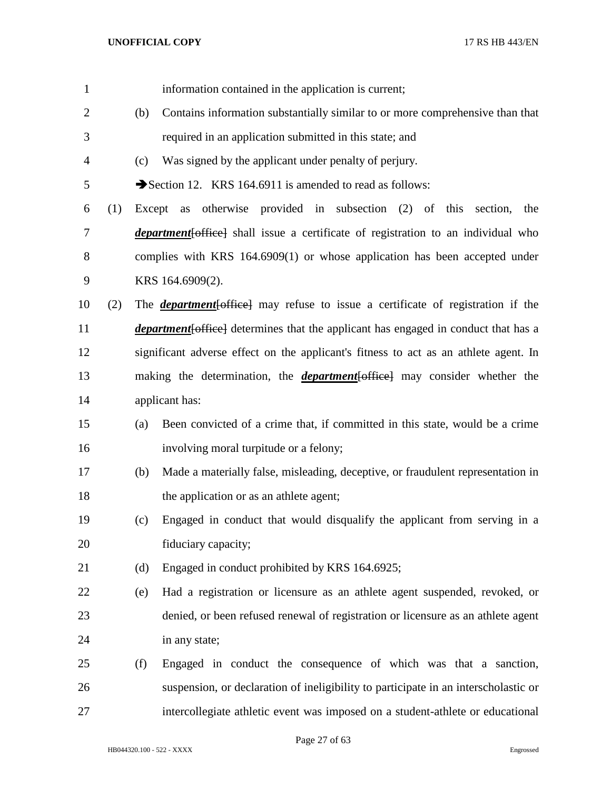| 1              |     |        | information contained in the application is current;                                       |
|----------------|-----|--------|--------------------------------------------------------------------------------------------|
| $\overline{2}$ |     | (b)    | Contains information substantially similar to or more comprehensive than that              |
| 3              |     |        | required in an application submitted in this state; and                                    |
| $\overline{4}$ |     | (c)    | Was signed by the applicant under penalty of perjury.                                      |
| 5              |     |        | Section 12. KRS 164.6911 is amended to read as follows:                                    |
| 6              | (1) | Except | otherwise provided in subsection (2) of this section,<br>the<br>as                         |
| 7              |     |        | <i>department</i> [office] shall issue a certificate of registration to an individual who  |
| 8              |     |        | complies with KRS 164.6909(1) or whose application has been accepted under                 |
| 9              |     |        | KRS 164.6909(2).                                                                           |
| 10             | (2) |        | The <i>department</i> [office] may refuse to issue a certificate of registration if the    |
| 11             |     |        | <i>department</i> [office] determines that the applicant has engaged in conduct that has a |
| 12             |     |        | significant adverse effect on the applicant's fitness to act as an athlete agent. In       |
| 13             |     |        | making the determination, the <i>department</i> [office] may consider whether the          |
| 14             |     |        | applicant has:                                                                             |
| 15             |     | (a)    | Been convicted of a crime that, if committed in this state, would be a crime               |
| 16             |     |        | involving moral turpitude or a felony;                                                     |
| 17             |     | (b)    | Made a materially false, misleading, deceptive, or fraudulent representation in            |
| 18             |     |        | the application or as an athlete agent;                                                    |
| 19             |     | (c)    | Engaged in conduct that would disqualify the applicant from serving in a                   |
| 20             |     |        | fiduciary capacity;                                                                        |
| 21             |     | (d)    | Engaged in conduct prohibited by KRS 164.6925;                                             |
| 22             |     | (e)    | Had a registration or licensure as an athlete agent suspended, revoked, or                 |
| 23             |     |        | denied, or been refused renewal of registration or licensure as an athlete agent           |
| 24             |     |        | in any state;                                                                              |
| 25             |     | (f)    | Engaged in conduct the consequence of which was that a sanction,                           |
| 26             |     |        | suspension, or declaration of ineligibility to participate in an interscholastic or        |
| 27             |     |        | intercollegiate athletic event was imposed on a student-athlete or educational             |

Page 27 of 63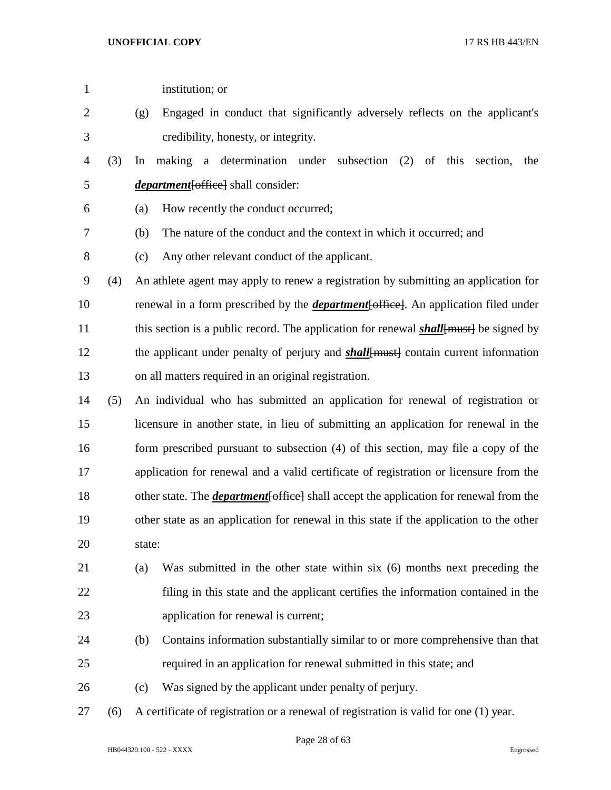| $\mathbf{1}$   |     | institution; or                                                                               |
|----------------|-----|-----------------------------------------------------------------------------------------------|
| $\overline{c}$ |     | Engaged in conduct that significantly adversely reflects on the applicant's<br>(g)            |
| 3              |     | credibility, honesty, or integrity.                                                           |
| 4              | (3) | making a determination under subsection (2) of this<br>In<br>section,<br>the                  |
| 5              |     | <i>department</i> [office] shall consider:                                                    |
| 6              |     | How recently the conduct occurred;<br>(a)                                                     |
| 7              |     | The nature of the conduct and the context in which it occurred; and<br>(b)                    |
| 8              |     | Any other relevant conduct of the applicant.<br>(c)                                           |
| 9              | (4) | An athlete agent may apply to renew a registration by submitting an application for           |
| 10             |     | renewal in a form prescribed by the <i>department</i> [office]. An application filed under    |
| 11             |     | this section is a public record. The application for renewal <b>shall</b> [must] be signed by |
| 12             |     | the applicant under penalty of perjury and <b>shall</b> [must] contain current information    |
| 13             |     | on all matters required in an original registration.                                          |
| 14             | (5) | An individual who has submitted an application for renewal of registration or                 |
| 15             |     | licensure in another state, in lieu of submitting an application for renewal in the           |
| 16             |     | form prescribed pursuant to subsection (4) of this section, may file a copy of the            |
| 17             |     | application for renewal and a valid certificate of registration or licensure from the         |
| 18             |     | other state. The <i>department</i> [office] shall accept the application for renewal from the |
| 19             |     | other state as an application for renewal in this state if the application to the other       |
| 20             |     | state:                                                                                        |
| 21             |     | Was submitted in the other state within six (6) months next preceding the<br>(a)              |
| 22             |     | filing in this state and the applicant certifies the information contained in the             |
| 23             |     | application for renewal is current;                                                           |
| 24             |     | Contains information substantially similar to or more comprehensive than that<br>(b)          |
| 25             |     | required in an application for renewal submitted in this state; and                           |
| 26             |     | Was signed by the applicant under penalty of perjury.<br>(c)                                  |
| 27             | (6) | A certificate of registration or a renewal of registration is valid for one (1) year.         |
|                |     |                                                                                               |

Page 28 of 63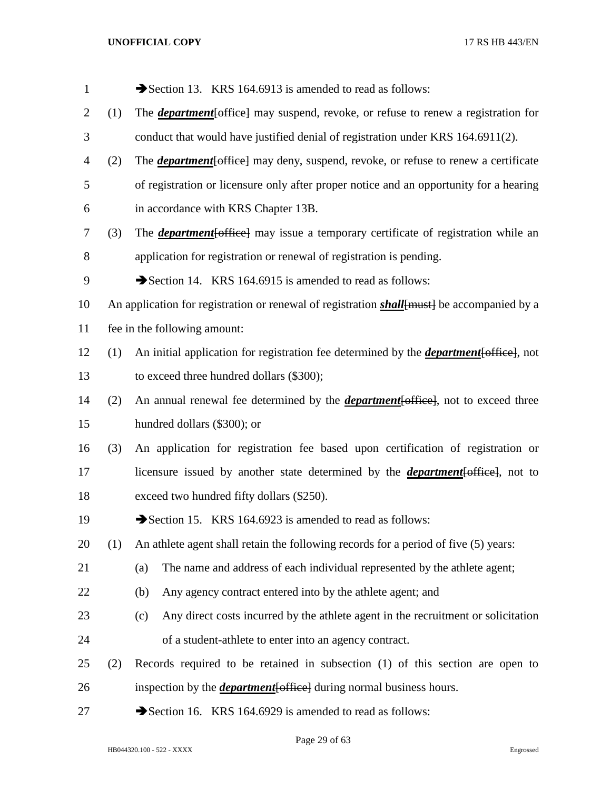| $\mathbf{1}$   |     | Section 13. KRS 164.6913 is amended to read as follows:                                            |
|----------------|-----|----------------------------------------------------------------------------------------------------|
| $\overline{2}$ | (1) | The <i>department</i> [office] may suspend, revoke, or refuse to renew a registration for          |
| 3              |     | conduct that would have justified denial of registration under KRS 164.6911(2).                    |
| $\overline{4}$ | (2) | The <b><i>department</i></b> [office] may deny, suspend, revoke, or refuse to renew a certificate  |
| 5              |     | of registration or licensure only after proper notice and an opportunity for a hearing             |
| 6              |     | in accordance with KRS Chapter 13B.                                                                |
| 7              | (3) | The <i>department</i> [office] may issue a temporary certificate of registration while an          |
| 8              |     | application for registration or renewal of registration is pending.                                |
| 9              |     | Section 14. KRS 164.6915 is amended to read as follows:                                            |
| 10             |     | An application for registration or renewal of registration <i>shall</i> [must] be accompanied by a |
| 11             |     | fee in the following amount:                                                                       |
| 12             | (1) | An initial application for registration fee determined by the <i>department</i> [office], not      |
| 13             |     | to exceed three hundred dollars (\$300);                                                           |
| 14             | (2) | An annual renewal fee determined by the <i>department</i> [office], not to exceed three            |
| 15             |     | hundred dollars (\$300); or                                                                        |
| 16             | (3) | An application for registration fee based upon certification of registration or                    |
| 17             |     | licensure issued by another state determined by the <i>department</i> [office], not to             |
| 18             |     | exceed two hundred fifty dollars (\$250).                                                          |
| 19             |     | Section 15. KRS 164.6923 is amended to read as follows:                                            |
| 20             | (1) | An athlete agent shall retain the following records for a period of five (5) years:                |
| 21             |     | The name and address of each individual represented by the athlete agent;<br>(a)                   |
| 22             |     | Any agency contract entered into by the athlete agent; and<br>(b)                                  |
| 23             |     | Any direct costs incurred by the athlete agent in the recruitment or solicitation<br>(c)           |
| 24             |     | of a student-athlete to enter into an agency contract.                                             |
| 25             | (2) | Records required to be retained in subsection $(1)$ of this section are open to                    |
| 26             |     | inspection by the <i>department</i> [office] during normal business hours.                         |
| 27             |     | Section 16. KRS 164.6929 is amended to read as follows:                                            |

Page 29 of 63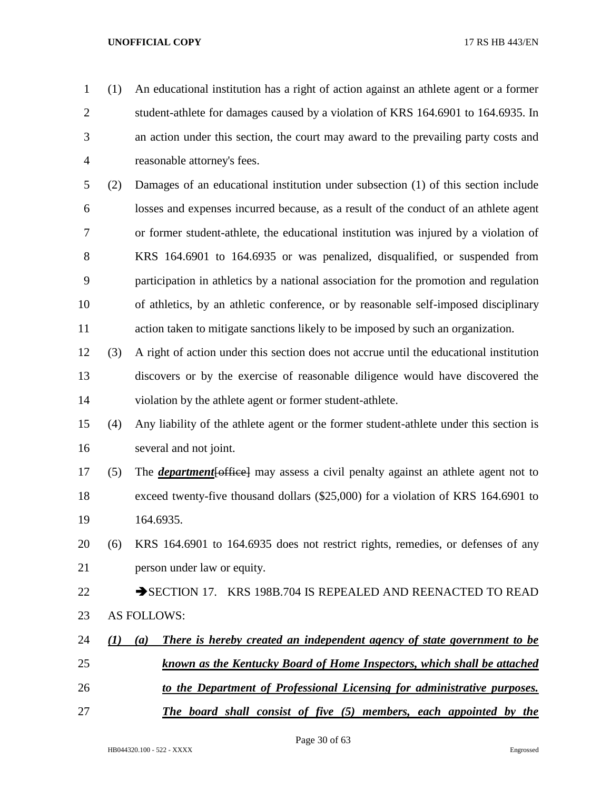- (1) An educational institution has a right of action against an athlete agent or a former student-athlete for damages caused by a violation of KRS 164.6901 to 164.6935. In an action under this section, the court may award to the prevailing party costs and reasonable attorney's fees.
- (2) Damages of an educational institution under subsection (1) of this section include losses and expenses incurred because, as a result of the conduct of an athlete agent or former student-athlete, the educational institution was injured by a violation of KRS 164.6901 to 164.6935 or was penalized, disqualified, or suspended from participation in athletics by a national association for the promotion and regulation of athletics, by an athletic conference, or by reasonable self-imposed disciplinary action taken to mitigate sanctions likely to be imposed by such an organization.
- (3) A right of action under this section does not accrue until the educational institution discovers or by the exercise of reasonable diligence would have discovered the violation by the athlete agent or former student-athlete.
- (4) Any liability of the athlete agent or the former student-athlete under this section is several and not joint.
- (5) The *department*[office] may assess a civil penalty against an athlete agent not to exceed twenty-five thousand dollars (\$25,000) for a violation of KRS 164.6901 to 164.6935.
- (6) KRS 164.6901 to 164.6935 does not restrict rights, remedies, or defenses of any person under law or equity.
- 22 SECTION 17. KRS 198B.704 IS REPEALED AND REENACTED TO READ AS FOLLOWS:
- *(1) (a) There is hereby created an independent agency of state government to be known as the Kentucky Board of Home Inspectors, which shall be attached*
- *to the Department of Professional Licensing for administrative purposes.*
- *The board shall consist of five (5) members, each appointed by the*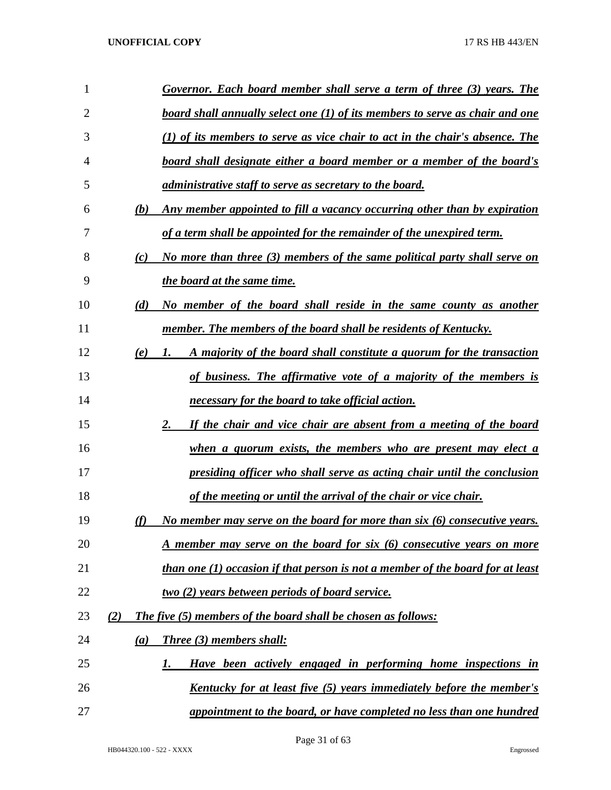| 1              |     | Governor. Each board member shall serve a term of three (3) years. The                |
|----------------|-----|---------------------------------------------------------------------------------------|
| $\overline{2}$ |     | board shall annually select one (1) of its members to serve as chair and one          |
| 3              |     | $(1)$ of its members to serve as vice chair to act in the chair's absence. The        |
| 4              |     | board shall designate either a board member or a member of the board's                |
| 5              |     | administrative staff to serve as secretary to the board.                              |
| 6              | (b) | Any member appointed to fill a vacancy occurring other than by expiration             |
| 7              |     | of a term shall be appointed for the remainder of the unexpired term.                 |
| 8              | (c) | No more than three (3) members of the same political party shall serve on             |
| 9              |     | the board at the same time.                                                           |
| 10             | (d) | No member of the board shall reside in the same county as another                     |
| 11             |     | member. The members of the board shall be residents of Kentucky.                      |
| 12             | (e) | A majority of the board shall constitute a quorum for the transaction<br>1.           |
| 13             |     | of business. The affirmative vote of a majority of the members is                     |
| 14             |     | necessary for the board to take official action.                                      |
| 15             |     | If the chair and vice chair are absent from a meeting of the board<br>2.              |
| 16             |     | when a quorum exists, the members who are present may elect a                         |
| 17             |     | presiding officer who shall serve as acting chair until the conclusion                |
| 18             |     | <u>of the meeting or until the arrival of the chair or vice chair.</u>                |
| 19             | (f) | No member may serve on the board for more than $six$ (6) consecutive years.           |
| 20             |     | <u>A member may serve on the board for six (6) consecutive years on more</u>          |
| 21             |     | <i>than one (1) occasion if that person is not a member of the board for at least</i> |
| 22             |     | <u>two (2) years between periods of board service.</u>                                |
| 23             | (2) | <b>The five (5) members of the board shall be chosen as follows:</b>                  |
| 24             | (a) | Three (3) members shall:                                                              |
| 25             |     | Have been actively engaged in performing home inspections in<br>1.                    |
| 26             |     | <u>Kentucky for at least five (5) years immediately before the member's</u>           |
| 27             |     | appointment to the board, or have completed no less than one hundred                  |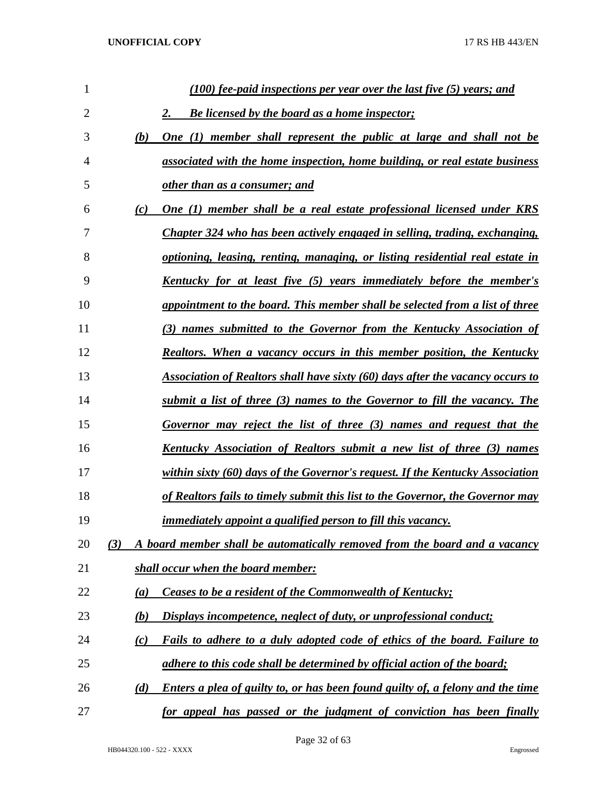| 1  |                   | (100) fee-paid inspections per year over the last five (5) years; and                 |
|----|-------------------|---------------------------------------------------------------------------------------|
| 2  |                   | <b>Be licensed by the board as a home inspector;</b><br>2.                            |
| 3  | (b)               | <u>One (1) member shall represent the public at large and shall not be</u>            |
| 4  |                   | associated with the home inspection, home building, or real estate business           |
| 5  |                   | other than as a consumer; and                                                         |
| 6  | (c)               | One (1) member shall be a real estate professional licensed under KRS                 |
| 7  |                   | Chapter 324 who has been actively engaged in selling, trading, exchanging,            |
| 8  |                   | <u>optioning, leasing, renting, managing, or listing residential real estate in</u>   |
| 9  |                   | <u>Kentucky for at least five (5) years immediately before the member's</u>           |
| 10 |                   | appointment to the board. This member shall be selected from a list of three          |
| 11 |                   | (3) names submitted to the Governor from the Kentucky Association of                  |
| 12 |                   | <b>Realtors.</b> When a vacancy occurs in this member position, the Kentucky          |
| 13 |                   | Association of Realtors shall have sixty (60) days after the vacancy occurs to        |
| 14 |                   | submit a list of three (3) names to the Governor to fill the vacancy. The             |
| 15 |                   | Governor may reject the list of three (3) names and request that the                  |
| 16 |                   | <u>Kentucky Association of Realtors submit a new list of three (3) names</u>          |
| 17 |                   | within sixty (60) days of the Governor's request. If the Kentucky Association         |
| 18 |                   | <u>of Realtors fails to timely submit this list to the Governor, the Governor may</u> |
| 19 |                   | <i>immediately appoint a qualified person to fill this vacancy.</i>                   |
| 20 | (3)               | A board member shall be automatically removed from the board and a vacancy            |
| 21 |                   | shall occur when the board member:                                                    |
| 22 | (a)               | <b>Ceases to be a resident of the Commonwealth of Kentucky;</b>                       |
| 23 | (b)               | Displays incompetence, neglect of duty, or unprofessional conduct;                    |
| 24 | $\left( c\right)$ | Fails to adhere to a duly adopted code of ethics of the board. Failure to             |
| 25 |                   | adhere to this code shall be determined by official action of the board;              |
| 26 | (d)               | Enters a plea of guilty to, or has been found guilty of, a felony and the time        |
| 27 |                   | for appeal has passed or the judgment of conviction has been finally                  |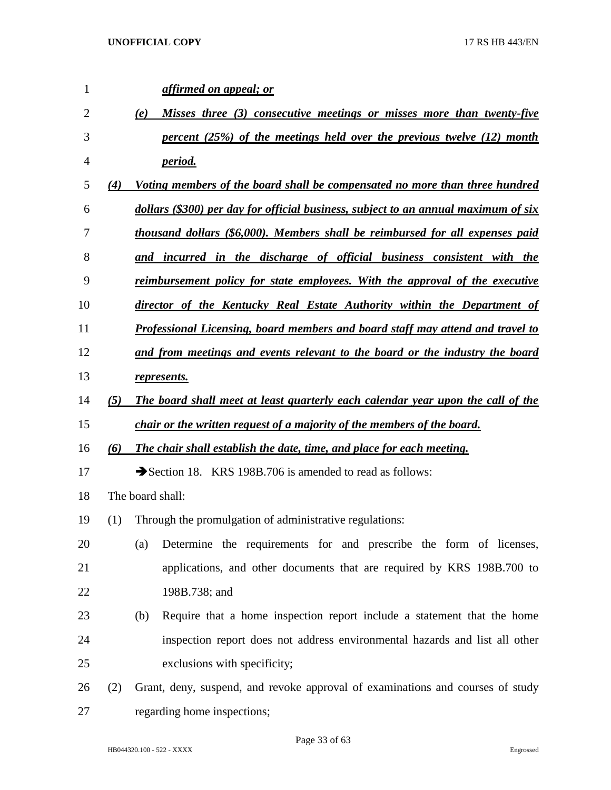| $\mathbf{1}$ |     | affirmed on appeal; or                                                              |
|--------------|-----|-------------------------------------------------------------------------------------|
| 2            |     | Misses three (3) consecutive meetings or misses more than twenty-five<br>(e)        |
| 3            |     | percent (25%) of the meetings held over the previous twelve (12) month              |
| 4            |     | <i>period.</i>                                                                      |
| 5            | (4) | Voting members of the board shall be compensated no more than three hundred         |
| 6            |     | dollars (\$300) per day for official business, subject to an annual maximum of six  |
| 7            |     | thousand dollars (\$6,000). Members shall be reimbursed for all expenses paid       |
| 8            |     | and incurred in the discharge of official business consistent with the              |
| 9            |     | <u>reimbursement policy for state employees. With the approval of the executive</u> |
| 10           |     | director of the Kentucky Real Estate Authority within the Department of             |
| 11           |     | Professional Licensing, board members and board staff may attend and travel to      |
| 12           |     | and from meetings and events relevant to the board or the industry the board        |
| 13           |     | represents.                                                                         |
| 14           | (5) | The board shall meet at least quarterly each calendar year upon the call of the     |
| 15           |     | chair or the written request of a majority of the members of the board.             |
| 16           | (6) | The chair shall establish the date, time, and place for each meeting.               |
| 17           |     | Section 18. KRS 198B.706 is amended to read as follows:                             |
| 18           |     | The board shall:                                                                    |
| 19           | (1) | Through the promulgation of administrative regulations:                             |
| 20           |     | Determine the requirements for and prescribe the form of licenses,<br>(a)           |
| 21           |     | applications, and other documents that are required by KRS 198B.700 to              |
| 22           |     | 198B.738; and                                                                       |
| 23           |     | Require that a home inspection report include a statement that the home<br>(b)      |
| 24           |     | inspection report does not address environmental hazards and list all other         |
| 25           |     | exclusions with specificity;                                                        |
| 26           | (2) | Grant, deny, suspend, and revoke approval of examinations and courses of study      |
| 27           |     | regarding home inspections;                                                         |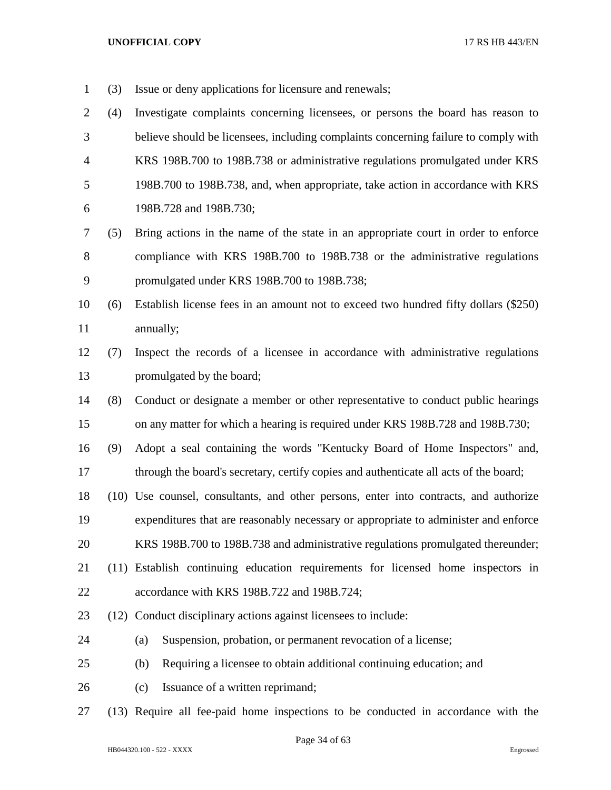- (3) Issue or deny applications for licensure and renewals;
- (4) Investigate complaints concerning licensees, or persons the board has reason to believe should be licensees, including complaints concerning failure to comply with KRS 198B.700 to 198B.738 or administrative regulations promulgated under KRS 198B.700 to 198B.738, and, when appropriate, take action in accordance with KRS 198B.728 and 198B.730;
- (5) Bring actions in the name of the state in an appropriate court in order to enforce compliance with KRS 198B.700 to 198B.738 or the administrative regulations promulgated under KRS 198B.700 to 198B.738;
- (6) Establish license fees in an amount not to exceed two hundred fifty dollars (\$250) annually;
- (7) Inspect the records of a licensee in accordance with administrative regulations promulgated by the board;
- (8) Conduct or designate a member or other representative to conduct public hearings on any matter for which a hearing is required under KRS 198B.728 and 198B.730;
- (9) Adopt a seal containing the words "Kentucky Board of Home Inspectors" and, 17 through the board's secretary, certify copies and authenticate all acts of the board;
- (10) Use counsel, consultants, and other persons, enter into contracts, and authorize expenditures that are reasonably necessary or appropriate to administer and enforce
- KRS 198B.700 to 198B.738 and administrative regulations promulgated thereunder;
- (11) Establish continuing education requirements for licensed home inspectors in
- accordance with KRS 198B.722 and 198B.724;
- (12) Conduct disciplinary actions against licensees to include:
- (a) Suspension, probation, or permanent revocation of a license;
- (b) Requiring a licensee to obtain additional continuing education; and
- 26 (c) Issuance of a written reprimand;
- (13) Require all fee-paid home inspections to be conducted in accordance with the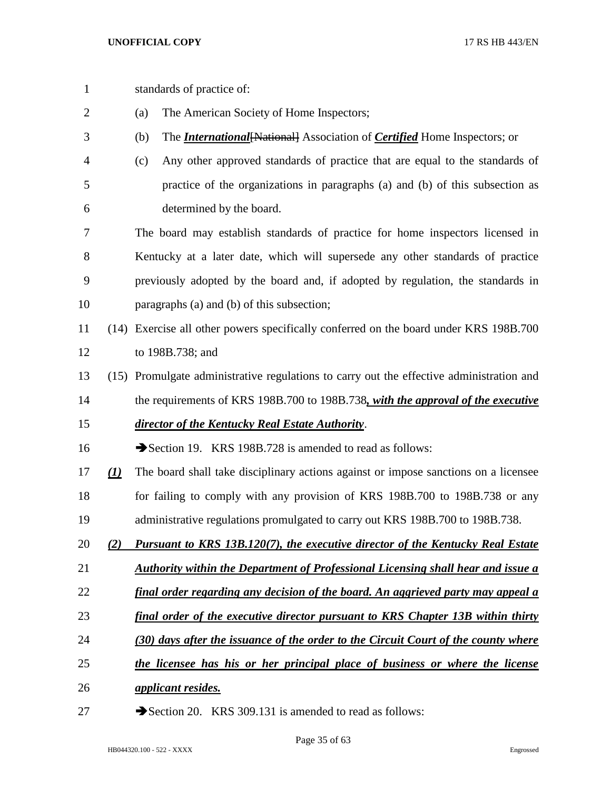standards of practice of: (a) The American Society of Home Inspectors; (b) The *International*[National] Association of *Certified* Home Inspectors; or (c) Any other approved standards of practice that are equal to the standards of practice of the organizations in paragraphs (a) and (b) of this subsection as determined by the board. The board may establish standards of practice for home inspectors licensed in Kentucky at a later date, which will supersede any other standards of practice previously adopted by the board and, if adopted by regulation, the standards in paragraphs (a) and (b) of this subsection; (14) Exercise all other powers specifically conferred on the board under KRS 198B.700 to 198B.738; and (15) Promulgate administrative regulations to carry out the effective administration and the requirements of KRS 198B.700 to 198B.738*, with the approval of the executive director of the Kentucky Real Estate Authority*. 16 Section 19. KRS 198B.728 is amended to read as follows: *(1)* The board shall take disciplinary actions against or impose sanctions on a licensee for failing to comply with any provision of KRS 198B.700 to 198B.738 or any administrative regulations promulgated to carry out KRS 198B.700 to 198B.738. *(2) Pursuant to KRS 13B.120(7), the executive director of the Kentucky Real Estate Authority within the Department of Professional Licensing shall hear and issue a final order regarding any decision of the board. An aggrieved party may appeal a final order of the executive director pursuant to KRS Chapter 13B within thirty (30) days after the issuance of the order to the Circuit Court of the county where the licensee has his or her principal place of business or where the license applicant resides.* 27 Section 20. KRS 309.131 is amended to read as follows: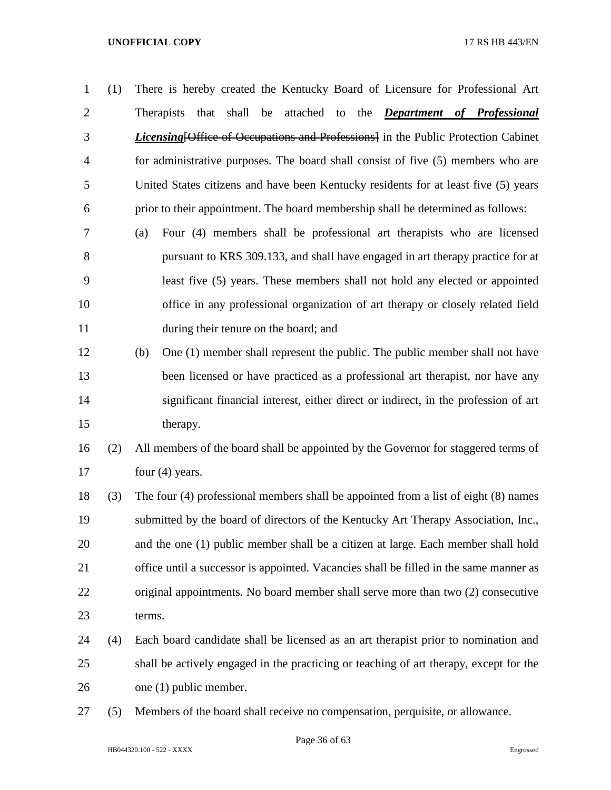(1) There is hereby created the Kentucky Board of Licensure for Professional Art Therapists that shall be attached to the *Department of Professional Licensing*[Office of Occupations and Professions] in the Public Protection Cabinet for administrative purposes. The board shall consist of five (5) members who are United States citizens and have been Kentucky residents for at least five (5) years prior to their appointment. The board membership shall be determined as follows:

- (a) Four (4) members shall be professional art therapists who are licensed pursuant to KRS 309.133, and shall have engaged in art therapy practice for at least five (5) years. These members shall not hold any elected or appointed office in any professional organization of art therapy or closely related field during their tenure on the board; and
- (b) One (1) member shall represent the public. The public member shall not have been licensed or have practiced as a professional art therapist, nor have any significant financial interest, either direct or indirect, in the profession of art therapy.
- (2) All members of the board shall be appointed by the Governor for staggered terms of 17 four (4) years.
- (3) The four (4) professional members shall be appointed from a list of eight (8) names submitted by the board of directors of the Kentucky Art Therapy Association, Inc., and the one (1) public member shall be a citizen at large. Each member shall hold office until a successor is appointed. Vacancies shall be filled in the same manner as original appointments. No board member shall serve more than two (2) consecutive terms.
- (4) Each board candidate shall be licensed as an art therapist prior to nomination and shall be actively engaged in the practicing or teaching of art therapy, except for the one (1) public member.
- (5) Members of the board shall receive no compensation, perquisite, or allowance.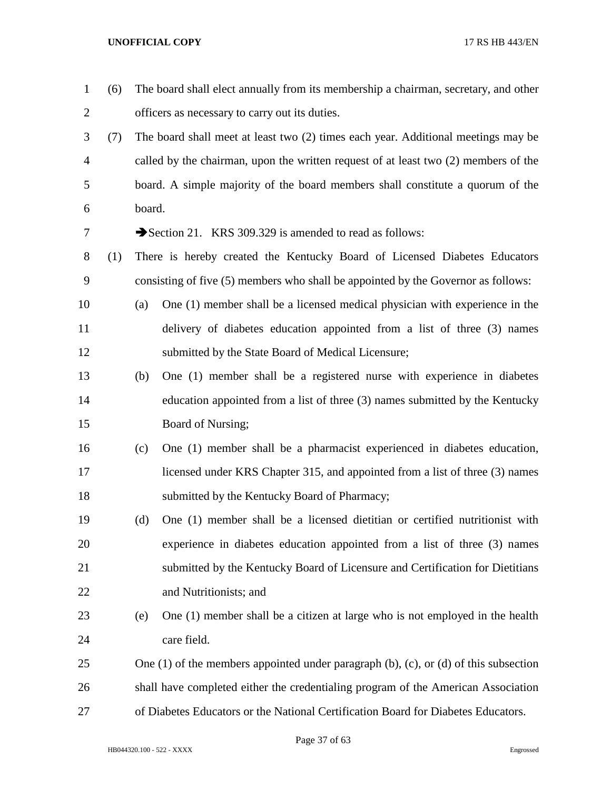| $\mathbf{1}$   | (6) |        | The board shall elect annually from its membership a chairman, secretary, and other            |
|----------------|-----|--------|------------------------------------------------------------------------------------------------|
| 2              |     |        | officers as necessary to carry out its duties.                                                 |
| 3              | (7) |        | The board shall meet at least two (2) times each year. Additional meetings may be              |
| $\overline{4}$ |     |        | called by the chairman, upon the written request of at least two $(2)$ members of the          |
| 5              |     |        | board. A simple majority of the board members shall constitute a quorum of the                 |
| 6              |     | board. |                                                                                                |
| 7              |     |        | Section 21. KRS 309.329 is amended to read as follows:                                         |
| 8              | (1) |        | There is hereby created the Kentucky Board of Licensed Diabetes Educators                      |
| 9              |     |        | consisting of five (5) members who shall be appointed by the Governor as follows:              |
| 10             |     | (a)    | One (1) member shall be a licensed medical physician with experience in the                    |
| 11             |     |        | delivery of diabetes education appointed from a list of three (3) names                        |
| 12             |     |        | submitted by the State Board of Medical Licensure;                                             |
| 13             |     | (b)    | One (1) member shall be a registered nurse with experience in diabetes                         |
| 14             |     |        | education appointed from a list of three (3) names submitted by the Kentucky                   |
| 15             |     |        | Board of Nursing;                                                                              |
| 16             |     | (c)    | One (1) member shall be a pharmacist experienced in diabetes education,                        |
| 17             |     |        | licensed under KRS Chapter 315, and appointed from a list of three (3) names                   |
| 18             |     |        | submitted by the Kentucky Board of Pharmacy;                                                   |
| 19             |     | (d)    | One (1) member shall be a licensed dietitian or certified nutritionist with                    |
| 20             |     |        | experience in diabetes education appointed from a list of three (3) names                      |
| 21             |     |        | submitted by the Kentucky Board of Licensure and Certification for Dietitians                  |
| 22             |     |        | and Nutritionists; and                                                                         |
| 23             |     | (e)    | One (1) member shall be a citizen at large who is not employed in the health                   |
| 24             |     |        | care field.                                                                                    |
| 25             |     |        | One $(1)$ of the members appointed under paragraph $(b)$ , $(c)$ , or $(d)$ of this subsection |
| 26             |     |        | shall have completed either the credentialing program of the American Association              |
| 27             |     |        | of Diabetes Educators or the National Certification Board for Diabetes Educators.              |

Page 37 of 63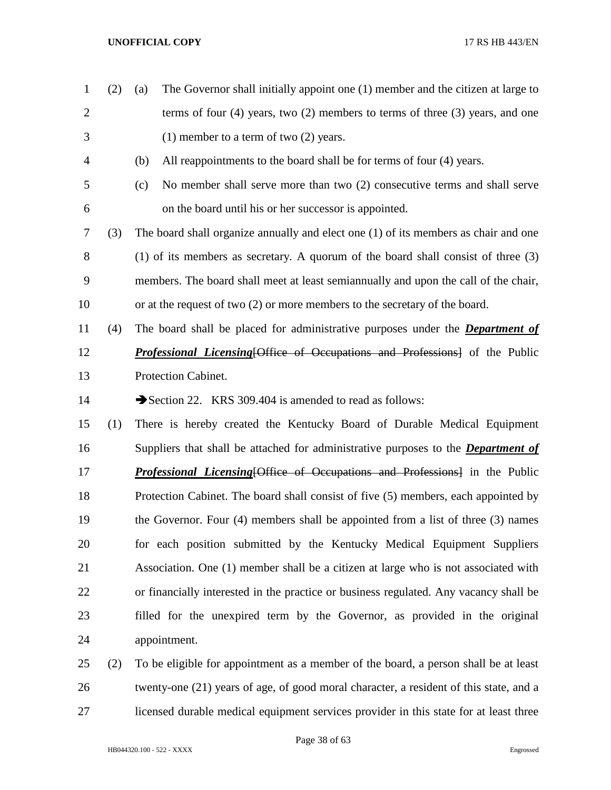- (2) (a) The Governor shall initially appoint one (1) member and the citizen at large to terms of four (4) years, two (2) members to terms of three (3) years, and one (1) member to a term of two (2) years. (b) All reappointments to the board shall be for terms of four (4) years. (c) No member shall serve more than two (2) consecutive terms and shall serve on the board until his or her successor is appointed. (3) The board shall organize annually and elect one (1) of its members as chair and one (1) of its members as secretary. A quorum of the board shall consist of three (3) members. The board shall meet at least semiannually and upon the call of the chair, or at the request of two (2) or more members to the secretary of the board. (4) The board shall be placed for administrative purposes under the *Department of Professional Licensing*[Office of Occupations and Professions] of the Public Protection Cabinet. 14 Section 22. KRS 309.404 is amended to read as follows: (1) There is hereby created the Kentucky Board of Durable Medical Equipment Suppliers that shall be attached for administrative purposes to the *Department of Professional Licensing* [Office of Occupations and Professions] in the Public Protection Cabinet. The board shall consist of five (5) members, each appointed by the Governor. Four (4) members shall be appointed from a list of three (3) names for each position submitted by the Kentucky Medical Equipment Suppliers Association. One (1) member shall be a citizen at large who is not associated with or financially interested in the practice or business regulated. Any vacancy shall be filled for the unexpired term by the Governor, as provided in the original appointment. (2) To be eligible for appointment as a member of the board, a person shall be at least twenty-one (21) years of age, of good moral character, a resident of this state, and a
- licensed durable medical equipment services provider in this state for at least three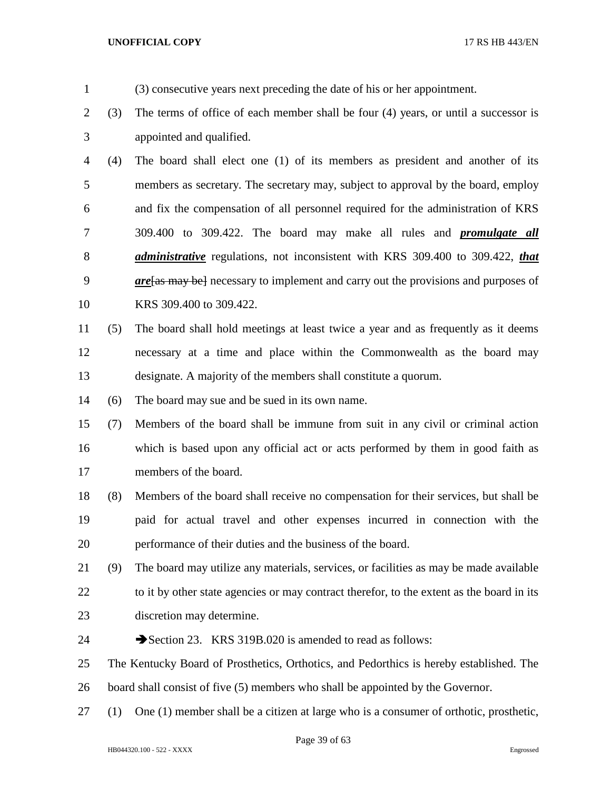- (3) consecutive years next preceding the date of his or her appointment.
- (3) The terms of office of each member shall be four (4) years, or until a successor is appointed and qualified.

 (4) The board shall elect one (1) of its members as president and another of its members as secretary. The secretary may, subject to approval by the board, employ and fix the compensation of all personnel required for the administration of KRS 309.400 to 309.422. The board may make all rules and *promulgate all administrative* regulations, not inconsistent with KRS 309.400 to 309.422, *that are*[as may be] necessary to implement and carry out the provisions and purposes of KRS 309.400 to 309.422.

- (5) The board shall hold meetings at least twice a year and as frequently as it deems necessary at a time and place within the Commonwealth as the board may designate. A majority of the members shall constitute a quorum.
- (6) The board may sue and be sued in its own name.

 (7) Members of the board shall be immune from suit in any civil or criminal action which is based upon any official act or acts performed by them in good faith as members of the board.

 (8) Members of the board shall receive no compensation for their services, but shall be paid for actual travel and other expenses incurred in connection with the performance of their duties and the business of the board.

- (9) The board may utilize any materials, services, or facilities as may be made available 22 to it by other state agencies or may contract therefor, to the extent as the board in its discretion may determine.
- 24 Section 23. KRS 319B.020 is amended to read as follows:

 The Kentucky Board of Prosthetics, Orthotics, and Pedorthics is hereby established. The board shall consist of five (5) members who shall be appointed by the Governor.

(1) One (1) member shall be a citizen at large who is a consumer of orthotic, prosthetic,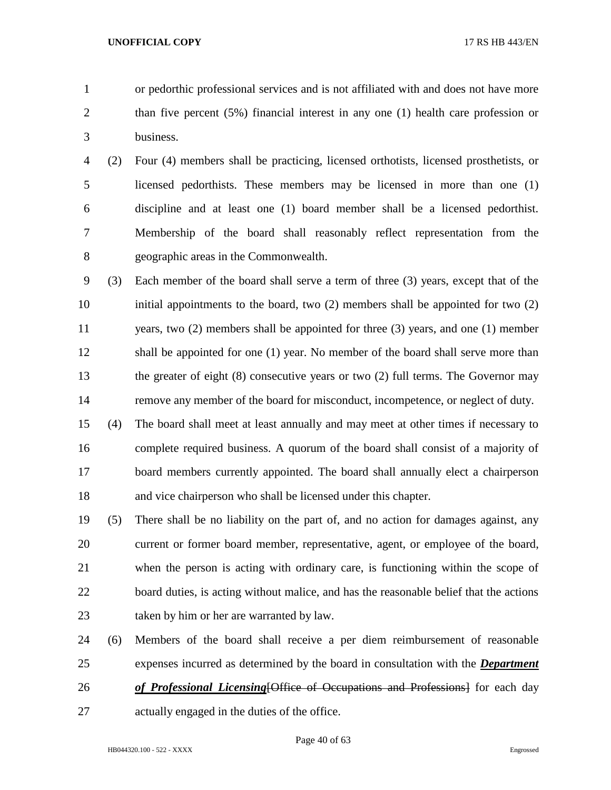- or pedorthic professional services and is not affiliated with and does not have more
- than five percent (5%) financial interest in any one (1) health care profession or business.
- (2) Four (4) members shall be practicing, licensed orthotists, licensed prosthetists, or licensed pedorthists. These members may be licensed in more than one (1) discipline and at least one (1) board member shall be a licensed pedorthist. Membership of the board shall reasonably reflect representation from the geographic areas in the Commonwealth.
- (3) Each member of the board shall serve a term of three (3) years, except that of the initial appointments to the board, two (2) members shall be appointed for two (2) years, two (2) members shall be appointed for three (3) years, and one (1) member shall be appointed for one (1) year. No member of the board shall serve more than the greater of eight (8) consecutive years or two (2) full terms. The Governor may remove any member of the board for misconduct, incompetence, or neglect of duty.
- (4) The board shall meet at least annually and may meet at other times if necessary to complete required business. A quorum of the board shall consist of a majority of board members currently appointed. The board shall annually elect a chairperson and vice chairperson who shall be licensed under this chapter.
- (5) There shall be no liability on the part of, and no action for damages against, any current or former board member, representative, agent, or employee of the board, when the person is acting with ordinary care, is functioning within the scope of 22 board duties, is acting without malice, and has the reasonable belief that the actions taken by him or her are warranted by law.
- (6) Members of the board shall receive a per diem reimbursement of reasonable expenses incurred as determined by the board in consultation with the *Department*
- *of Professional Licensing*[Office of Occupations and Professions] for each day
- actually engaged in the duties of the office.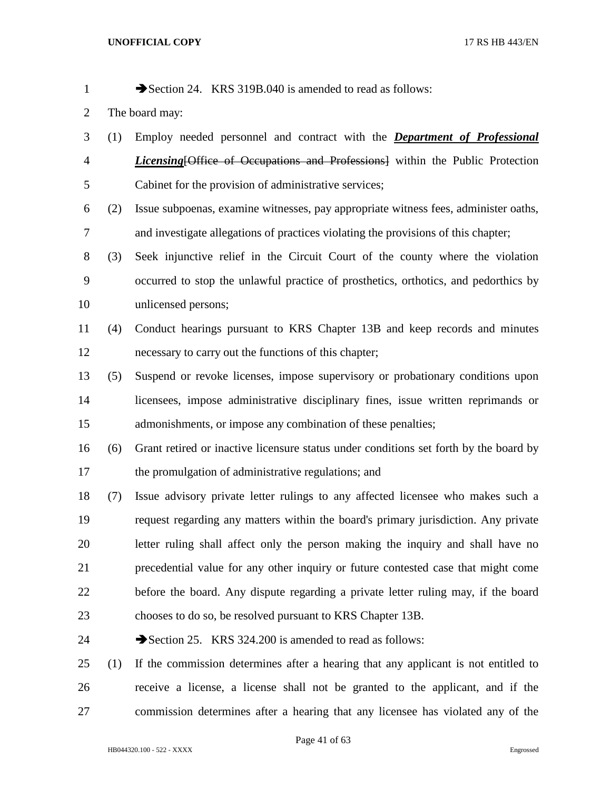1 Section 24. KRS 319B.040 is amended to read as follows:

- The board may:
- (1) Employ needed personnel and contract with the *Department of Professional Licensing*[Office of Occupations and Professions] within the Public Protection Cabinet for the provision of administrative services;
- (2) Issue subpoenas, examine witnesses, pay appropriate witness fees, administer oaths, and investigate allegations of practices violating the provisions of this chapter;
- (3) Seek injunctive relief in the Circuit Court of the county where the violation occurred to stop the unlawful practice of prosthetics, orthotics, and pedorthics by unlicensed persons;
- (4) Conduct hearings pursuant to KRS Chapter 13B and keep records and minutes necessary to carry out the functions of this chapter;
- (5) Suspend or revoke licenses, impose supervisory or probationary conditions upon licensees, impose administrative disciplinary fines, issue written reprimands or admonishments, or impose any combination of these penalties;
- (6) Grant retired or inactive licensure status under conditions set forth by the board by 17 the promulgation of administrative regulations; and
- (7) Issue advisory private letter rulings to any affected licensee who makes such a request regarding any matters within the board's primary jurisdiction. Any private letter ruling shall affect only the person making the inquiry and shall have no precedential value for any other inquiry or future contested case that might come before the board. Any dispute regarding a private letter ruling may, if the board chooses to do so, be resolved pursuant to KRS Chapter 13B.
- 24 Section 25. KRS 324.200 is amended to read as follows:
- (1) If the commission determines after a hearing that any applicant is not entitled to receive a license, a license shall not be granted to the applicant, and if the commission determines after a hearing that any licensee has violated any of the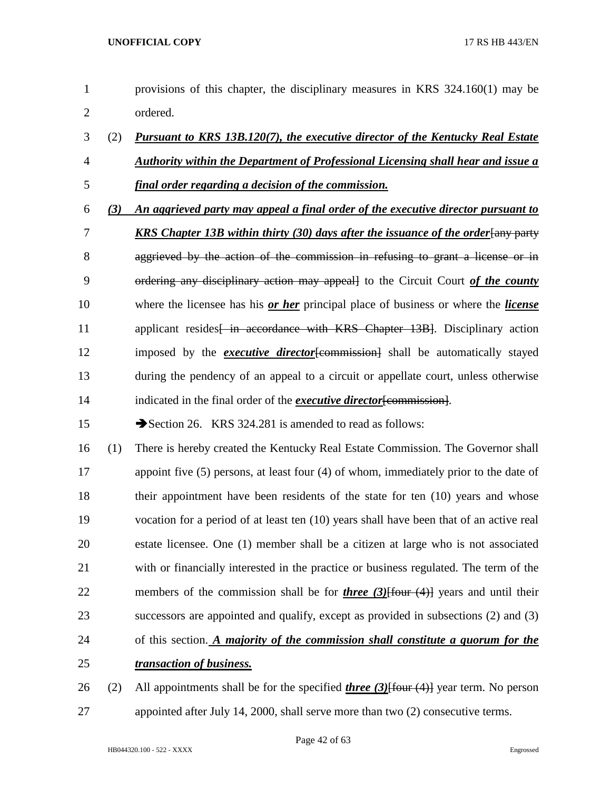| $\mathbf{1}$   |     | provisions of this chapter, the disciplinary measures in KRS $324.160(1)$ may be                |
|----------------|-----|-------------------------------------------------------------------------------------------------|
| $\overline{2}$ |     | ordered.                                                                                        |
| 3              | (2) | <u>Pursuant to KRS 13B.120(7), the executive director of the Kentucky Real Estate</u>           |
| $\overline{4}$ |     | <u>Authority within the Department of Professional Licensing shall hear and issue a</u>         |
| 5              |     | final order regarding a decision of the commission.                                             |
| 6              | (3) | An aggrieved party may appeal a final order of the executive director pursuant to               |
| 7              |     | <b>KRS Chapter 13B within thirty (30) days after the issuance of the order [any party</b>       |
| 8              |     | aggrieved by the action of the commission in refusing to grant a license or in                  |
| 9              |     | ordering any disciplinary action may appeall to the Circuit Court of the county                 |
| 10             |     | where the licensee has his or her principal place of business or where the license              |
| 11             |     | applicant resides in accordance with KRS Chapter 13B. Disciplinary action                       |
| 12             |     | imposed by the <i>executive director</i> [commission] shall be automatically stayed             |
| 13             |     | during the pendency of an appeal to a circuit or appellate court, unless otherwise              |
| 14             |     | indicated in the final order of the <i>executive director</i> [commission].                     |
| 15             |     | Section 26. KRS 324.281 is amended to read as follows:                                          |
| 16             | (1) | There is hereby created the Kentucky Real Estate Commission. The Governor shall                 |
| 17             |     | appoint five $(5)$ persons, at least four $(4)$ of whom, immediately prior to the date of       |
| 18             |     | their appointment have been residents of the state for ten $(10)$ years and whose               |
| 19             |     | vocation for a period of at least ten (10) years shall have been that of an active real         |
| 20             |     | estate licensee. One (1) member shall be a citizen at large who is not associated               |
| 21             |     | with or financially interested in the practice or business regulated. The term of the           |
| 22             |     | members of the commission shall be for <i>three (3)</i> [four $(4)$ ] years and until their     |
| 23             |     | successors are appointed and qualify, except as provided in subsections (2) and (3)             |
| 24             |     | of this section. A majority of the commission shall constitute a quorum for the                 |
| 25             |     | transaction of business.                                                                        |
| 26             | (2) | All appointments shall be for the specified <i>three (3)</i> [four $(4)$ ] year term. No person |
|                |     |                                                                                                 |

appointed after July 14, 2000, shall serve more than two (2) consecutive terms.

Page 42 of 63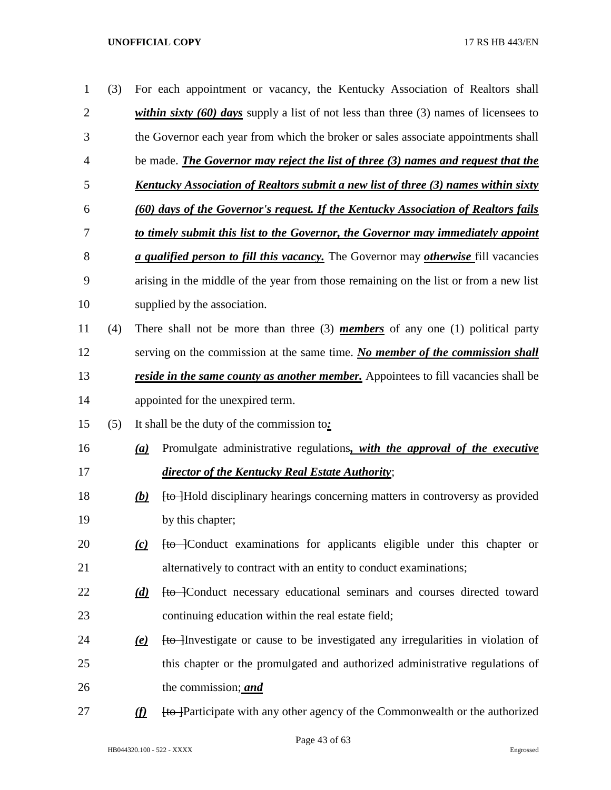| $\mathbf{1}$   | (3) |                           | For each appointment or vacancy, the Kentucky Association of Realtors shall                       |
|----------------|-----|---------------------------|---------------------------------------------------------------------------------------------------|
| $\overline{2}$ |     |                           | <i>within sixty (60) days</i> supply a list of not less than three (3) names of licensees to      |
| 3              |     |                           | the Governor each year from which the broker or sales associate appointments shall                |
| 4              |     |                           | be made. <i>The Governor may reject the list of three (3) names and request that the</i>          |
| 5              |     |                           | Kentucky Association of Realtors submit a new list of three (3) names within sixty                |
| 6              |     |                           | (60) days of the Governor's request. If the Kentucky Association of Realtors fails                |
| 7              |     |                           | to timely submit this list to the Governor, the Governor may immediately appoint                  |
| 8              |     |                           | <i>a qualified person to fill this vacancy</i> . The Governor may <i>otherwise</i> fill vacancies |
| 9              |     |                           | arising in the middle of the year from those remaining on the list or from a new list             |
| 10             |     |                           | supplied by the association.                                                                      |
| 11             | (4) |                           | There shall not be more than three $(3)$ <i>members</i> of any one $(1)$ political party          |
| 12             |     |                           | serving on the commission at the same time. No member of the commission shall                     |
| 13             |     |                           | <i>reside in the same county as another member.</i> Appointees to fill vacancies shall be         |
| 14             |     |                           | appointed for the unexpired term.                                                                 |
| 15             | (5) |                           | It shall be the duty of the commission to:                                                        |
| 16             |     | (a)                       | Promulgate administrative regulations, with the approval of the executive                         |
| 17             |     |                           | director of the Kentucky Real Estate Authority;                                                   |
| 18             |     | (b)                       | <b>to</b> Hold disciplinary hearings concerning matters in controversy as provided                |
| 19             |     |                           | by this chapter;                                                                                  |
| 20             |     | (c)                       | <b>to</b> Conduct examinations for applicants eligible under this chapter or                      |
| 21             |     |                           | alternatively to contract with an entity to conduct examinations;                                 |
| 22             |     | (d)                       | Ho-Conduct necessary educational seminars and courses directed toward                             |
| 23             |     |                           | continuing education within the real estate field;                                                |
| 24             |     | $\left(\mathbf{e}\right)$ | Ho Hnvestigate or cause to be investigated any irregularities in violation of                     |
| 25             |     |                           | this chapter or the promulgated and authorized administrative regulations of                      |
| 26             |     |                           | the commission; and                                                                               |
| 27             |     | $\Omega$                  | Ho Participate with any other agency of the Commonwealth or the authorized                        |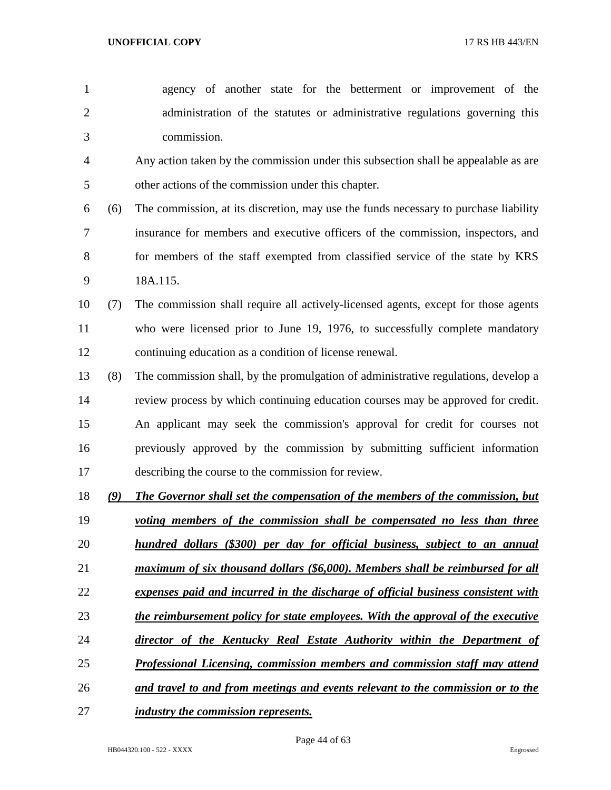agency of another state for the betterment or improvement of the administration of the statutes or administrative regulations governing this commission. Any action taken by the commission under this subsection shall be appealable as are

other actions of the commission under this chapter.

- (6) The commission, at its discretion, may use the funds necessary to purchase liability insurance for members and executive officers of the commission, inspectors, and 8 for members of the staff exempted from classified service of the state by KRS 18A.115.
- (7) The commission shall require all actively-licensed agents, except for those agents who were licensed prior to June 19, 1976, to successfully complete mandatory continuing education as a condition of license renewal.
- (8) The commission shall, by the promulgation of administrative regulations, develop a review process by which continuing education courses may be approved for credit. An applicant may seek the commission's approval for credit for courses not previously approved by the commission by submitting sufficient information describing the course to the commission for review.
- *(9) The Governor shall set the compensation of the members of the commission, but*
- *voting members of the commission shall be compensated no less than three hundred dollars (\$300) per day for official business, subject to an annual*
- 
- *maximum of six thousand dollars (\$6,000). Members shall be reimbursed for all*
- *expenses paid and incurred in the discharge of official business consistent with*
- *the reimbursement policy for state employees. With the approval of the executive*
- *director of the Kentucky Real Estate Authority within the Department of*
- *Professional Licensing, commission members and commission staff may attend*
- *and travel to and from meetings and events relevant to the commission or to the*
- *industry the commission represents.*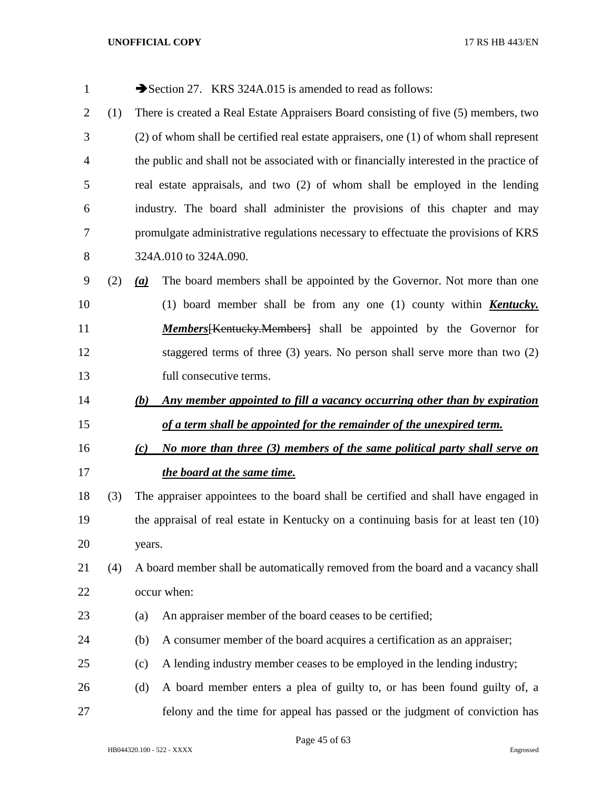| $\mathbf{1}$   |     |                              | Section 27. KRS 324A.015 is amended to read as follows:                                  |
|----------------|-----|------------------------------|------------------------------------------------------------------------------------------|
| $\overline{2}$ | (1) |                              | There is created a Real Estate Appraisers Board consisting of five (5) members, two      |
| 3              |     |                              | (2) of whom shall be certified real estate appraisers, one (1) of whom shall represent   |
| 4              |     |                              | the public and shall not be associated with or financially interested in the practice of |
| 5              |     |                              | real estate appraisals, and two (2) of whom shall be employed in the lending             |
| 6              |     |                              | industry. The board shall administer the provisions of this chapter and may              |
| 7              |     |                              | promulgate administrative regulations necessary to effectuate the provisions of KRS      |
| 8              |     |                              | 324A.010 to 324A.090.                                                                    |
| 9              | (2) | $\left(\underline{a}\right)$ | The board members shall be appointed by the Governor. Not more than one                  |
| 10             |     |                              | (1) board member shall be from any one (1) county within <b>Kentucky</b> .               |
| 11             |     |                              | <b>Members</b> [Kentucky.Members] shall be appointed by the Governor for                 |
| 12             |     |                              | staggered terms of three $(3)$ years. No person shall serve more than two $(2)$          |
| 13             |     |                              | full consecutive terms.                                                                  |
| 14             |     | (b)                          | Any member appointed to fill a vacancy occurring other than by expiration                |
| 15             |     |                              | of a term shall be appointed for the remainder of the unexpired term.                    |
| 16             |     | (c)                          | No more than three (3) members of the same political party shall serve on                |
| 17             |     |                              | the board at the same time.                                                              |
| 18             | (3) |                              | The appraiser appointees to the board shall be certified and shall have engaged in       |
| 19             |     |                              | the appraisal of real estate in Kentucky on a continuing basis for at least ten (10)     |
| 20             |     | years.                       |                                                                                          |
| 21             | (4) |                              | A board member shall be automatically removed from the board and a vacancy shall         |
| 22             |     |                              | occur when:                                                                              |
| 23             |     | (a)                          | An appraiser member of the board ceases to be certified;                                 |
| 24             |     | (b)                          | A consumer member of the board acquires a certification as an appraiser;                 |
| 25             |     | (c)                          | A lending industry member ceases to be employed in the lending industry;                 |
| 26             |     | (d)                          | A board member enters a plea of guilty to, or has been found guilty of, a                |
| 27             |     |                              | felony and the time for appeal has passed or the judgment of conviction has              |

Page 45 of 63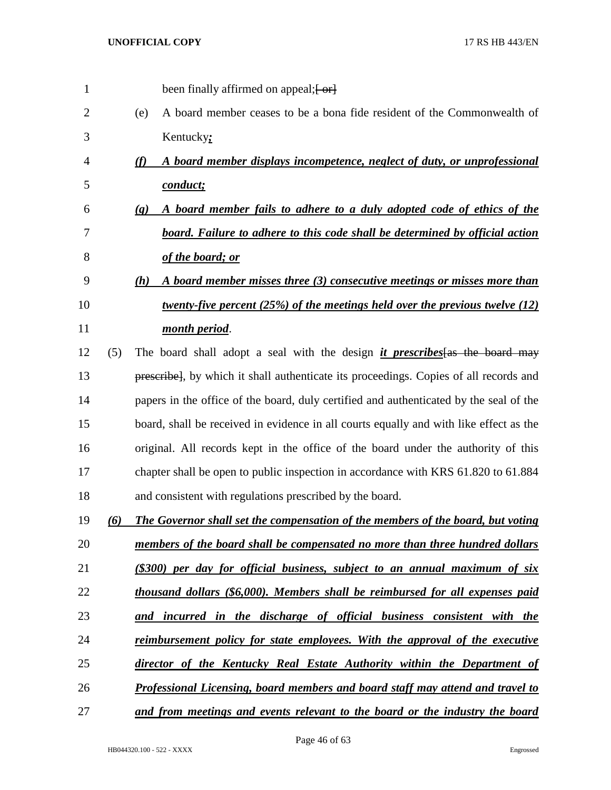| 1  |     | been finally affirmed on appeal; [-or]                                                                |
|----|-----|-------------------------------------------------------------------------------------------------------|
| 2  |     | A board member ceases to be a bona fide resident of the Commonwealth of<br>(e)                        |
| 3  |     | Kentucky:                                                                                             |
| 4  |     | A board member displays incompetence, neglect of duty, or unprofessional<br>(f)                       |
| 5  |     | conduct;                                                                                              |
| 6  |     | A board member fails to adhere to a duly adopted code of ethics of the<br>$\left( \mathbf{g} \right)$ |
| 7  |     | board. Failure to adhere to this code shall be determined by official action                          |
| 8  |     | of the board; or                                                                                      |
| 9  |     | A board member misses three (3) consecutive meetings or misses more than<br>(h)                       |
| 10 |     | <u>twenty-five percent (25%) of the meetings held over the previous twelve (12)</u>                   |
| 11 |     | month period.                                                                                         |
| 12 | (5) | The board shall adopt a seal with the design <i>it prescribes</i> [as the board may                   |
| 13 |     | prescribe], by which it shall authenticate its proceedings. Copies of all records and                 |
| 14 |     | papers in the office of the board, duly certified and authenticated by the seal of the                |
| 15 |     | board, shall be received in evidence in all courts equally and with like effect as the                |
| 16 |     | original. All records kept in the office of the board under the authority of this                     |
| 17 |     | chapter shall be open to public inspection in accordance with KRS 61.820 to 61.884                    |
| 18 |     | and consistent with regulations prescribed by the board.                                              |
| 19 | (6) | The Governor shall set the compensation of the members of the board, but voting                       |
| 20 |     | members of the board shall be compensated no more than three hundred dollars                          |
| 21 |     | (\$300) per day for official business, subject to an annual maximum of six                            |
| 22 |     | thousand dollars (\$6,000). Members shall be reimbursed for all expenses paid                         |
| 23 |     | and incurred in the discharge of official business consistent with the                                |
| 24 |     | <u>reimbursement policy for state employees. With the approval of the executive</u>                   |
| 25 |     | director of the Kentucky Real Estate Authority within the Department of                               |
| 26 |     | Professional Licensing, board members and board staff may attend and travel to                        |
| 27 |     | and from meetings and events relevant to the board or the industry the board                          |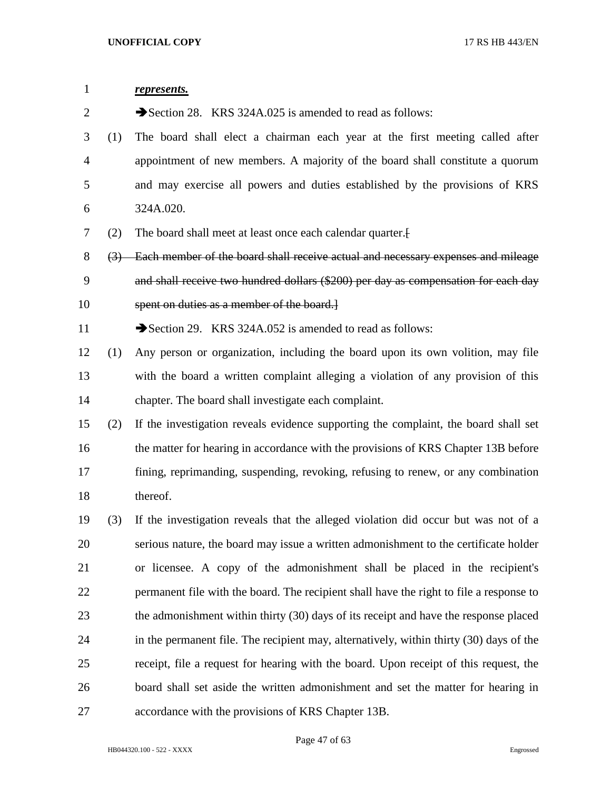| $\mathbf{1}$ |                  | represents.                                                                             |
|--------------|------------------|-----------------------------------------------------------------------------------------|
| 2            |                  | Section 28. KRS 324A.025 is amended to read as follows:                                 |
| 3            | (1)              | The board shall elect a chairman each year at the first meeting called after            |
| 4            |                  | appointment of new members. A majority of the board shall constitute a quorum           |
| 5            |                  | and may exercise all powers and duties established by the provisions of KRS             |
| 6            |                  | 324A.020.                                                                               |
| 7            | (2)              | The board shall meet at least once each calendar quarter.                               |
| 8            | $\left(3\right)$ | Each member of the board shall receive actual and necessary expenses and mileage        |
| 9            |                  | and shall receive two hundred dollars (\$200) per day as compensation for each day      |
| 10           |                  | spent on duties as a member of the board.                                               |
| 11           |                  | Section 29. KRS 324A.052 is amended to read as follows:                                 |
| 12           | (1)              | Any person or organization, including the board upon its own volition, may file         |
| 13           |                  | with the board a written complaint alleging a violation of any provision of this        |
| 14           |                  | chapter. The board shall investigate each complaint.                                    |
| 15           | (2)              | If the investigation reveals evidence supporting the complaint, the board shall set     |
| 16           |                  | the matter for hearing in accordance with the provisions of KRS Chapter 13B before      |
| 17           |                  | fining, reprimanding, suspending, revoking, refusing to renew, or any combination       |
| 18           |                  | thereof.                                                                                |
| 19           | (3)              | If the investigation reveals that the alleged violation did occur but was not of a      |
| 20           |                  | serious nature, the board may issue a written admonishment to the certificate holder    |
| 21           |                  | or licensee. A copy of the admonishment shall be placed in the recipient's              |
| 22           |                  | permanent file with the board. The recipient shall have the right to file a response to |
| 23           |                  | the admonishment within thirty (30) days of its receipt and have the response placed    |
| 24           |                  | in the permanent file. The recipient may, alternatively, within thirty (30) days of the |
| 25           |                  | receipt, file a request for hearing with the board. Upon receipt of this request, the   |
| 26           |                  | board shall set aside the written admonishment and set the matter for hearing in        |
| 27           |                  | accordance with the provisions of KRS Chapter 13B.                                      |

Page 47 of 63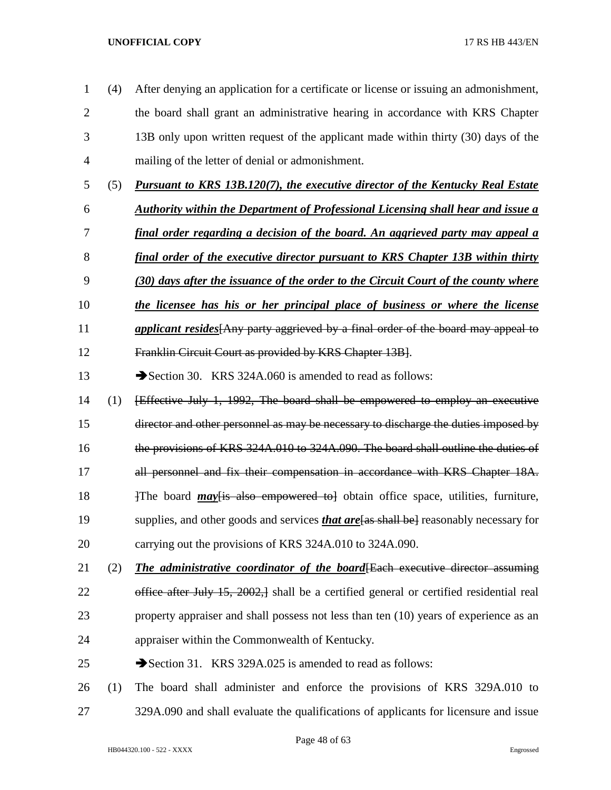- (4) After denying an application for a certificate or license or issuing an admonishment, the board shall grant an administrative hearing in accordance with KRS Chapter 13B only upon written request of the applicant made within thirty (30) days of the mailing of the letter of denial or admonishment.
- (5) *Pursuant to KRS 13B.120(7), the executive director of the Kentucky Real Estate*
- *Authority within the Department of Professional Licensing shall hear and issue a*
- *final order regarding a decision of the board. An aggrieved party may appeal a*
- *final order of the executive director pursuant to KRS Chapter 13B within thirty*
- *(30) days after the issuance of the order to the Circuit Court of the county where*
- *the licensee has his or her principal place of business or where the license*
- *applicant resides*[Any party aggrieved by a final order of the board may appeal to
- Franklin Circuit Court as provided by KRS Chapter 13B].
- 13 Section 30. KRS 324A.060 is amended to read as follows:
- (1) [Effective July 1, 1992, The board shall be empowered to employ an executive
- director and other personnel as may be necessary to discharge the duties imposed by
- the provisions of KRS 324A.010 to 324A.090. The board shall outline the duties of
- 17 all personnel and fix their compensation in accordance with KRS Chapter 18A.
- 18 18 17 The board *may* Figure is also empowered to a obtain office space, utilities, furniture,
- supplies, and other goods and services *that are*[as shall be] reasonably necessary for
- carrying out the provisions of KRS 324A.010 to 324A.090.
- (2) *The administrative coordinator of the board*[Each executive director assuming 22 office after July 15, 2002, shall be a certified general or certified residential real property appraiser and shall possess not less than ten (10) years of experience as an appraiser within the Commonwealth of Kentucky.
- 25 Section 31. KRS 329A.025 is amended to read as follows:
- (1) The board shall administer and enforce the provisions of KRS 329A.010 to 329A.090 and shall evaluate the qualifications of applicants for licensure and issue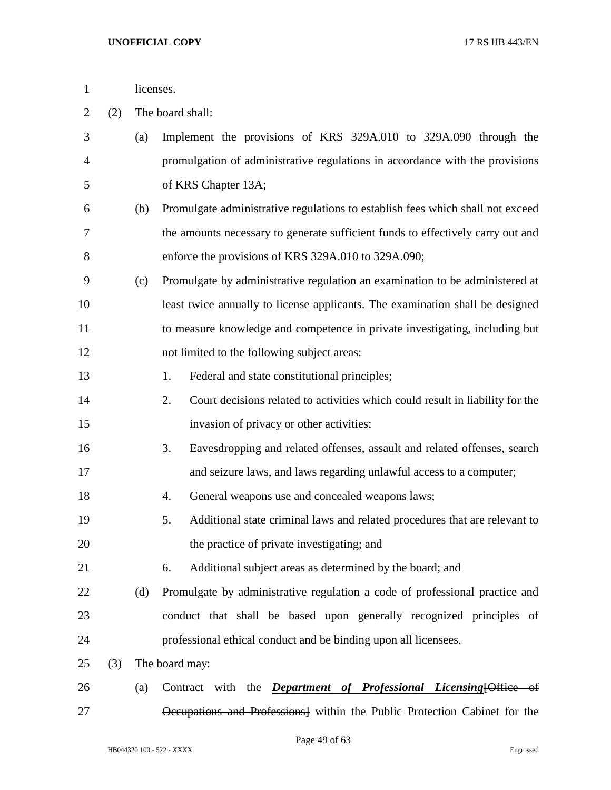|  |  | licenses. |  |  |  |
|--|--|-----------|--|--|--|
|  |  |           |  |  |  |
|  |  |           |  |  |  |
|  |  |           |  |  |  |
|  |  |           |  |  |  |
|  |  |           |  |  |  |
|  |  |           |  |  |  |
|  |  |           |  |  |  |
|  |  |           |  |  |  |
|  |  |           |  |  |  |

- (2) The board shall:
- (a) Implement the provisions of KRS 329A.010 to 329A.090 through the promulgation of administrative regulations in accordance with the provisions of KRS Chapter 13A; (b) Promulgate administrative regulations to establish fees which shall not exceed the amounts necessary to generate sufficient funds to effectively carry out and enforce the provisions of KRS 329A.010 to 329A.090; (c) Promulgate by administrative regulation an examination to be administered at least twice annually to license applicants. The examination shall be designed to measure knowledge and competence in private investigating, including but not limited to the following subject areas: 1. Federal and state constitutional principles; 2. Court decisions related to activities which could result in liability for the invasion of privacy or other activities; 3. Eavesdropping and related offenses, assault and related offenses, search and seizure laws, and laws regarding unlawful access to a computer; 4. General weapons use and concealed weapons laws; 5. Additional state criminal laws and related procedures that are relevant to the practice of private investigating; and 6. Additional subject areas as determined by the board; and (d) Promulgate by administrative regulation a code of professional practice and conduct that shall be based upon generally recognized principles of professional ethical conduct and be binding upon all licensees. (3) The board may: (a) Contract with the *Department of Professional Licensing*[Office of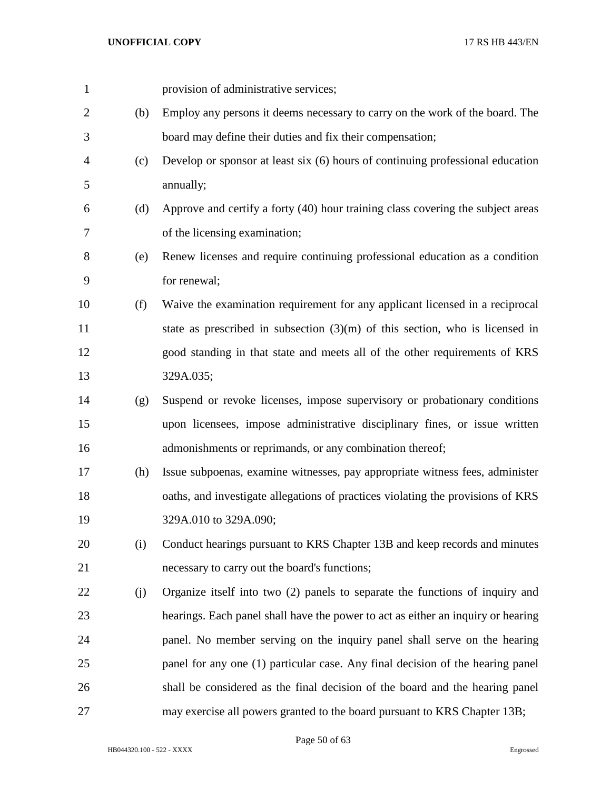| $\mathbf{1}$ |     | provision of administrative services;                                            |
|--------------|-----|----------------------------------------------------------------------------------|
| 2            | (b) | Employ any persons it deems necessary to carry on the work of the board. The     |
| 3            |     | board may define their duties and fix their compensation;                        |
| 4            | (c) | Develop or sponsor at least six (6) hours of continuing professional education   |
| 5            |     | annually;                                                                        |
| 6            | (d) | Approve and certify a forty (40) hour training class covering the subject areas  |
| 7            |     | of the licensing examination;                                                    |
| 8            | (e) | Renew licenses and require continuing professional education as a condition      |
| 9            |     | for renewal;                                                                     |
| 10           | (f) | Waive the examination requirement for any applicant licensed in a reciprocal     |
| 11           |     | state as prescribed in subsection $(3)(m)$ of this section, who is licensed in   |
| 12           |     | good standing in that state and meets all of the other requirements of KRS       |
| 13           |     | 329A.035;                                                                        |
| 14           | (g) | Suspend or revoke licenses, impose supervisory or probationary conditions        |
| 15           |     | upon licensees, impose administrative disciplinary fines, or issue written       |
| 16           |     | admonishments or reprimands, or any combination thereof;                         |
| 17           | (h) | Issue subpoenas, examine witnesses, pay appropriate witness fees, administer     |
| 18           |     | oaths, and investigate allegations of practices violating the provisions of KRS  |
| 19           |     | 329A.010 to 329A.090;                                                            |
| 20           | (i) | Conduct hearings pursuant to KRS Chapter 13B and keep records and minutes        |
| 21           |     | necessary to carry out the board's functions;                                    |
| 22           | (j) | Organize itself into two (2) panels to separate the functions of inquiry and     |
| 23           |     | hearings. Each panel shall have the power to act as either an inquiry or hearing |
| 24           |     | panel. No member serving on the inquiry panel shall serve on the hearing         |
| 25           |     | panel for any one (1) particular case. Any final decision of the hearing panel   |
| 26           |     | shall be considered as the final decision of the board and the hearing panel     |
| 27           |     | may exercise all powers granted to the board pursuant to KRS Chapter 13B;        |

Page 50 of 63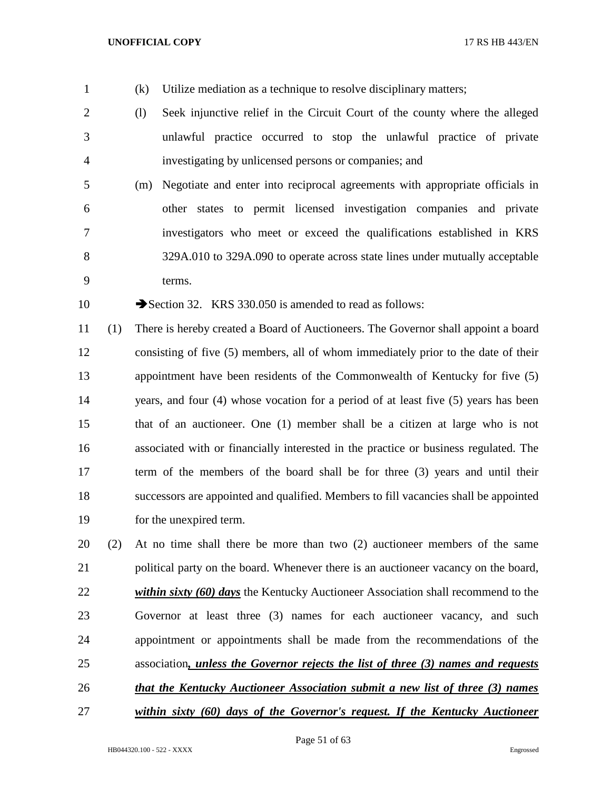- 
- (k) Utilize mediation as a technique to resolve disciplinary matters;
- (l) Seek injunctive relief in the Circuit Court of the county where the alleged unlawful practice occurred to stop the unlawful practice of private investigating by unlicensed persons or companies; and
- (m) Negotiate and enter into reciprocal agreements with appropriate officials in other states to permit licensed investigation companies and private investigators who meet or exceed the qualifications established in KRS 329A.010 to 329A.090 to operate across state lines under mutually acceptable terms.

10 Section 32. KRS 330.050 is amended to read as follows:

 (1) There is hereby created a Board of Auctioneers. The Governor shall appoint a board consisting of five (5) members, all of whom immediately prior to the date of their appointment have been residents of the Commonwealth of Kentucky for five (5) years, and four (4) whose vocation for a period of at least five (5) years has been that of an auctioneer. One (1) member shall be a citizen at large who is not associated with or financially interested in the practice or business regulated. The term of the members of the board shall be for three (3) years and until their successors are appointed and qualified. Members to fill vacancies shall be appointed for the unexpired term.

 (2) At no time shall there be more than two (2) auctioneer members of the same political party on the board. Whenever there is an auctioneer vacancy on the board, *within sixty (60) days* the Kentucky Auctioneer Association shall recommend to the Governor at least three (3) names for each auctioneer vacancy, and such appointment or appointments shall be made from the recommendations of the association*, unless the Governor rejects the list of three (3) names and requests that the Kentucky Auctioneer Association submit a new list of three (3) names* 

*within sixty (60) days of the Governor's request. If the Kentucky Auctioneer*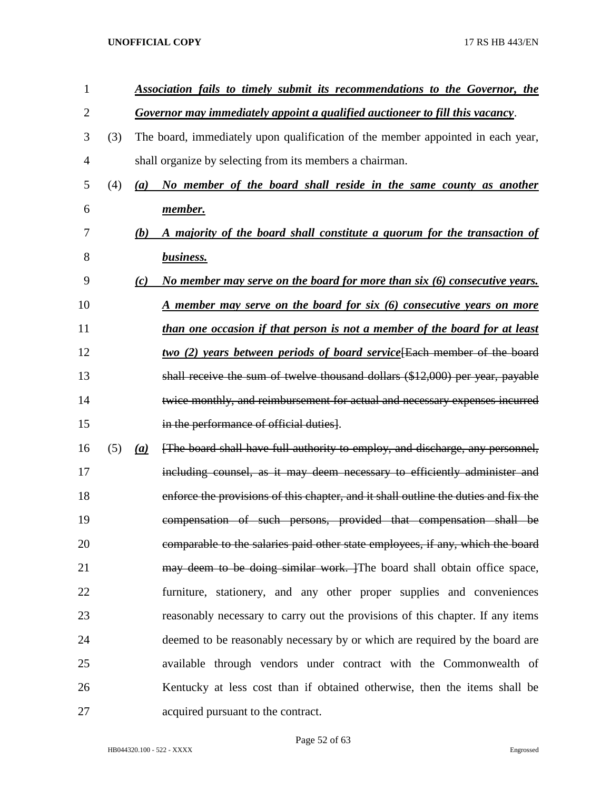| 1  |     |     | Association fails to timely submit its recommendations to the Governor, the         |
|----|-----|-----|-------------------------------------------------------------------------------------|
| 2  |     |     | Governor may immediately appoint a qualified auctioneer to fill this vacancy.       |
| 3  | (3) |     | The board, immediately upon qualification of the member appointed in each year,     |
| 4  |     |     | shall organize by selecting from its members a chairman.                            |
| 5  | (4) | (a) | No member of the board shall reside in the same county as another                   |
| 6  |     |     | <u>member.</u>                                                                      |
| 7  |     | (b) | A majority of the board shall constitute a quorum for the transaction of            |
| 8  |     |     | business.                                                                           |
| 9  |     | (c) | No member may serve on the board for more than six (6) consecutive years.           |
| 10 |     |     | <u>A member may serve on the board for six (6) consecutive years on more</u>        |
| 11 |     |     | than one occasion if that person is not a member of the board for at least          |
| 12 |     |     | two (2) years between periods of board service [Each member of the board            |
| 13 |     |     | shall receive the sum of twelve thousand dollars $(\$12,000)$ per year, payable     |
| 14 |     |     | twice monthly, and reimbursement for actual and necessary expenses incurred         |
| 15 |     |     | in the performance of official duties].                                             |
| 16 | (5) | (a) | [The board shall have full authority to employ, and discharge, any personnel,       |
| 17 |     |     | including counsel, as it may deem necessary to efficiently administer and           |
| 18 |     |     | enforce the provisions of this chapter, and it shall outline the duties and fix the |
| 19 |     |     | compensation of such persons, provided that compensation shall be                   |
| 20 |     |     | comparable to the salaries paid other state employees, if any, which the board      |
| 21 |     |     | may deem to be doing similar work. The board shall obtain office space,             |
| 22 |     |     | furniture, stationery, and any other proper supplies and conveniences               |
| 23 |     |     | reasonably necessary to carry out the provisions of this chapter. If any items      |
| 24 |     |     | deemed to be reasonably necessary by or which are required by the board are         |
| 25 |     |     | available through vendors under contract with the Commonwealth of                   |
| 26 |     |     | Kentucky at less cost than if obtained otherwise, then the items shall be           |
| 27 |     |     | acquired pursuant to the contract.                                                  |

HB044320.100 - 522 - XXXX Engrossed

Page 52 of 63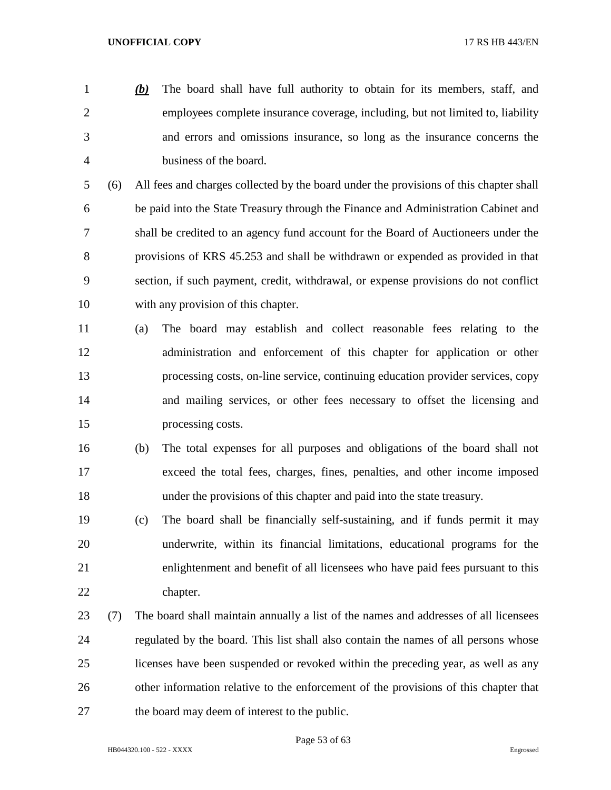*(b)* The board shall have full authority to obtain for its members, staff, and employees complete insurance coverage, including, but not limited to, liability and errors and omissions insurance, so long as the insurance concerns the business of the board.

 (6) All fees and charges collected by the board under the provisions of this chapter shall be paid into the State Treasury through the Finance and Administration Cabinet and shall be credited to an agency fund account for the Board of Auctioneers under the provisions of KRS 45.253 and shall be withdrawn or expended as provided in that section, if such payment, credit, withdrawal, or expense provisions do not conflict with any provision of this chapter.

 (a) The board may establish and collect reasonable fees relating to the administration and enforcement of this chapter for application or other processing costs, on-line service, continuing education provider services, copy and mailing services, or other fees necessary to offset the licensing and processing costs.

- (b) The total expenses for all purposes and obligations of the board shall not exceed the total fees, charges, fines, penalties, and other income imposed under the provisions of this chapter and paid into the state treasury.
- (c) The board shall be financially self-sustaining, and if funds permit it may underwrite, within its financial limitations, educational programs for the enlightenment and benefit of all licensees who have paid fees pursuant to this chapter.
- (7) The board shall maintain annually a list of the names and addresses of all licensees regulated by the board. This list shall also contain the names of all persons whose licenses have been suspended or revoked within the preceding year, as well as any other information relative to the enforcement of the provisions of this chapter that the board may deem of interest to the public.

Page 53 of 63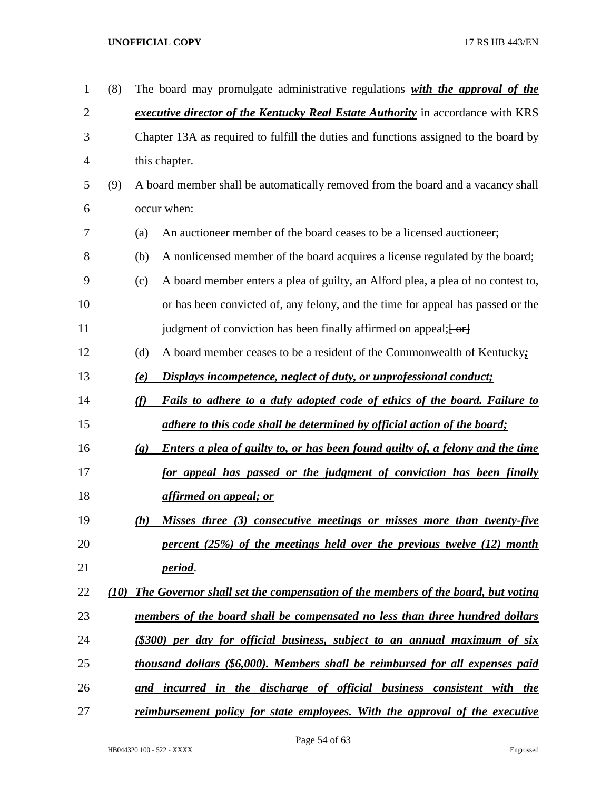| $\mathbf{1}$   | (8)  |                                                                                      | The board may promulgate administrative regulations with the approval of the          |
|----------------|------|--------------------------------------------------------------------------------------|---------------------------------------------------------------------------------------|
| $\overline{c}$ |      | executive director of the Kentucky Real Estate Authority in accordance with KRS      |                                                                                       |
| 3              |      | Chapter 13A as required to fulfill the duties and functions assigned to the board by |                                                                                       |
| 4              |      | this chapter.                                                                        |                                                                                       |
| 5              | (9)  |                                                                                      | A board member shall be automatically removed from the board and a vacancy shall      |
| 6              |      | occur when:                                                                          |                                                                                       |
| 7              |      | (a)                                                                                  | An auctioneer member of the board ceases to be a licensed auctioneer;                 |
| 8              |      | (b)                                                                                  | A nonlicensed member of the board acquires a license regulated by the board;          |
| 9              |      | (c)                                                                                  | A board member enters a plea of guilty, an Alford plea, a plea of no contest to,      |
| 10             |      |                                                                                      | or has been convicted of, any felony, and the time for appeal has passed or the       |
| 11             |      |                                                                                      | judgment of conviction has been finally affirmed on appeal; [-or]                     |
| 12             |      | (d)                                                                                  | A board member ceases to be a resident of the Commonwealth of Kentucky;               |
| 13             |      | (e)                                                                                  | Displays incompetence, neglect of duty, or unprofessional conduct;                    |
| 14             |      | (f)                                                                                  | Fails to adhere to a duly adopted code of ethics of the board. Failure to             |
| 15             |      |                                                                                      | adhere to this code shall be determined by official action of the board;              |
| 16             |      | $\left( \mathbf{g} \right)$                                                          | <b>Enters a plea of guilty to, or has been found guilty of, a felony and the time</b> |
| 17             |      |                                                                                      | for appeal has passed or the judgment of conviction has been finally                  |
| 18             |      |                                                                                      | affirmed on appeal; or                                                                |
| 19             |      | (h)                                                                                  | Misses three (3) consecutive meetings or misses more than twenty-five                 |
| 20             |      |                                                                                      | percent (25%) of the meetings held over the previous twelve (12) month                |
| 21             |      |                                                                                      | <i>period.</i>                                                                        |
| 22             | (10) |                                                                                      | The Governor shall set the compensation of the members of the board, but voting       |
| 23             |      |                                                                                      | members of the board shall be compensated no less than three hundred dollars          |
| 24             |      |                                                                                      | (\$300) per day for official business, subject to an annual maximum of six            |
| 25             |      |                                                                                      | thousand dollars (\$6,000). Members shall be reimbursed for all expenses paid         |
| 26             |      |                                                                                      | and incurred in the discharge of official business consistent with the                |
| 27             |      |                                                                                      | reimbursement policy for state employees. With the approval of the executive          |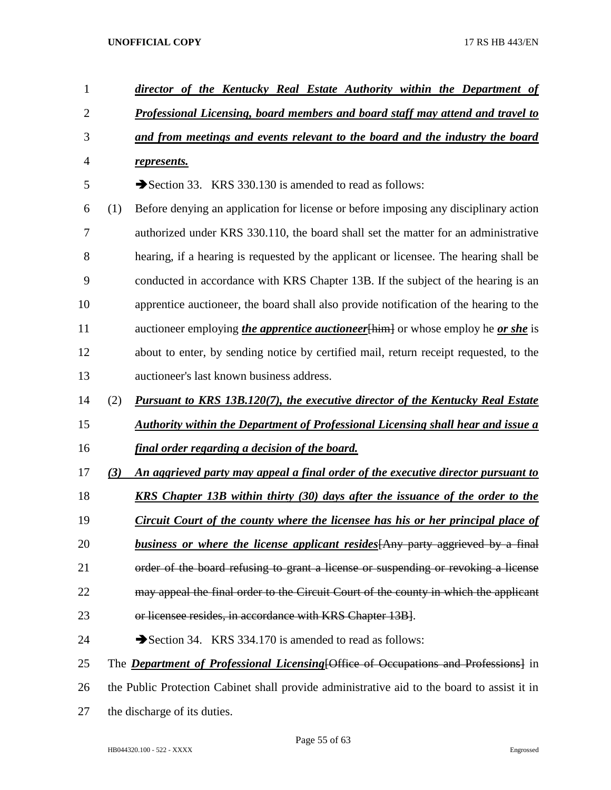| 1              |     | director of the Kentucky Real Estate Authority within the Department of                         |
|----------------|-----|-------------------------------------------------------------------------------------------------|
| $\overline{2}$ |     | <b>Professional Licensing, board members and board staff may attend and travel to</b>           |
| 3              |     | and from meetings and events relevant to the board and the industry the board                   |
| 4              |     | represents.                                                                                     |
| 5              |     | Section 33. KRS 330.130 is amended to read as follows:                                          |
| 6              | (1) | Before denying an application for license or before imposing any disciplinary action            |
| 7              |     | authorized under KRS 330.110, the board shall set the matter for an administrative              |
| 8              |     | hearing, if a hearing is requested by the applicant or licensee. The hearing shall be           |
| 9              |     | conducted in accordance with KRS Chapter 13B. If the subject of the hearing is an               |
| 10             |     | apprentice auctioneer, the board shall also provide notification of the hearing to the          |
| 11             |     | auctioneer employing <i>the apprentice auctioneer</i> [him] or whose employ he <i>or she</i> is |
| 12             |     | about to enter, by sending notice by certified mail, return receipt requested, to the           |
| 13             |     | auctioneer's last known business address.                                                       |
| 14             | (2) | Pursuant to KRS 13B.120(7), the executive director of the Kentucky Real Estate                  |
| 15             |     | <b>Authority within the Department of Professional Licensing shall hear and issue a</b>         |
| 16             |     | <u>final order regarding a decision of the board.</u>                                           |
|                |     |                                                                                                 |
| 17             | (3) | An aggrieved party may appeal a final order of the executive director pursuant to               |
| 18             |     | <b>KRS</b> Chapter 13B within thirty (30) days after the issuance of the order to the           |
| 19             |     | <u>Circuit Court of the county where the licensee has his or her principal place of</u>         |
| 20             |     | <b>business or where the license applicant resides</b> [Any party aggrieved by a final          |
| 21             |     | order of the board refusing to grant a license or suspending or revoking a license              |
| 22             |     | may appeal the final order to the Circuit Court of the county in which the applicant            |
| 23             |     | or licensee resides, in accordance with KRS Chapter 13B].                                       |
| 24             |     | Section 34. KRS 334.170 is amended to read as follows:                                          |
| 25             |     | The <b>Department of Professional Licensing</b> [Office of Occupations and Professions] in      |
| 26             |     | the Public Protection Cabinet shall provide administrative aid to the board to assist it in     |
| 27             |     | the discharge of its duties.                                                                    |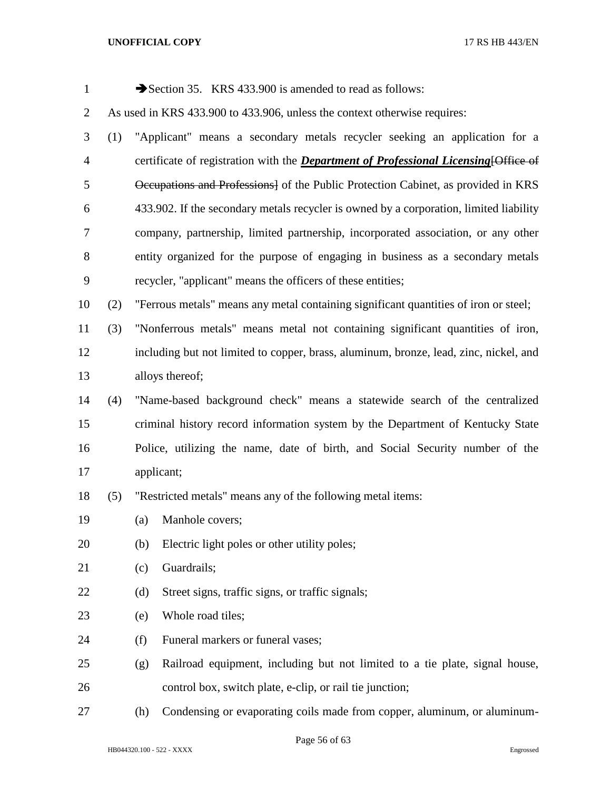| $\mathbf{1}$   |     |     | Section 35. KRS 433.900 is amended to read as follows:                                      |
|----------------|-----|-----|---------------------------------------------------------------------------------------------|
| $\overline{2}$ |     |     | As used in KRS 433.900 to 433.906, unless the context otherwise requires:                   |
| 3              | (1) |     | "Applicant" means a secondary metals recycler seeking an application for a                  |
| $\overline{4}$ |     |     | certificate of registration with the <i>Department of Professional Licensing</i> [Office of |
| 5              |     |     | Occupations and Professions of the Public Protection Cabinet, as provided in KRS            |
| 6              |     |     | 433.902. If the secondary metals recycler is owned by a corporation, limited liability      |
| 7              |     |     | company, partnership, limited partnership, incorporated association, or any other           |
| $8\,$          |     |     | entity organized for the purpose of engaging in business as a secondary metals              |
| 9              |     |     | recycler, "applicant" means the officers of these entities;                                 |
| 10             | (2) |     | "Ferrous metals" means any metal containing significant quantities of iron or steel;        |
| 11             | (3) |     | "Nonferrous metals" means metal not containing significant quantities of iron,              |
| 12             |     |     | including but not limited to copper, brass, aluminum, bronze, lead, zinc, nickel, and       |
| 13             |     |     | alloys thereof;                                                                             |
| 14             | (4) |     | "Name-based background check" means a statewide search of the centralized                   |
| 15             |     |     | criminal history record information system by the Department of Kentucky State              |
| 16             |     |     | Police, utilizing the name, date of birth, and Social Security number of the                |
| 17             |     |     | applicant;                                                                                  |
| 18             | (5) |     | "Restricted metals" means any of the following metal items:                                 |
| 19             |     |     | (a) Manhole covers;                                                                         |
| 20             |     | (b) | Electric light poles or other utility poles;                                                |
| 21             |     | (c) | Guardrails;                                                                                 |
| 22             |     | (d) | Street signs, traffic signs, or traffic signals;                                            |
| 23             |     | (e) | Whole road tiles;                                                                           |
| 24             |     | (f) | Funeral markers or funeral vases;                                                           |
| 25             |     | (g) | Railroad equipment, including but not limited to a tie plate, signal house,                 |
| 26             |     |     | control box, switch plate, e-clip, or rail tie junction;                                    |
| 27             |     | (h) | Condensing or evaporating coils made from copper, aluminum, or aluminum-                    |

Page 56 of 63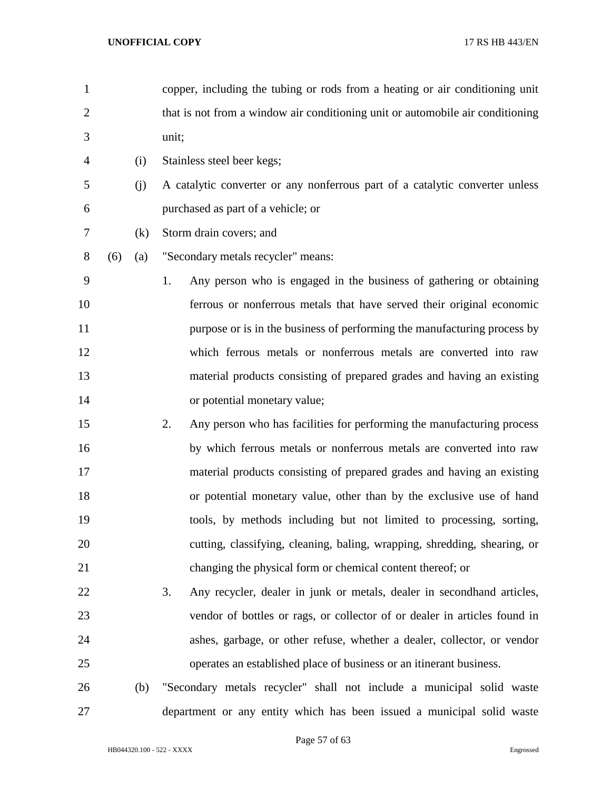| 1              |     |     | copper, including the tubing or rods from a heating or air conditioning unit   |
|----------------|-----|-----|--------------------------------------------------------------------------------|
| $\overline{2}$ |     |     | that is not from a window air conditioning unit or automobile air conditioning |
| 3              |     |     | unit;                                                                          |
| $\overline{4}$ |     | (i) | Stainless steel beer kegs;                                                     |
| 5              |     | (j) | A catalytic converter or any nonferrous part of a catalytic converter unless   |
| 6              |     |     | purchased as part of a vehicle; or                                             |
| 7              |     | (k) | Storm drain covers; and                                                        |
| 8              | (6) | (a) | "Secondary metals recycler" means:                                             |
| 9              |     |     | Any person who is engaged in the business of gathering or obtaining<br>1.      |
| 10             |     |     | ferrous or nonferrous metals that have served their original economic          |
| 11             |     |     | purpose or is in the business of performing the manufacturing process by       |
| 12             |     |     | which ferrous metals or nonferrous metals are converted into raw               |
| 13             |     |     | material products consisting of prepared grades and having an existing         |
| 14             |     |     | or potential monetary value;                                                   |
| 15             |     |     | 2.<br>Any person who has facilities for performing the manufacturing process   |
| 16             |     |     | by which ferrous metals or nonferrous metals are converted into raw            |
| 17             |     |     | material products consisting of prepared grades and having an existing         |
| 18             |     |     | or potential monetary value, other than by the exclusive use of hand           |
| 19             |     |     | tools, by methods including but not limited to processing, sorting,            |
| 20             |     |     | cutting, classifying, cleaning, baling, wrapping, shredding, shearing, or      |
| 21             |     |     | changing the physical form or chemical content thereof; or                     |
| 22             |     |     | 3.<br>Any recycler, dealer in junk or metals, dealer in second hand articles,  |
| 23             |     |     | vendor of bottles or rags, or collector of or dealer in articles found in      |
| 24             |     |     | ashes, garbage, or other refuse, whether a dealer, collector, or vendor        |
| 25             |     |     | operates an established place of business or an itinerant business.            |
| 26             |     | (b) | "Secondary metals recycler" shall not include a municipal solid waste          |
| 27             |     |     | department or any entity which has been issued a municipal solid waste         |

Page 57 of 63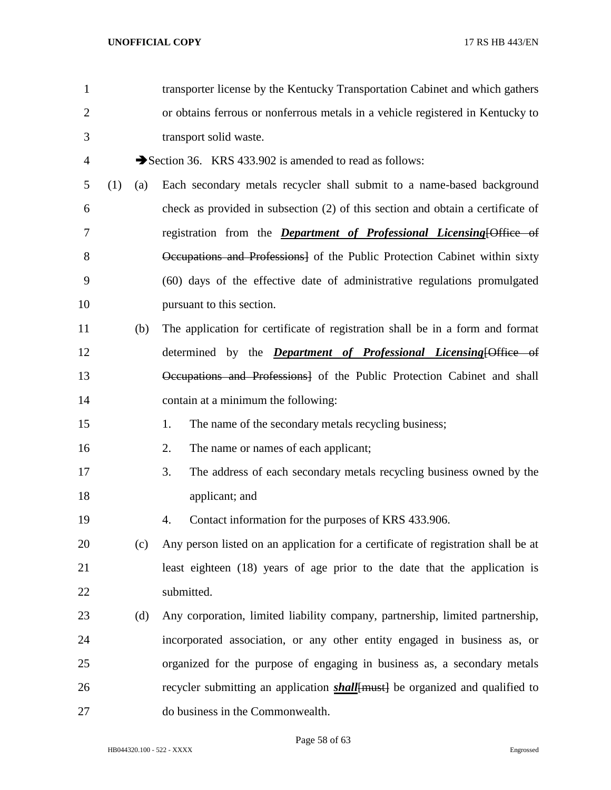| $\mathbf{1}$   |     |     | transporter license by the Kentucky Transportation Cabinet and which gathers         |
|----------------|-----|-----|--------------------------------------------------------------------------------------|
| $\overline{2}$ |     |     | or obtains ferrous or nonferrous metals in a vehicle registered in Kentucky to       |
| 3              |     |     | transport solid waste.                                                               |
| 4              |     |     | Section 36. KRS 433.902 is amended to read as follows:                               |
| 5              | (1) | (a) | Each secondary metals recycler shall submit to a name-based background               |
| 6              |     |     | check as provided in subsection (2) of this section and obtain a certificate of      |
| 7              |     |     | registration from the <i>Department of Professional Licensing</i> [Office of         |
| 8              |     |     | Occupations and Professions] of the Public Protection Cabinet within sixty           |
| 9              |     |     | (60) days of the effective date of administrative regulations promulgated            |
| 10             |     |     | pursuant to this section.                                                            |
| 11             |     | (b) | The application for certificate of registration shall be in a form and format        |
| 12             |     |     | determined by the <i>Department of Professional Licensing</i> [Office of             |
| 13             |     |     | Occupations and Professions] of the Public Protection Cabinet and shall              |
| 14             |     |     | contain at a minimum the following:                                                  |
| 15             |     |     | 1.<br>The name of the secondary metals recycling business;                           |
| 16             |     |     | The name or names of each applicant;<br>2.                                           |
| 17             |     |     | The address of each secondary metals recycling business owned by the<br>3.           |
| 18             |     |     | applicant; and                                                                       |
| 19             |     |     | Contact information for the purposes of KRS 433.906.<br>4.                           |
| 20             |     | (c) | Any person listed on an application for a certificate of registration shall be at    |
| 21             |     |     | least eighteen (18) years of age prior to the date that the application is           |
| 22             |     |     | submitted.                                                                           |
| 23             |     | (d) | Any corporation, limited liability company, partnership, limited partnership,        |
| 24             |     |     | incorporated association, or any other entity engaged in business as, or             |
| 25             |     |     | organized for the purpose of engaging in business as, a secondary metals             |
| 26             |     |     | recycler submitting an application <i>shall</i> [must] be organized and qualified to |
| 27             |     |     | do business in the Commonwealth.                                                     |

Page 58 of 63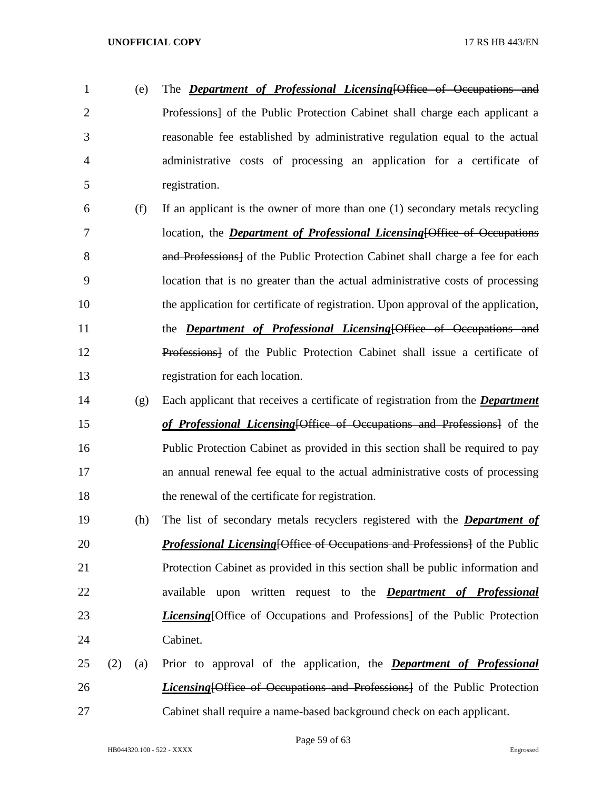- (e) The *Department of Professional Licensing*[Office of Occupations and Professions] of the Public Protection Cabinet shall charge each applicant a reasonable fee established by administrative regulation equal to the actual administrative costs of processing an application for a certificate of registration.
- (f) If an applicant is the owner of more than one (1) secondary metals recycling location, the *Department of Professional Licensing*[Office of Occupations 8 and Professions of the Public Protection Cabinet shall charge a fee for each location that is no greater than the actual administrative costs of processing the application for certificate of registration. Upon approval of the application, the *Department of Professional Licensing*[Office of Occupations and Professions] of the Public Protection Cabinet shall issue a certificate of registration for each location.
- (g) Each applicant that receives a certificate of registration from the *Department of Professional Licensing*[Office of Occupations and Professions] of the Public Protection Cabinet as provided in this section shall be required to pay an annual renewal fee equal to the actual administrative costs of processing the renewal of the certificate for registration.
- (h) The list of secondary metals recyclers registered with the *Department of Professional Licensing*[Office of Occupations and Professions] of the Public Protection Cabinet as provided in this section shall be public information and available upon written request to the *Department of Professional Licensing*[Office of Occupations and Professions] of the Public Protection Cabinet.
- (2) (a) Prior to approval of the application, the *Department of Professional Licensing*[Office of Occupations and Professions] of the Public Protection Cabinet shall require a name-based background check on each applicant.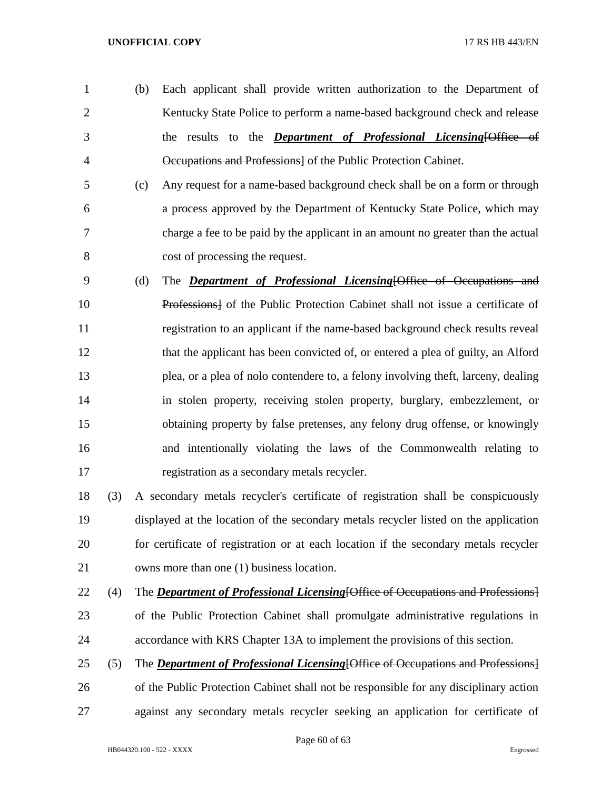- (b) Each applicant shall provide written authorization to the Department of 2 Kentucky State Police to perform a name-based background check and release the results to the *Department of Professional Licensing*[Office of Occupations and Professions] of the Public Protection Cabinet.
- (c) Any request for a name-based background check shall be on a form or through a process approved by the Department of Kentucky State Police, which may charge a fee to be paid by the applicant in an amount no greater than the actual cost of processing the request.
- (d) The *Department of Professional Licensing*[Office of Occupations and Professions] of the Public Protection Cabinet shall not issue a certificate of registration to an applicant if the name-based background check results reveal that the applicant has been convicted of, or entered a plea of guilty, an Alford plea, or a plea of nolo contendere to, a felony involving theft, larceny, dealing in stolen property, receiving stolen property, burglary, embezzlement, or obtaining property by false pretenses, any felony drug offense, or knowingly and intentionally violating the laws of the Commonwealth relating to registration as a secondary metals recycler.
- (3) A secondary metals recycler's certificate of registration shall be conspicuously displayed at the location of the secondary metals recycler listed on the application for certificate of registration or at each location if the secondary metals recycler owns more than one (1) business location.
- (4) The *Department of Professional Licensing*[Office of Occupations and Professions]
- of the Public Protection Cabinet shall promulgate administrative regulations in accordance with KRS Chapter 13A to implement the provisions of this section.
- (5) The *Department of Professional Licensing*[Office of Occupations and Professions] of the Public Protection Cabinet shall not be responsible for any disciplinary action against any secondary metals recycler seeking an application for certificate of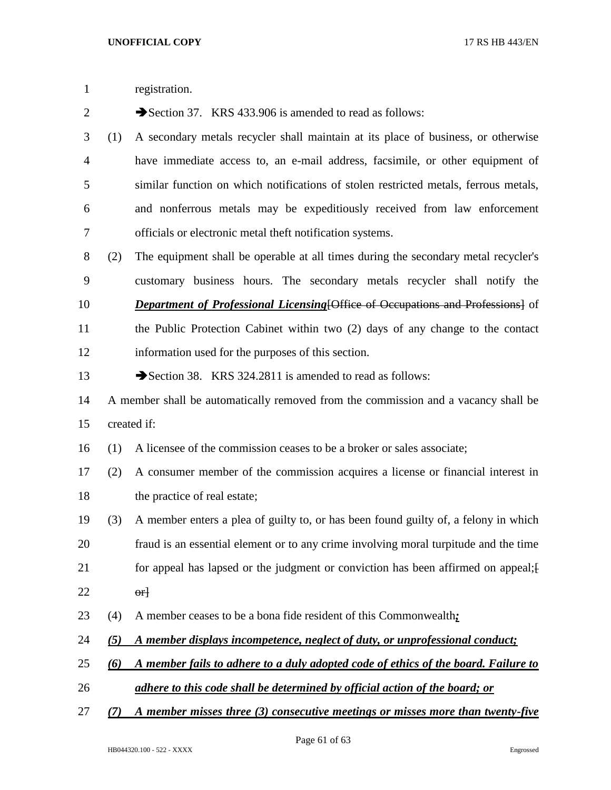registration. 2 Section 37. KRS 433.906 is amended to read as follows: (1) A secondary metals recycler shall maintain at its place of business, or otherwise have immediate access to, an e-mail address, facsimile, or other equipment of similar function on which notifications of stolen restricted metals, ferrous metals, and nonferrous metals may be expeditiously received from law enforcement officials or electronic metal theft notification systems. (2) The equipment shall be operable at all times during the secondary metal recycler's customary business hours. The secondary metals recycler shall notify the *Department of Professional Licensing*[Office of Occupations and Professions] of the Public Protection Cabinet within two (2) days of any change to the contact information used for the purposes of this section. 13 Section 38. KRS 324.2811 is amended to read as follows: A member shall be automatically removed from the commission and a vacancy shall be created if: (1) A licensee of the commission ceases to be a broker or sales associate; (2) A consumer member of the commission acquires a license or financial interest in the practice of real estate; (3) A member enters a plea of guilty to, or has been found guilty of, a felony in which fraud is an essential element or to any crime involving moral turpitude and the time 21 for appeal has lapsed or the judgment or conviction has been affirmed on appeal; orl (4) A member ceases to be a bona fide resident of this Commonwealth*; (5) A member displays incompetence, neglect of duty, or unprofessional conduct; (6) A member fails to adhere to a duly adopted code of ethics of the board. Failure to adhere to this code shall be determined by official action of the board; or*

*(7) A member misses three (3) consecutive meetings or misses more than twenty-five*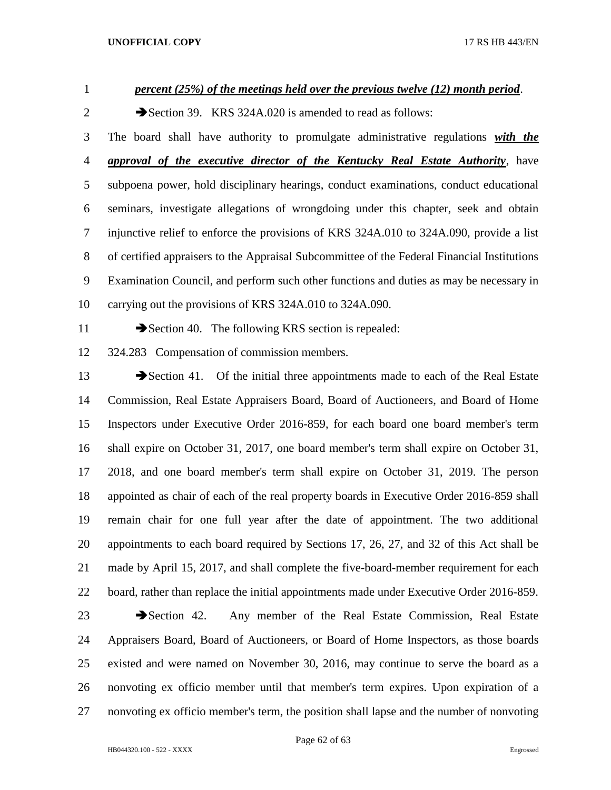*percent (25%) of the meetings held over the previous twelve (12) month period*.

2 Section 39. KRS 324A.020 is amended to read as follows:

 The board shall have authority to promulgate administrative regulations *with the approval of the executive director of the Kentucky Real Estate Authority*, have subpoena power, hold disciplinary hearings, conduct examinations, conduct educational seminars, investigate allegations of wrongdoing under this chapter, seek and obtain injunctive relief to enforce the provisions of KRS 324A.010 to 324A.090, provide a list of certified appraisers to the Appraisal Subcommittee of the Federal Financial Institutions Examination Council, and perform such other functions and duties as may be necessary in carrying out the provisions of KRS 324A.010 to 324A.090.

11 Section 40. The following KRS section is repealed:

324.283 Compensation of commission members.

13 Section 41. Of the initial three appointments made to each of the Real Estate Commission, Real Estate Appraisers Board, Board of Auctioneers, and Board of Home Inspectors under Executive Order 2016-859, for each board one board member's term shall expire on October 31, 2017, one board member's term shall expire on October 31, 2018, and one board member's term shall expire on October 31, 2019. The person appointed as chair of each of the real property boards in Executive Order 2016-859 shall remain chair for one full year after the date of appointment. The two additional appointments to each board required by Sections 17, 26, 27, and 32 of this Act shall be made by April 15, 2017, and shall complete the five-board-member requirement for each board, rather than replace the initial appointments made under Executive Order 2016-859.

23 Section 42. Any member of the Real Estate Commission, Real Estate Appraisers Board, Board of Auctioneers, or Board of Home Inspectors, as those boards existed and were named on November 30, 2016, may continue to serve the board as a nonvoting ex officio member until that member's term expires. Upon expiration of a nonvoting ex officio member's term, the position shall lapse and the number of nonvoting